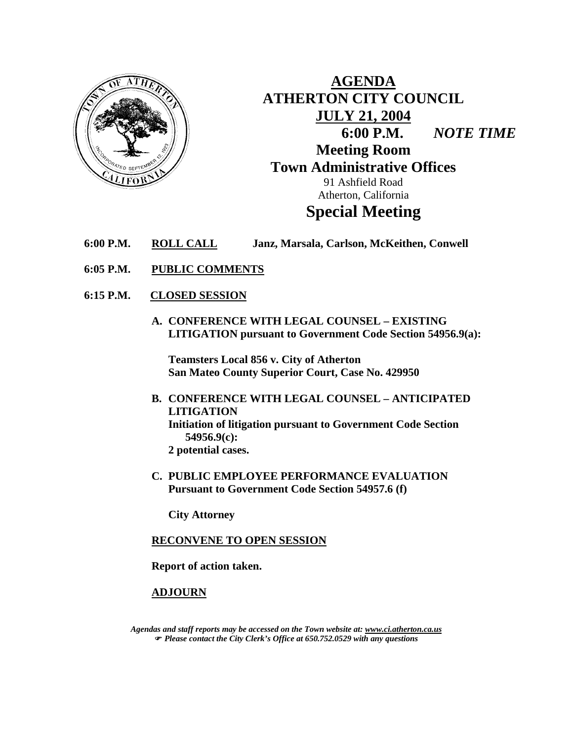

**AGENDA ATHERTON CITY COUNCIL JULY 21, 2004 6:00 P.M.** *NOTE TIME*  **Meeting Room Town Administrative Offices**  91 Ashfield Road Atherton, California **Special Meeting** 

- **6:00 P.M. ROLL CALL Janz, Marsala, Carlson, McKeithen, Conwell**
- **6:05 P.M. PUBLIC COMMENTS**
- **6:15 P.M. CLOSED SESSION**
	- **A. CONFERENCE WITH LEGAL COUNSEL EXISTING LITIGATION pursuant to Government Code Section 54956.9(a):**

**Teamsters Local 856 v. City of Atherton San Mateo County Superior Court, Case No. 429950** 

- **B. CONFERENCE WITH LEGAL COUNSEL ANTICIPATED LITIGATION Initiation of litigation pursuant to Government Code Section 54956.9(c): 2 potential cases.**
- **C. PUBLIC EMPLOYEE PERFORMANCE EVALUATION Pursuant to Government Code Section 54957.6 (f)**

**City Attorney**

### **RECONVENE TO OPEN SESSION**

 **Report of action taken.** 

### **ADJOURN**

*Agendas and staff reports may be accessed on the Town website at: www.ci.atherton.ca.us* ) *Please contact the City Clerk's Office at 650.752.0529 with any questions*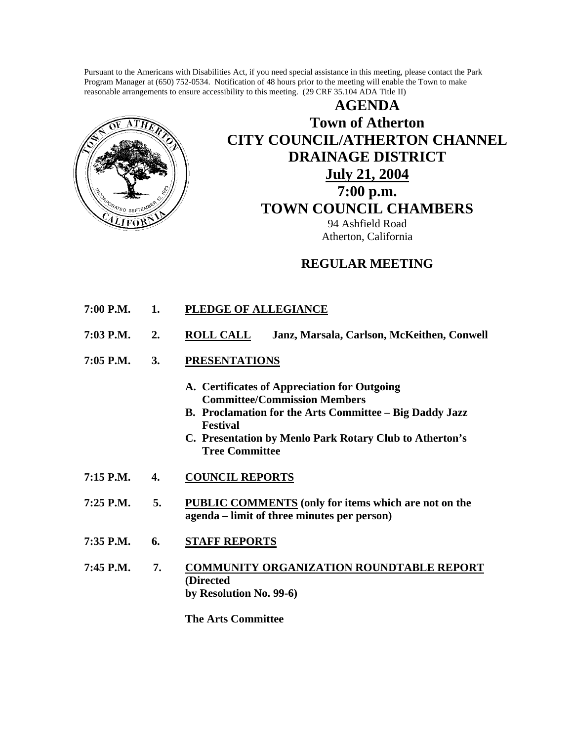Pursuant to the Americans with Disabilities Act, if you need special assistance in this meeting, please contact the Park Program Manager at (650) 752-0534. Notification of 48 hours prior to the meeting will enable the Town to make reasonable arrangements to ensure accessibility to this meeting. (29 CRF 35.104 ADA Title II)



**AGENDA Town of Atherton CITY COUNCIL/ATHERTON CHANNEL DRAINAGE DISTRICT July 21, 2004 7:00 p.m. TOWN COUNCIL CHAMBERS** 94 Ashfield Road Atherton, California

## **REGULAR MEETING**

- **7:00 P.M. 1. PLEDGE OF ALLEGIANCE**
- **7:03 P.M. 2. ROLL CALL Janz, Marsala, Carlson, McKeithen, Conwell**
- **7:05 P.M. 3. PRESENTATIONS**
	- **A. Certificates of Appreciation for Outgoing Committee/Commission Members**
	- **B. Proclamation for the Arts Committee Big Daddy Jazz Festival**
	- **C. Presentation by Menlo Park Rotary Club to Atherton's Tree Committee**
- **7:15 P.M. 4. COUNCIL REPORTS**
- **7:25 P.M. 5. PUBLIC COMMENTS (only for items which are not on the agenda – limit of three minutes per person)**
- **7:35 P.M. 6. STAFF REPORTS**
- **7:45 P.M. 7. COMMUNITY ORGANIZATION ROUNDTABLE REPORT (Directed by Resolution No. 99-6)**

 **The Arts Committee**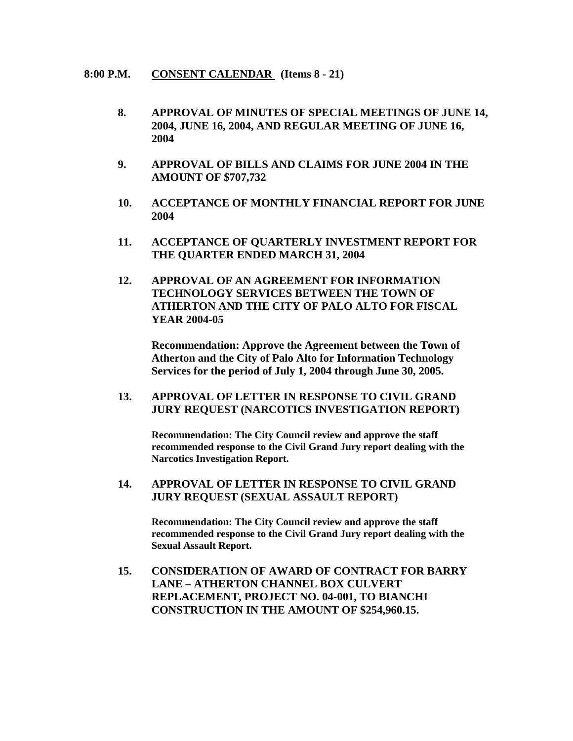#### **8:00 P.M. CONSENT CALENDAR (Items 8 - 21)**

- **8. APPROVAL OF MINUTES OF SPECIAL MEETINGS OF JUNE 14, 2004, JUNE 16, 2004, AND REGULAR MEETING OF JUNE 16, 2004**
- **9. APPROVAL OF BILLS AND CLAIMS FOR JUNE 2004 IN THE AMOUNT OF \$707,732**
- **10. ACCEPTANCE OF MONTHLY FINANCIAL REPORT FOR JUNE 2004**
- **11. ACCEPTANCE OF QUARTERLY INVESTMENT REPORT FOR THE QUARTER ENDED MARCH 31, 2004**
- **12. APPROVAL OF AN AGREEMENT FOR INFORMATION TECHNOLOGY SERVICES BETWEEN THE TOWN OF ATHERTON AND THE CITY OF PALO ALTO FOR FISCAL YEAR 2004-05**

**Recommendation: Approve the Agreement between the Town of Atherton and the City of Palo Alto for Information Technology Services for the period of July 1, 2004 through June 30, 2005.** 

## **13. APPROVAL OF LETTER IN RESPONSE TO CIVIL GRAND JURY REQUEST (NARCOTICS INVESTIGATION REPORT)**

**Recommendation: The City Council review and approve the staff recommended response to the Civil Grand Jury report dealing with the Narcotics Investigation Report.**

 **14. APPROVAL OF LETTER IN RESPONSE TO CIVIL GRAND JURY REQUEST (SEXUAL ASSAULT REPORT)**

> **Recommendation: The City Council review and approve the staff recommended response to the Civil Grand Jury report dealing with the Sexual Assault Report.**

**15. CONSIDERATION OF AWARD OF CONTRACT FOR BARRY LANE – ATHERTON CHANNEL BOX CULVERT REPLACEMENT, PROJECT NO. 04-001, TO BIANCHI CONSTRUCTION IN THE AMOUNT OF \$254,960.15.**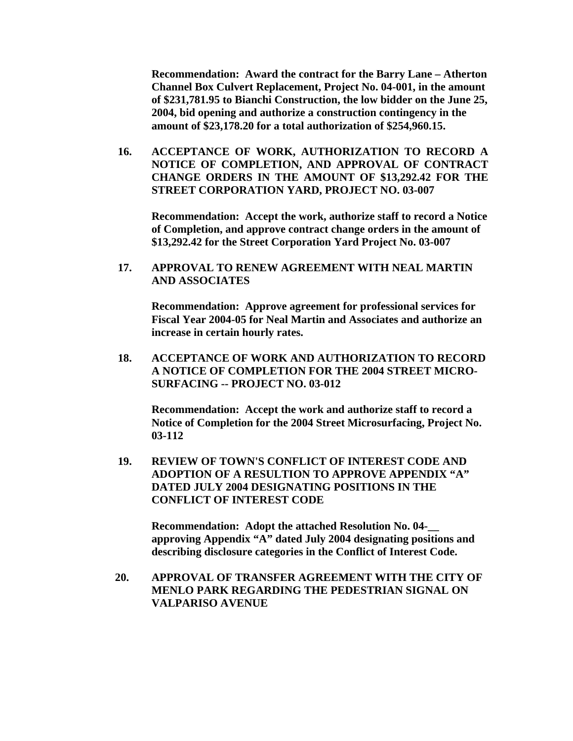**Recommendation: Award the contract for the Barry Lane – Atherton Channel Box Culvert Replacement, Project No. 04-001, in the amount of \$231,781.95 to Bianchi Construction, the low bidder on the June 25, 2004, bid opening and authorize a construction contingency in the amount of \$23,178.20 for a total authorization of \$254,960.15.** 

**16. ACCEPTANCE OF WORK, AUTHORIZATION TO RECORD A NOTICE OF COMPLETION, AND APPROVAL OF CONTRACT CHANGE ORDERS IN THE AMOUNT OF \$13,292.42 FOR THE STREET CORPORATION YARD, PROJECT NO. 03-007** 

**Recommendation: Accept the work, authorize staff to record a Notice of Completion, and approve contract change orders in the amount of \$13,292.42 for the Street Corporation Yard Project No. 03-007** 

 **17. APPROVAL TO RENEW AGREEMENT WITH NEAL MARTIN AND ASSOCIATES** 

**Recommendation: Approve agreement for professional services for Fiscal Year 2004-05 for Neal Martin and Associates and authorize an increase in certain hourly rates.** 

 **18. ACCEPTANCE OF WORK AND AUTHORIZATION TO RECORD A NOTICE OF COMPLETION FOR THE 2004 STREET MICRO-SURFACING -- PROJECT NO. 03-012** 

**Recommendation: Accept the work and authorize staff to record a Notice of Completion for the 2004 Street Microsurfacing, Project No. 03-112** 

**19. REVIEW OF TOWN'S CONFLICT OF INTEREST CODE AND ADOPTION OF A RESULTION TO APPROVE APPENDIX "A" DATED JULY 2004 DESIGNATING POSITIONS IN THE CONFLICT OF INTEREST CODE** 

**Recommendation: Adopt the attached Resolution No. 04-\_\_ approving Appendix "A" dated July 2004 designating positions and describing disclosure categories in the Conflict of Interest Code.** 

 **20. APPROVAL OF TRANSFER AGREEMENT WITH THE CITY OF MENLO PARK REGARDING THE PEDESTRIAN SIGNAL ON VALPARISO AVENUE**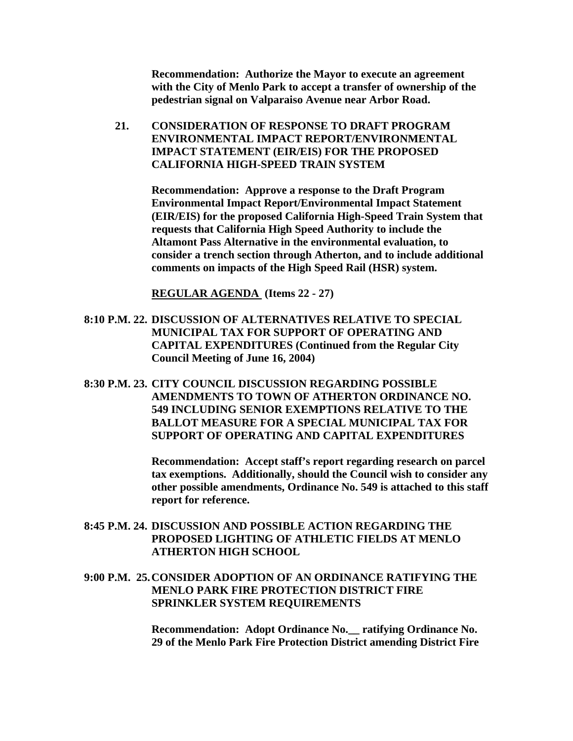**Recommendation: Authorize the Mayor to execute an agreement with the City of Menlo Park to accept a transfer of ownership of the pedestrian signal on Valparaiso Avenue near Arbor Road.** 

 **21. CONSIDERATION OF RESPONSE TO DRAFT PROGRAM ENVIRONMENTAL IMPACT REPORT/ENVIRONMENTAL IMPACT STATEMENT (EIR/EIS) FOR THE PROPOSED CALIFORNIA HIGH-SPEED TRAIN SYSTEM** 

> **Recommendation: Approve a response to the Draft Program Environmental Impact Report/Environmental Impact Statement (EIR/EIS) for the proposed California High-Speed Train System that requests that California High Speed Authority to include the Altamont Pass Alternative in the environmental evaluation, to consider a trench section through Atherton, and to include additional comments on impacts of the High Speed Rail (HSR) system.**

 **REGULAR AGENDA (Items 22 - 27)** 

- **8:10 P.M. 22. DISCUSSION OF ALTERNATIVES RELATIVE TO SPECIAL MUNICIPAL TAX FOR SUPPORT OF OPERATING AND CAPITAL EXPENDITURES (Continued from the Regular City Council Meeting of June 16, 2004)**
- **8:30 P.M. 23. CITY COUNCIL DISCUSSION REGARDING POSSIBLE AMENDMENTS TO TOWN OF ATHERTON ORDINANCE NO. 549 INCLUDING SENIOR EXEMPTIONS RELATIVE TO THE BALLOT MEASURE FOR A SPECIAL MUNICIPAL TAX FOR SUPPORT OF OPERATING AND CAPITAL EXPENDITURES**

**Recommendation: Accept staff's report regarding research on parcel tax exemptions. Additionally, should the Council wish to consider any other possible amendments, Ordinance No. 549 is attached to this staff report for reference.** 

- **8:45 P.M. 24. DISCUSSION AND POSSIBLE ACTION REGARDING THE PROPOSED LIGHTING OF ATHLETIC FIELDS AT MENLO ATHERTON HIGH SCHOOL**
- **9:00 P.M. 25. CONSIDER ADOPTION OF AN ORDINANCE RATIFYING THE MENLO PARK FIRE PROTECTION DISTRICT FIRE SPRINKLER SYSTEM REQUIREMENTS**

**Recommendation: Adopt Ordinance No.\_\_ ratifying Ordinance No. 29 of the Menlo Park Fire Protection District amending District Fire**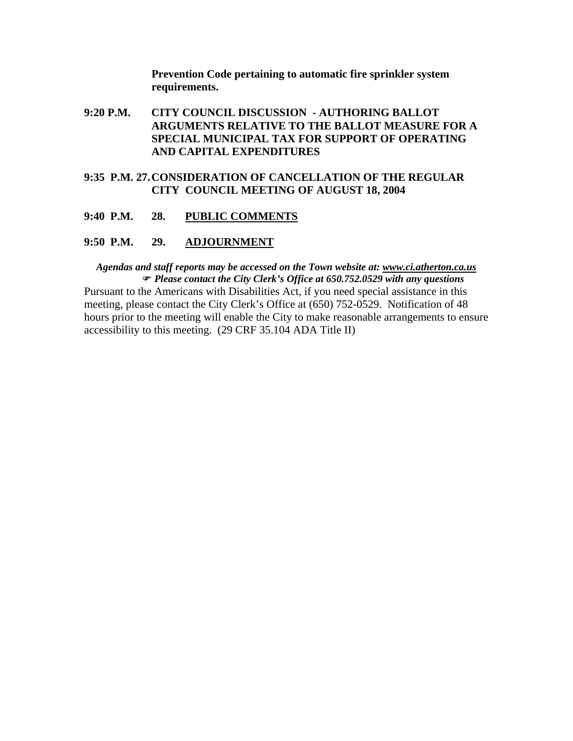**Prevention Code pertaining to automatic fire sprinkler system requirements.** 

- **9:20 P.M. CITY COUNCIL DISCUSSION AUTHORING BALLOT ARGUMENTS RELATIVE TO THE BALLOT MEASURE FOR A SPECIAL MUNICIPAL TAX FOR SUPPORT OF OPERATING AND CAPITAL EXPENDITURES**
- **9:35 P.M. 27. CONSIDERATION OF CANCELLATION OF THE REGULAR CITY COUNCIL MEETING OF AUGUST 18, 2004**
- **9:40 P.M. 28. PUBLIC COMMENTS**

#### **9:50 P.M. 29. ADJOURNMENT**

*Agendas and staff reports may be accessed on the Town website at: www.ci.atherton.ca.us* ) *Please contact the City Clerk's Office at 650.752.0529 with any questions*  Pursuant to the Americans with Disabilities Act, if you need special assistance in this meeting, please contact the City Clerk's Office at (650) 752-0529. Notification of 48 hours prior to the meeting will enable the City to make reasonable arrangements to ensure accessibility to this meeting. (29 CRF 35.104 ADA Title II)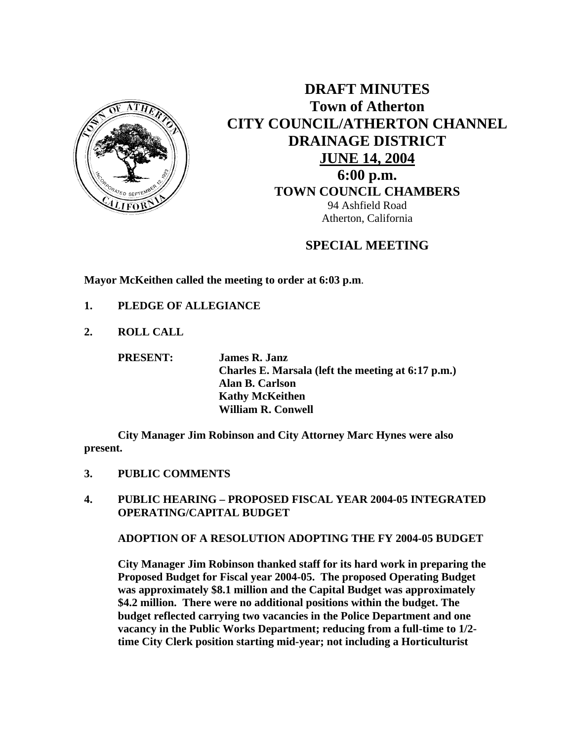

**DRAFT MINUTES Town of Atherton CITY COUNCIL/ATHERTON CHANNEL DRAINAGE DISTRICT JUNE 14, 2004 6:00 p.m. TOWN COUNCIL CHAMBERS** 94 Ashfield Road Atherton, California

# **SPECIAL MEETING**

**Mayor McKeithen called the meeting to order at 6:03 p.m**.

- **1. PLEDGE OF ALLEGIANCE**
- **2. ROLL CALL**

 **PRESENT: James R. Janz Charles E. Marsala (left the meeting at 6:17 p.m.) Alan B. Carlson Kathy McKeithen William R. Conwell** 

**City Manager Jim Robinson and City Attorney Marc Hynes were also present.** 

- **3. PUBLIC COMMENTS**
- **4. PUBLIC HEARING PROPOSED FISCAL YEAR 2004-05 INTEGRATED OPERATING/CAPITAL BUDGET**

 **ADOPTION OF A RESOLUTION ADOPTING THE FY 2004-05 BUDGET** 

**City Manager Jim Robinson thanked staff for its hard work in preparing the Proposed Budget for Fiscal year 2004-05. The proposed Operating Budget was approximately \$8.1 million and the Capital Budget was approximately \$4.2 million. There were no additional positions within the budget. The budget reflected carrying two vacancies in the Police Department and one vacancy in the Public Works Department; reducing from a full-time to 1/2 time City Clerk position starting mid-year; not including a Horticulturist**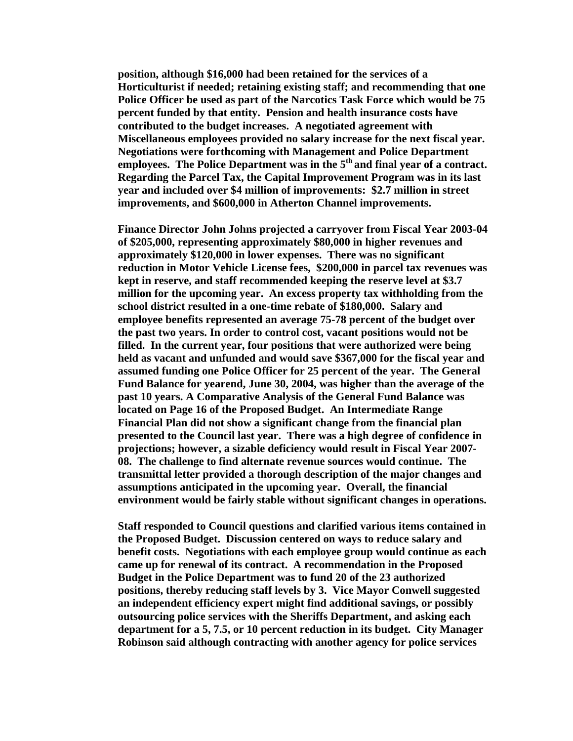**position, although \$16,000 had been retained for the services of a Horticulturist if needed; retaining existing staff; and recommending that one Police Officer be used as part of the Narcotics Task Force which would be 75 percent funded by that entity. Pension and health insurance costs have contributed to the budget increases. A negotiated agreement with Miscellaneous employees provided no salary increase for the next fiscal year. Negotiations were forthcoming with Management and Police Department**  employees. The Police Department was in the 5<sup>th</sup> and final year of a contract. **Regarding the Parcel Tax, the Capital Improvement Program was in its last year and included over \$4 million of improvements: \$2.7 million in street improvements, and \$600,000 in Atherton Channel improvements.** 

**Finance Director John Johns projected a carryover from Fiscal Year 2003-04 of \$205,000, representing approximately \$80,000 in higher revenues and approximately \$120,000 in lower expenses. There was no significant reduction in Motor Vehicle License fees, \$200,000 in parcel tax revenues was kept in reserve, and staff recommended keeping the reserve level at \$3.7 million for the upcoming year. An excess property tax withholding from the school district resulted in a one-time rebate of \$180,000. Salary and employee benefits represented an average 75-78 percent of the budget over the past two years. In order to control cost, vacant positions would not be filled. In the current year, four positions that were authorized were being held as vacant and unfunded and would save \$367,000 for the fiscal year and assumed funding one Police Officer for 25 percent of the year. The General Fund Balance for yearend, June 30, 2004, was higher than the average of the past 10 years. A Comparative Analysis of the General Fund Balance was located on Page 16 of the Proposed Budget. An Intermediate Range Financial Plan did not show a significant change from the financial plan presented to the Council last year. There was a high degree of confidence in projections; however, a sizable deficiency would result in Fiscal Year 2007- 08. The challenge to find alternate revenue sources would continue. The transmittal letter provided a thorough description of the major changes and assumptions anticipated in the upcoming year. Overall, the financial environment would be fairly stable without significant changes in operations.** 

**Staff responded to Council questions and clarified various items contained in the Proposed Budget. Discussion centered on ways to reduce salary and benefit costs. Negotiations with each employee group would continue as each came up for renewal of its contract. A recommendation in the Proposed Budget in the Police Department was to fund 20 of the 23 authorized positions, thereby reducing staff levels by 3. Vice Mayor Conwell suggested an independent efficiency expert might find additional savings, or possibly outsourcing police services with the Sheriffs Department, and asking each department for a 5, 7.5, or 10 percent reduction in its budget. City Manager Robinson said although contracting with another agency for police services**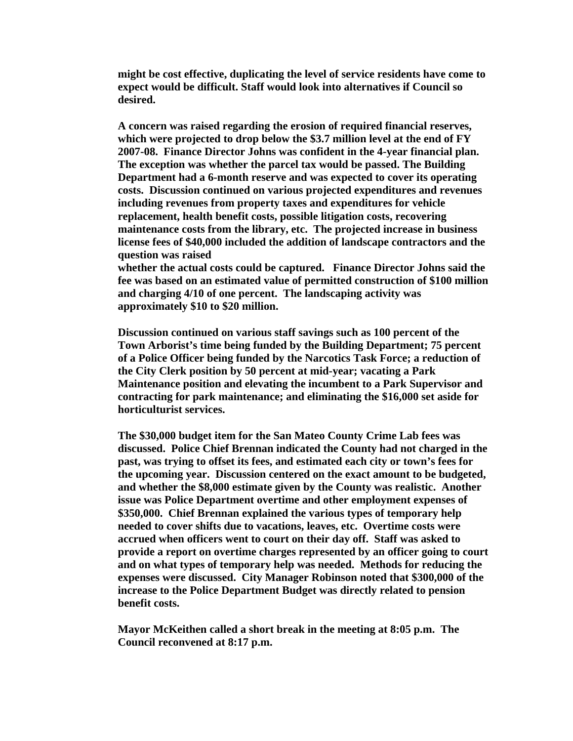**might be cost effective, duplicating the level of service residents have come to expect would be difficult. Staff would look into alternatives if Council so desired.** 

**A concern was raised regarding the erosion of required financial reserves, which were projected to drop below the \$3.7 million level at the end of FY 2007-08. Finance Director Johns was confident in the 4-year financial plan. The exception was whether the parcel tax would be passed. The Building Department had a 6-month reserve and was expected to cover its operating costs. Discussion continued on various projected expenditures and revenues including revenues from property taxes and expenditures for vehicle replacement, health benefit costs, possible litigation costs, recovering maintenance costs from the library, etc. The projected increase in business license fees of \$40,000 included the addition of landscape contractors and the question was raised** 

**whether the actual costs could be captured. Finance Director Johns said the fee was based on an estimated value of permitted construction of \$100 million and charging 4/10 of one percent. The landscaping activity was approximately \$10 to \$20 million.** 

**Discussion continued on various staff savings such as 100 percent of the Town Arborist's time being funded by the Building Department; 75 percent of a Police Officer being funded by the Narcotics Task Force; a reduction of the City Clerk position by 50 percent at mid-year; vacating a Park Maintenance position and elevating the incumbent to a Park Supervisor and contracting for park maintenance; and eliminating the \$16,000 set aside for horticulturist services.** 

**The \$30,000 budget item for the San Mateo County Crime Lab fees was discussed. Police Chief Brennan indicated the County had not charged in the past, was trying to offset its fees, and estimated each city or town's fees for the upcoming year. Discussion centered on the exact amount to be budgeted, and whether the \$8,000 estimate given by the County was realistic. Another issue was Police Department overtime and other employment expenses of \$350,000. Chief Brennan explained the various types of temporary help needed to cover shifts due to vacations, leaves, etc. Overtime costs were accrued when officers went to court on their day off. Staff was asked to provide a report on overtime charges represented by an officer going to court and on what types of temporary help was needed. Methods for reducing the expenses were discussed. City Manager Robinson noted that \$300,000 of the increase to the Police Department Budget was directly related to pension benefit costs.** 

**Mayor McKeithen called a short break in the meeting at 8:05 p.m. The Council reconvened at 8:17 p.m.**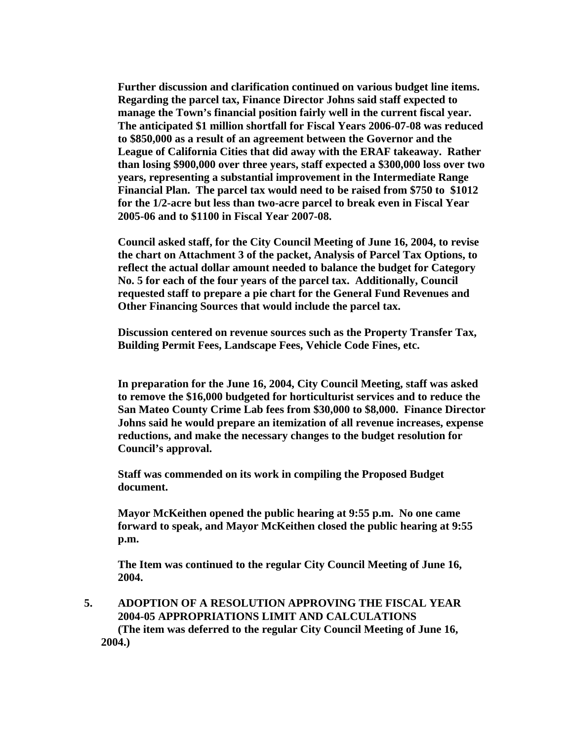**Further discussion and clarification continued on various budget line items. Regarding the parcel tax, Finance Director Johns said staff expected to manage the Town's financial position fairly well in the current fiscal year. The anticipated \$1 million shortfall for Fiscal Years 2006-07-08 was reduced to \$850,000 as a result of an agreement between the Governor and the League of California Cities that did away with the ERAF takeaway. Rather than losing \$900,000 over three years, staff expected a \$300,000 loss over two years, representing a substantial improvement in the Intermediate Range Financial Plan. The parcel tax would need to be raised from \$750 to \$1012 for the 1/2-acre but less than two-acre parcel to break even in Fiscal Year 2005-06 and to \$1100 in Fiscal Year 2007-08.** 

**Council asked staff, for the City Council Meeting of June 16, 2004, to revise the chart on Attachment 3 of the packet, Analysis of Parcel Tax Options, to reflect the actual dollar amount needed to balance the budget for Category No. 5 for each of the four years of the parcel tax. Additionally, Council requested staff to prepare a pie chart for the General Fund Revenues and Other Financing Sources that would include the parcel tax.** 

**Discussion centered on revenue sources such as the Property Transfer Tax, Building Permit Fees, Landscape Fees, Vehicle Code Fines, etc.** 

**In preparation for the June 16, 2004, City Council Meeting, staff was asked to remove the \$16,000 budgeted for horticulturist services and to reduce the San Mateo County Crime Lab fees from \$30,000 to \$8,000. Finance Director Johns said he would prepare an itemization of all revenue increases, expense reductions, and make the necessary changes to the budget resolution for Council's approval.** 

**Staff was commended on its work in compiling the Proposed Budget document.** 

**Mayor McKeithen opened the public hearing at 9:55 p.m. No one came forward to speak, and Mayor McKeithen closed the public hearing at 9:55 p.m.** 

**The Item was continued to the regular City Council Meeting of June 16, 2004.** 

**5. ADOPTION OF A RESOLUTION APPROVING THE FISCAL YEAR 2004-05 APPROPRIATIONS LIMIT AND CALCULATIONS (The item was deferred to the regular City Council Meeting of June 16, 2004.)**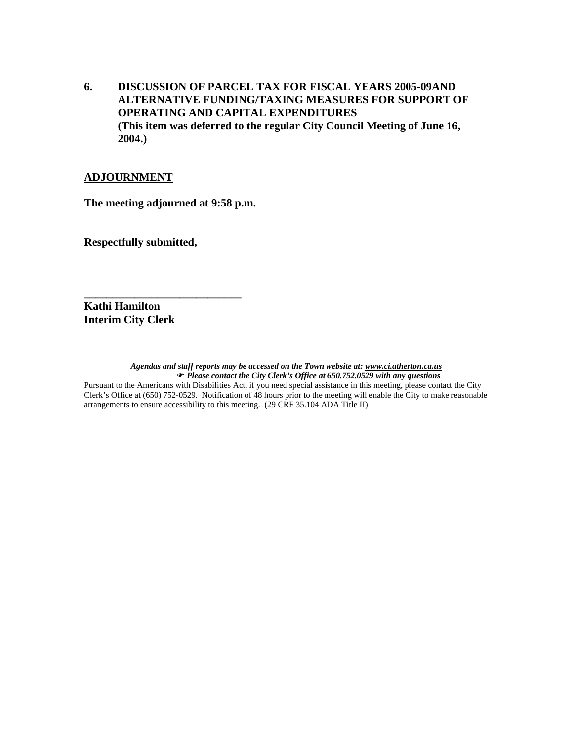**6. DISCUSSION OF PARCEL TAX FOR FISCAL YEARS 2005-09AND ALTERNATIVE FUNDING/TAXING MEASURES FOR SUPPORT OF OPERATING AND CAPITAL EXPENDITURES (This item was deferred to the regular City Council Meeting of June 16, 2004.)** 

#### **ADJOURNMENT**

**The meeting adjourned at 9:58 p.m.** 

**\_\_\_\_\_\_\_\_\_\_\_\_\_\_\_\_\_\_\_\_\_\_\_\_\_\_\_\_** 

**Respectfully submitted,** 

**Kathi Hamilton Interim City Clerk** 

*Agendas and staff reports may be accessed on the Town website at: www.ci.atherton.ca.us* ) *Please contact the City Clerk's Office at 650.752.0529 with any questions*  Pursuant to the Americans with Disabilities Act, if you need special assistance in this meeting, please contact the City Clerk's Office at (650) 752-0529. Notification of 48 hours prior to the meeting will enable the City to make reasonable arrangements to ensure accessibility to this meeting. (29 CRF 35.104 ADA Title II)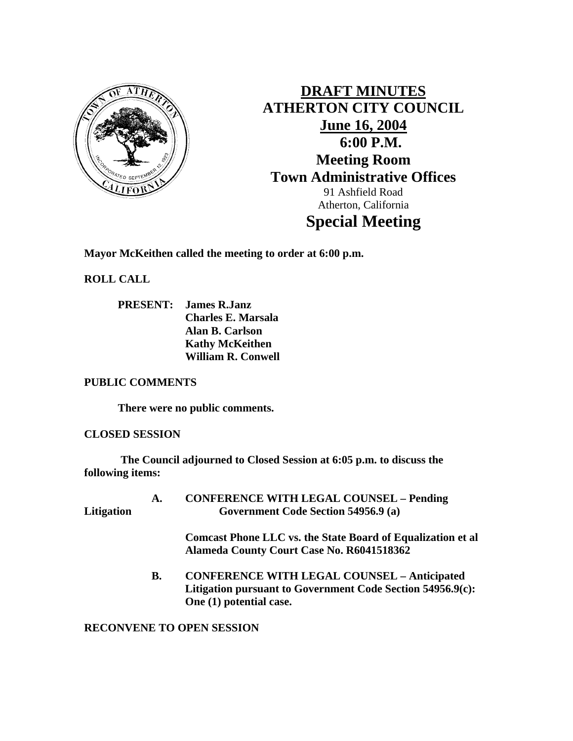

**DRAFT MINUTES ATHERTON CITY COUNCIL June 16, 2004 6:00 P.M. Meeting Room Town Administrative Offices**  91 Ashfield Road Atherton, California **Special Meeting** 

**Mayor McKeithen called the meeting to order at 6:00 p.m.** 

**ROLL CALL** 

 **PRESENT: James R.Janz Charles E. Marsala Alan B. Carlson Kathy McKeithen William R. Conwell** 

### **PUBLIC COMMENTS**

 **There were no public comments.** 

## **CLOSED SESSION**

 **The Council adjourned to Closed Session at 6:05 p.m. to discuss the following items:** 

 **A. CONFERENCE WITH LEGAL COUNSEL – Pending Litigation Government Code Section 54956.9 (a)** 

> **Comcast Phone LLC vs. the State Board of Equalization et al Alameda County Court Case No. R6041518362**

 **B. CONFERENCE WITH LEGAL COUNSEL – Anticipated Litigation pursuant to Government Code Section 54956.9(c): One (1) potential case.** 

## **RECONVENE TO OPEN SESSION**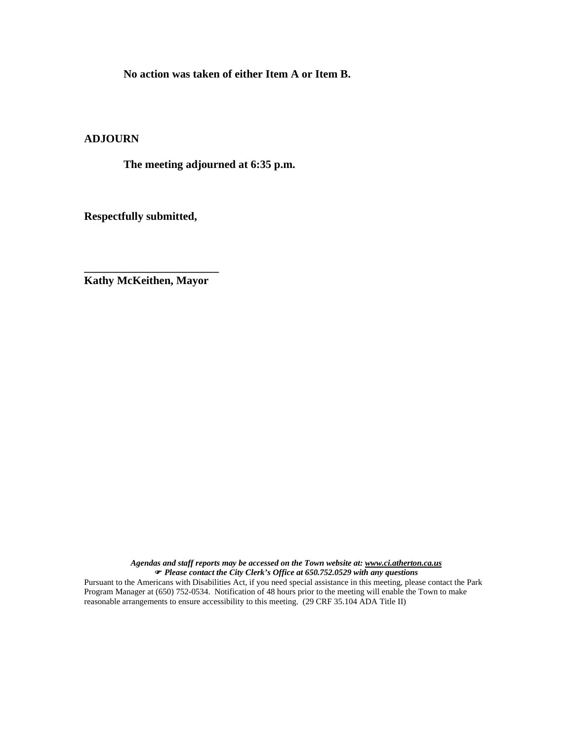**No action was taken of either Item A or Item B.** 

### **ADJOURN**

 **The meeting adjourned at 6:35 p.m.** 

**Respectfully submitted,** 

**\_\_\_\_\_\_\_\_\_\_\_\_\_\_\_\_\_\_\_\_\_\_\_\_ Kathy McKeithen, Mayor** 

> *Agendas and staff reports may be accessed on the Town website at: www.ci.atherton.ca.us* ) *Please contact the City Clerk's Office at 650.752.0529 with any questions*

Pursuant to the Americans with Disabilities Act, if you need special assistance in this meeting, please contact the Park Program Manager at (650) 752-0534. Notification of 48 hours prior to the meeting will enable the Town to make reasonable arrangements to ensure accessibility to this meeting. (29 CRF 35.104 ADA Title II)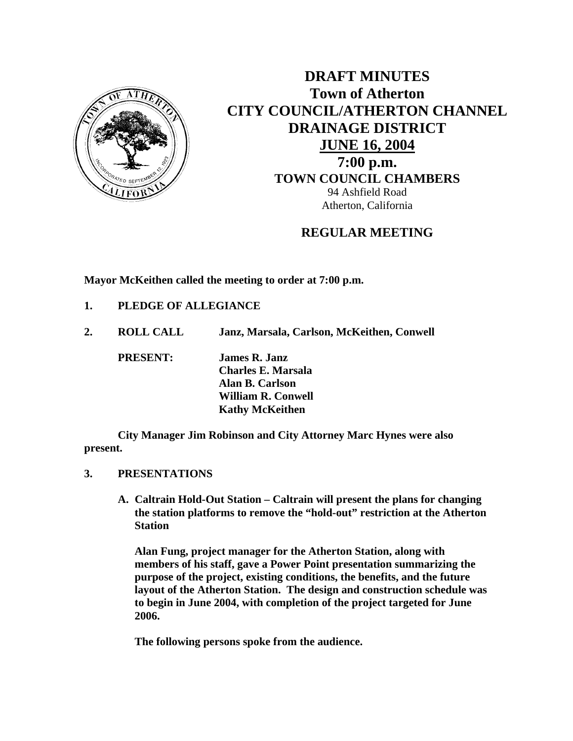

**DRAFT MINUTES Town of Atherton CITY COUNCIL/ATHERTON CHANNEL DRAINAGE DISTRICT JUNE 16, 2004 7:00 p.m. TOWN COUNCIL CHAMBERS** 94 Ashfield Road Atherton, California

# **REGULAR MEETING**

**Mayor McKeithen called the meeting to order at 7:00 p.m.** 

- **1. PLEDGE OF ALLEGIANCE**
- **2. ROLL CALL Janz, Marsala, Carlson, McKeithen, Conwell**

 **PRESENT: James R. Janz Charles E. Marsala Alan B. Carlson William R. Conwell Kathy McKeithen** 

 **City Manager Jim Robinson and City Attorney Marc Hynes were also present.** 

- **3. PRESENTATIONS** 
	- **A. Caltrain Hold-Out Station Caltrain will present the plans for changing the station platforms to remove the "hold-out" restriction at the Atherton Station**

**Alan Fung, project manager for the Atherton Station, along with members of his staff, gave a Power Point presentation summarizing the purpose of the project, existing conditions, the benefits, and the future layout of the Atherton Station. The design and construction schedule was to begin in June 2004, with completion of the project targeted for June 2006.** 

 **The following persons spoke from the audience.**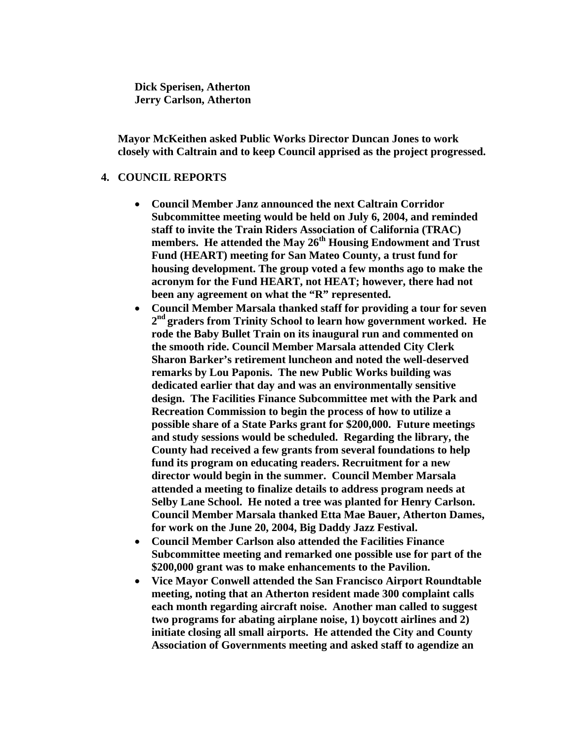**Dick Sperisen, Atherton Jerry Carlson, Atherton** 

**Mayor McKeithen asked Public Works Director Duncan Jones to work closely with Caltrain and to keep Council apprised as the project progressed.** 

#### **4. COUNCIL REPORTS**

- **Council Member Janz announced the next Caltrain Corridor Subcommittee meeting would be held on July 6, 2004, and reminded staff to invite the Train Riders Association of California (TRAC) members. He attended the May 26th Housing Endowment and Trust Fund (HEART) meeting for San Mateo County, a trust fund for housing development. The group voted a few months ago to make the acronym for the Fund HEART, not HEAT; however, there had not been any agreement on what the "R" represented.**
- **Council Member Marsala thanked staff for providing a tour for seven 2nd graders from Trinity School to learn how government worked. He rode the Baby Bullet Train on its inaugural run and commented on the smooth ride. Council Member Marsala attended City Clerk Sharon Barker's retirement luncheon and noted the well-deserved remarks by Lou Paponis. The new Public Works building was dedicated earlier that day and was an environmentally sensitive design. The Facilities Finance Subcommittee met with the Park and Recreation Commission to begin the process of how to utilize a possible share of a State Parks grant for \$200,000. Future meetings and study sessions would be scheduled. Regarding the library, the County had received a few grants from several foundations to help fund its program on educating readers. Recruitment for a new director would begin in the summer. Council Member Marsala attended a meeting to finalize details to address program needs at Selby Lane School. He noted a tree was planted for Henry Carlson. Council Member Marsala thanked Etta Mae Bauer, Atherton Dames, for work on the June 20, 2004, Big Daddy Jazz Festival.**
- **Council Member Carlson also attended the Facilities Finance Subcommittee meeting and remarked one possible use for part of the \$200,000 grant was to make enhancements to the Pavilion.**
- **Vice Mayor Conwell attended the San Francisco Airport Roundtable meeting, noting that an Atherton resident made 300 complaint calls each month regarding aircraft noise. Another man called to suggest two programs for abating airplane noise, 1) boycott airlines and 2) initiate closing all small airports. He attended the City and County Association of Governments meeting and asked staff to agendize an**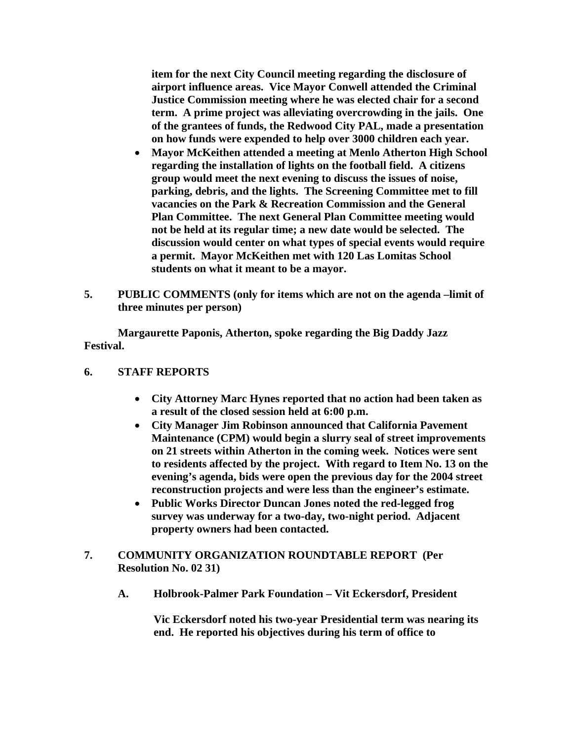**item for the next City Council meeting regarding the disclosure of airport influence areas. Vice Mayor Conwell attended the Criminal Justice Commission meeting where he was elected chair for a second term. A prime project was alleviating overcrowding in the jails. One of the grantees of funds, the Redwood City PAL, made a presentation on how funds were expended to help over 3000 children each year.** 

- **Mayor McKeithen attended a meeting at Menlo Atherton High School regarding the installation of lights on the football field. A citizens group would meet the next evening to discuss the issues of noise, parking, debris, and the lights. The Screening Committee met to fill vacancies on the Park & Recreation Commission and the General Plan Committee. The next General Plan Committee meeting would not be held at its regular time; a new date would be selected. The discussion would center on what types of special events would require a permit. Mayor McKeithen met with 120 Las Lomitas School students on what it meant to be a mayor.**
- **5. PUBLIC COMMENTS (only for items which are not on the agenda –limit of three minutes per person)**

 **Margaurette Paponis, Atherton, spoke regarding the Big Daddy Jazz Festival.** 

## **6. STAFF REPORTS**

- **City Attorney Marc Hynes reported that no action had been taken as a result of the closed session held at 6:00 p.m.**
- **City Manager Jim Robinson announced that California Pavement Maintenance (CPM) would begin a slurry seal of street improvements on 21 streets within Atherton in the coming week. Notices were sent to residents affected by the project. With regard to Item No. 13 on the evening's agenda, bids were open the previous day for the 2004 street reconstruction projects and were less than the engineer's estimate.**
- **Public Works Director Duncan Jones noted the red-legged frog survey was underway for a two-day, two-night period. Adjacent property owners had been contacted.**
- **7. COMMUNITY ORGANIZATION ROUNDTABLE REPORT (Per Resolution No. 02 31)** 
	- **A. Holbrook-Palmer Park Foundation Vit Eckersdorf, President**

**Vic Eckersdorf noted his two-year Presidential term was nearing its end. He reported his objectives during his term of office to**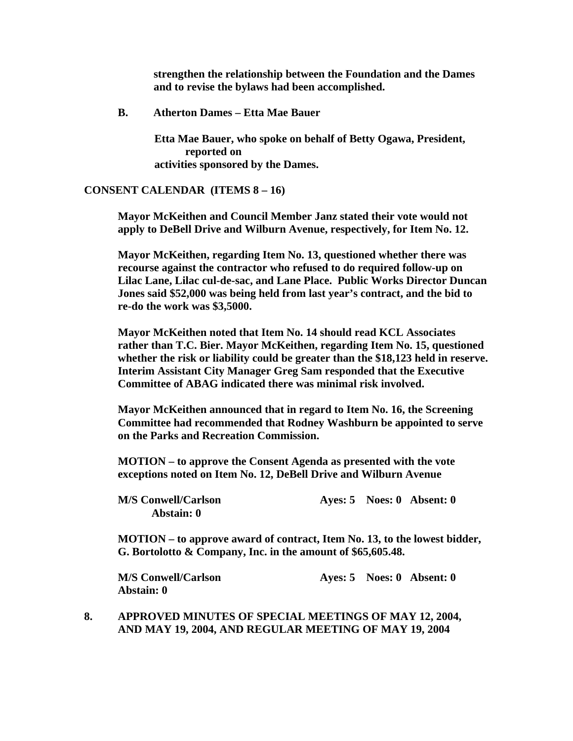**strengthen the relationship between the Foundation and the Dames and to revise the bylaws had been accomplished.** 

 **B. Atherton Dames – Etta Mae Bauer** 

 **Etta Mae Bauer, who spoke on behalf of Betty Ogawa, President, reported on activities sponsored by the Dames.** 

#### **CONSENT CALENDAR (ITEMS 8 – 16)**

**Mayor McKeithen and Council Member Janz stated their vote would not apply to DeBell Drive and Wilburn Avenue, respectively, for Item No. 12.** 

**Mayor McKeithen, regarding Item No. 13, questioned whether there was recourse against the contractor who refused to do required follow-up on Lilac Lane, Lilac cul-de-sac, and Lane Place. Public Works Director Duncan Jones said \$52,000 was being held from last year's contract, and the bid to re-do the work was \$3,5000.** 

**Mayor McKeithen noted that Item No. 14 should read KCL Associates rather than T.C. Bier. Mayor McKeithen, regarding Item No. 15, questioned whether the risk or liability could be greater than the \$18,123 held in reserve. Interim Assistant City Manager Greg Sam responded that the Executive Committee of ABAG indicated there was minimal risk involved.** 

**Mayor McKeithen announced that in regard to Item No. 16, the Screening Committee had recommended that Rodney Washburn be appointed to serve on the Parks and Recreation Commission.** 

**MOTION – to approve the Consent Agenda as presented with the vote exceptions noted on Item No. 12, DeBell Drive and Wilburn Avenue** 

| <b>M/S Conwell/Carlson</b> |  |
|----------------------------|--|
| Abstain: 0                 |  |

**Ayes: 5 Noes: 0 Absent: 0** 

**MOTION – to approve award of contract, Item No. 13, to the lowest bidder, G. Bortolotto & Company, Inc. in the amount of \$65,605.48.** 

**Abstain: 0** 

 **M/S Conwell/Carlson Ayes: 5 Noes: 0 Absent: 0** 

#### **8. APPROVED MINUTES OF SPECIAL MEETINGS OF MAY 12, 2004, AND MAY 19, 2004, AND REGULAR MEETING OF MAY 19, 2004**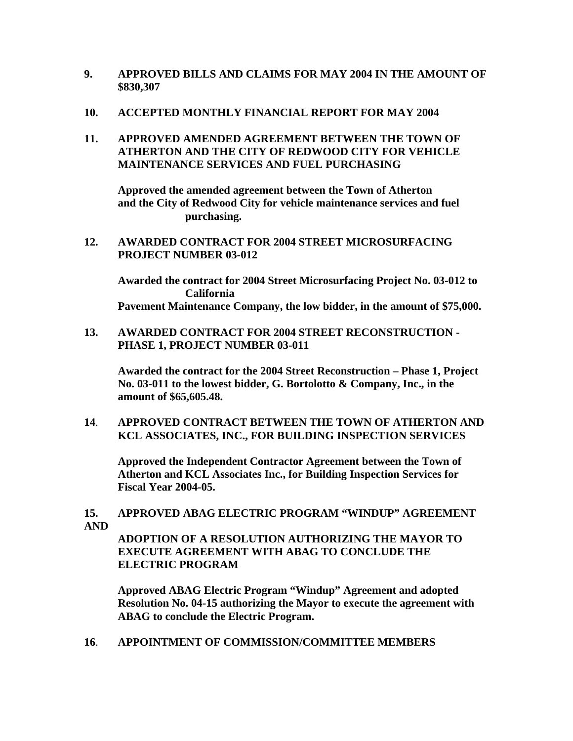**9. APPROVED BILLS AND CLAIMS FOR MAY 2004 IN THE AMOUNT OF \$830,307** 

#### **10. ACCEPTED MONTHLY FINANCIAL REPORT FOR MAY 2004**

## **11. APPROVED AMENDED AGREEMENT BETWEEN THE TOWN OF ATHERTON AND THE CITY OF REDWOOD CITY FOR VEHICLE MAINTENANCE SERVICES AND FUEL PURCHASING**

 **Approved the amended agreement between the Town of Atherton and the City of Redwood City for vehicle maintenance services and fuel purchasing.** 

### **12. AWARDED CONTRACT FOR 2004 STREET MICROSURFACING PROJECT NUMBER 03-012**

 **Awarded the contract for 2004 Street Microsurfacing Project No. 03-012 to California Pavement Maintenance Company, the low bidder, in the amount of \$75,000.** 

### **13. AWARDED CONTRACT FOR 2004 STREET RECONSTRUCTION - PHASE 1, PROJECT NUMBER 03-011**

**Awarded the contract for the 2004 Street Reconstruction – Phase 1, Project No. 03-011 to the lowest bidder, G. Bortolotto & Company, Inc., in the amount of \$65,605.48.** 

## **14**. **APPROVED CONTRACT BETWEEN THE TOWN OF ATHERTON AND KCL ASSOCIATES, INC., FOR BUILDING INSPECTION SERVICES**

**Approved the Independent Contractor Agreement between the Town of Atherton and KCL Associates Inc., for Building Inspection Services for Fiscal Year 2004-05.** 

## **15. APPROVED ABAG ELECTRIC PROGRAM "WINDUP" AGREEMENT AND**

**ADOPTION OF A RESOLUTION AUTHORIZING THE MAYOR TO EXECUTE AGREEMENT WITH ABAG TO CONCLUDE THE ELECTRIC PROGRAM** 

**Approved ABAG Electric Program "Windup" Agreement and adopted Resolution No. 04-15 authorizing the Mayor to execute the agreement with ABAG to conclude the Electric Program.** 

**16**. **APPOINTMENT OF COMMISSION/COMMITTEE MEMBERS**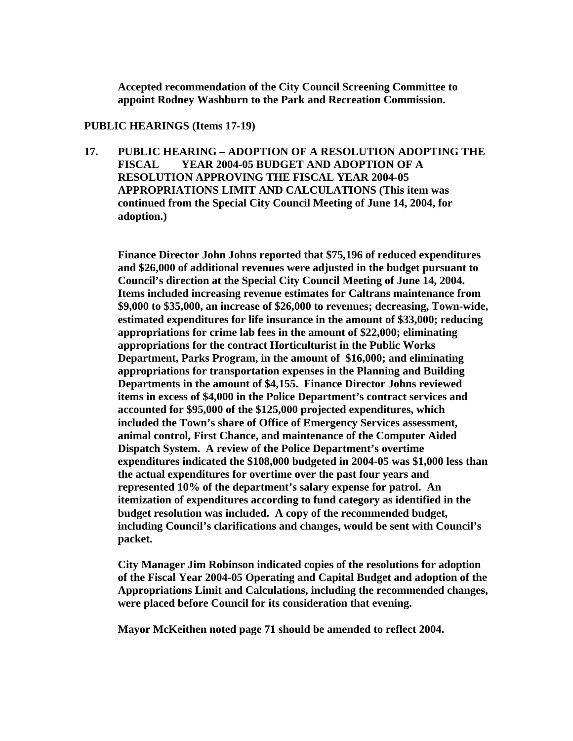**Accepted recommendation of the City Council Screening Committee to appoint Rodney Washburn to the Park and Recreation Commission.** 

#### **PUBLIC HEARINGS (Items 17-19)**

**17. PUBLIC HEARING – ADOPTION OF A RESOLUTION ADOPTING THE FISCAL YEAR 2004-05 BUDGET AND ADOPTION OF A RESOLUTION APPROVING THE FISCAL YEAR 2004-05 APPROPRIATIONS LIMIT AND CALCULATIONS (This item was continued from the Special City Council Meeting of June 14, 2004, for adoption.)** 

**Finance Director John Johns reported that \$75,196 of reduced expenditures and \$26,000 of additional revenues were adjusted in the budget pursuant to Council's direction at the Special City Council Meeting of June 14, 2004. Items included increasing revenue estimates for Caltrans maintenance from \$9,000 to \$35,000, an increase of \$26,000 to revenues; decreasing, Town-wide, estimated expenditures for life insurance in the amount of \$33,000; reducing appropriations for crime lab fees in the amount of \$22,000; eliminating appropriations for the contract Horticulturist in the Public Works Department, Parks Program, in the amount of \$16,000; and eliminating appropriations for transportation expenses in the Planning and Building Departments in the amount of \$4,155. Finance Director Johns reviewed items in excess of \$4,000 in the Police Department's contract services and accounted for \$95,000 of the \$125,000 projected expenditures, which included the Town's share of Office of Emergency Services assessment, animal control, First Chance, and maintenance of the Computer Aided Dispatch System. A review of the Police Department's overtime expenditures indicated the \$108,000 budgeted in 2004-05 was \$1,000 less than the actual expenditures for overtime over the past four years and represented 10% of the department's salary expense for patrol. An itemization of expenditures according to fund category as identified in the budget resolution was included. A copy of the recommended budget, including Council's clarifications and changes, would be sent with Council's packet.** 

**City Manager Jim Robinson indicated copies of the resolutions for adoption of the Fiscal Year 2004-05 Operating and Capital Budget and adoption of the Appropriations Limit and Calculations, including the recommended changes, were placed before Council for its consideration that evening.** 

**Mayor McKeithen noted page 71 should be amended to reflect 2004.**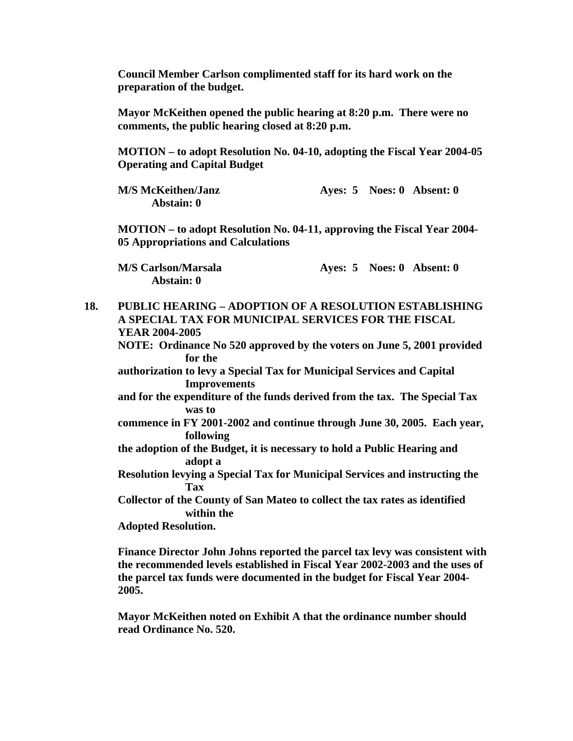**Council Member Carlson complimented staff for its hard work on the preparation of the budget.** 

**Mayor McKeithen opened the public hearing at 8:20 p.m. There were no comments, the public hearing closed at 8:20 p.m.** 

**MOTION – to adopt Resolution No. 04-10, adopting the Fiscal Year 2004-05 Operating and Capital Budget** 

| <b>M/S McKeithen/Janz</b> |  | Ayes: $5$ Noes: 0 Absent: 0 |
|---------------------------|--|-----------------------------|
| Abstain: 0                |  |                             |

**MOTION – to adopt Resolution No. 04-11, approving the Fiscal Year 2004- 05 Appropriations and Calculations** 

**Abstain: 0** 

**M/S Carlson/Marsala Ayes: 5 Noes: 0 Absent: 0** 

**18. PUBLIC HEARING – ADOPTION OF A RESOLUTION ESTABLISHING A SPECIAL TAX FOR MUNICIPAL SERVICES FOR THE FISCAL YEAR 2004-2005 NOTE: Ordinance No 520 approved by the voters on June 5, 2001 provided for the authorization to levy a Special Tax for Municipal Services and Capital Improvements and for the expenditure of the funds derived from the tax. The Special Tax was to commence in FY 2001-2002 and continue through June 30, 2005. Each year, following the adoption of the Budget, it is necessary to hold a Public Hearing and adopt a Resolution levying a Special Tax for Municipal Services and instructing the Tax Collector of the County of San Mateo to collect the tax rates as identified within the Adopted Resolution. Finance Director John Johns reported the parcel tax levy was consistent with the recommended levels established in Fiscal Year 2002-2003 and the uses of** 

**the parcel tax funds were documented in the budget for Fiscal Year 2004- 2005.** 

**Mayor McKeithen noted on Exhibit A that the ordinance number should read Ordinance No. 520.**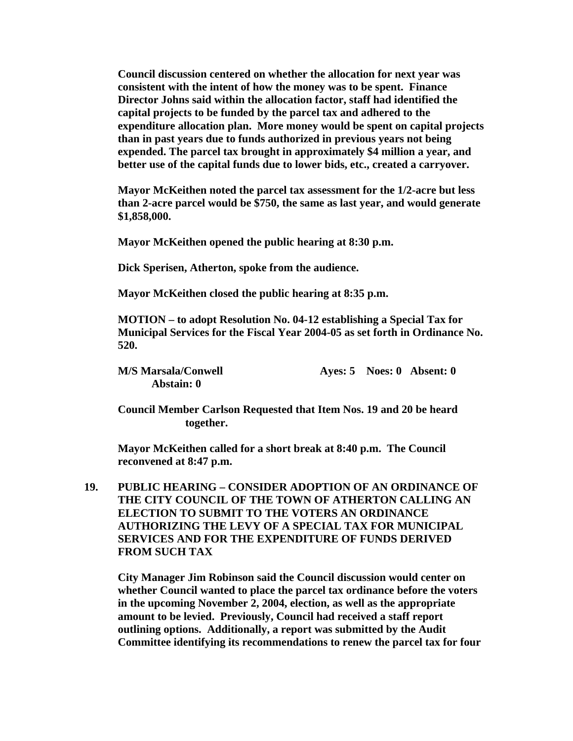**Council discussion centered on whether the allocation for next year was consistent with the intent of how the money was to be spent. Finance Director Johns said within the allocation factor, staff had identified the capital projects to be funded by the parcel tax and adhered to the expenditure allocation plan. More money would be spent on capital projects than in past years due to funds authorized in previous years not being expended. The parcel tax brought in approximately \$4 million a year, and better use of the capital funds due to lower bids, etc., created a carryover.** 

**Mayor McKeithen noted the parcel tax assessment for the 1/2-acre but less than 2-acre parcel would be \$750, the same as last year, and would generate \$1,858,000.** 

**Mayor McKeithen opened the public hearing at 8:30 p.m.** 

**Dick Sperisen, Atherton, spoke from the audience.** 

**Mayor McKeithen closed the public hearing at 8:35 p.m.** 

**MOTION – to adopt Resolution No. 04-12 establishing a Special Tax for Municipal Services for the Fiscal Year 2004-05 as set forth in Ordinance No. 520.** 

**Abstain: 0** 

**M/S Marsala/Conwell 2008 Ayes: 5 Noes: 0 Absent: 0** 

**Council Member Carlson Requested that Item Nos. 19 and 20 be heard together.** 

**Mayor McKeithen called for a short break at 8:40 p.m. The Council reconvened at 8:47 p.m.** 

**19. PUBLIC HEARING – CONSIDER ADOPTION OF AN ORDINANCE OF THE CITY COUNCIL OF THE TOWN OF ATHERTON CALLING AN ELECTION TO SUBMIT TO THE VOTERS AN ORDINANCE AUTHORIZING THE LEVY OF A SPECIAL TAX FOR MUNICIPAL SERVICES AND FOR THE EXPENDITURE OF FUNDS DERIVED FROM SUCH TAX** 

**City Manager Jim Robinson said the Council discussion would center on whether Council wanted to place the parcel tax ordinance before the voters in the upcoming November 2, 2004, election, as well as the appropriate amount to be levied. Previously, Council had received a staff report outlining options. Additionally, a report was submitted by the Audit Committee identifying its recommendations to renew the parcel tax for four**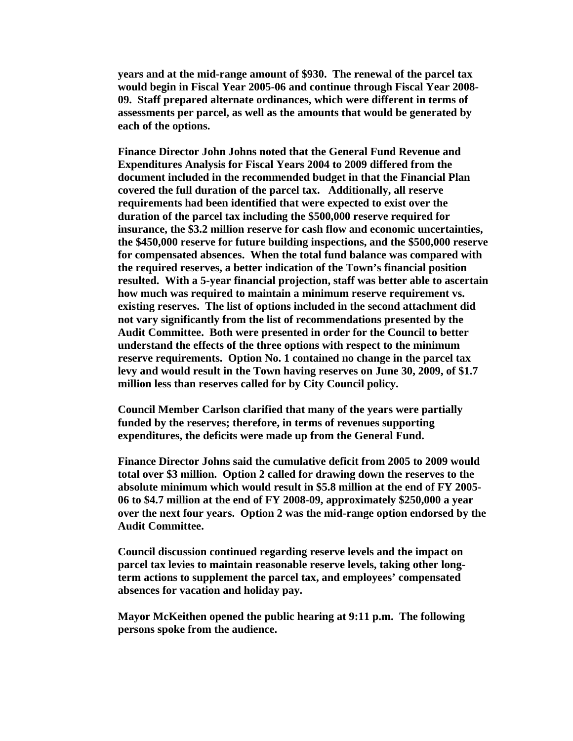**years and at the mid-range amount of \$930. The renewal of the parcel tax would begin in Fiscal Year 2005-06 and continue through Fiscal Year 2008- 09. Staff prepared alternate ordinances, which were different in terms of assessments per parcel, as well as the amounts that would be generated by each of the options.** 

**Finance Director John Johns noted that the General Fund Revenue and Expenditures Analysis for Fiscal Years 2004 to 2009 differed from the document included in the recommended budget in that the Financial Plan covered the full duration of the parcel tax. Additionally, all reserve requirements had been identified that were expected to exist over the duration of the parcel tax including the \$500,000 reserve required for insurance, the \$3.2 million reserve for cash flow and economic uncertainties, the \$450,000 reserve for future building inspections, and the \$500,000 reserve for compensated absences. When the total fund balance was compared with the required reserves, a better indication of the Town's financial position resulted. With a 5-year financial projection, staff was better able to ascertain how much was required to maintain a minimum reserve requirement vs. existing reserves. The list of options included in the second attachment did not vary significantly from the list of recommendations presented by the Audit Committee. Both were presented in order for the Council to better understand the effects of the three options with respect to the minimum reserve requirements. Option No. 1 contained no change in the parcel tax levy and would result in the Town having reserves on June 30, 2009, of \$1.7 million less than reserves called for by City Council policy.** 

**Council Member Carlson clarified that many of the years were partially funded by the reserves; therefore, in terms of revenues supporting expenditures, the deficits were made up from the General Fund.** 

**Finance Director Johns said the cumulative deficit from 2005 to 2009 would total over \$3 million. Option 2 called for drawing down the reserves to the absolute minimum which would result in \$5.8 million at the end of FY 2005- 06 to \$4.7 million at the end of FY 2008-09, approximately \$250,000 a year over the next four years. Option 2 was the mid-range option endorsed by the Audit Committee.** 

**Council discussion continued regarding reserve levels and the impact on parcel tax levies to maintain reasonable reserve levels, taking other longterm actions to supplement the parcel tax, and employees' compensated absences for vacation and holiday pay.** 

**Mayor McKeithen opened the public hearing at 9:11 p.m. The following persons spoke from the audience.**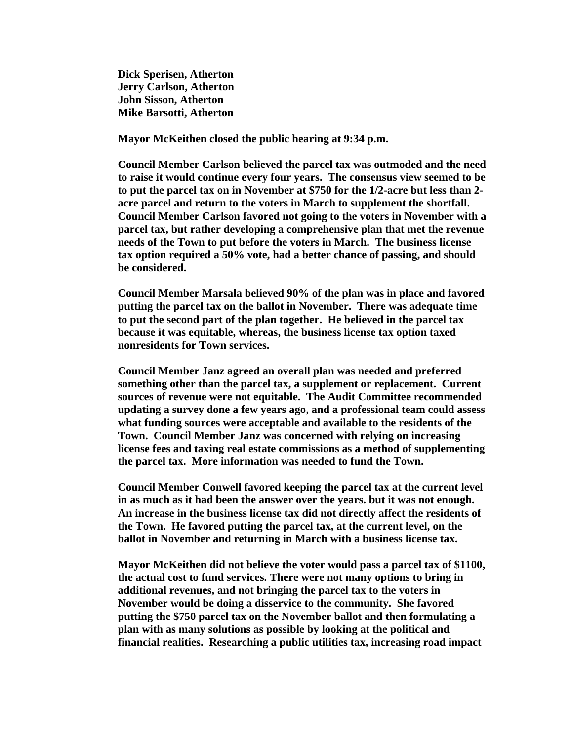**Dick Sperisen, Atherton Jerry Carlson, Atherton John Sisson, Atherton Mike Barsotti, Atherton** 

**Mayor McKeithen closed the public hearing at 9:34 p.m.** 

**Council Member Carlson believed the parcel tax was outmoded and the need to raise it would continue every four years. The consensus view seemed to be to put the parcel tax on in November at \$750 for the 1/2-acre but less than 2 acre parcel and return to the voters in March to supplement the shortfall. Council Member Carlson favored not going to the voters in November with a parcel tax, but rather developing a comprehensive plan that met the revenue needs of the Town to put before the voters in March. The business license tax option required a 50% vote, had a better chance of passing, and should be considered.** 

**Council Member Marsala believed 90% of the plan was in place and favored putting the parcel tax on the ballot in November. There was adequate time to put the second part of the plan together. He believed in the parcel tax because it was equitable, whereas, the business license tax option taxed nonresidents for Town services.** 

**Council Member Janz agreed an overall plan was needed and preferred something other than the parcel tax, a supplement or replacement. Current sources of revenue were not equitable. The Audit Committee recommended updating a survey done a few years ago, and a professional team could assess what funding sources were acceptable and available to the residents of the Town. Council Member Janz was concerned with relying on increasing license fees and taxing real estate commissions as a method of supplementing the parcel tax. More information was needed to fund the Town.** 

**Council Member Conwell favored keeping the parcel tax at the current level in as much as it had been the answer over the years. but it was not enough. An increase in the business license tax did not directly affect the residents of the Town. He favored putting the parcel tax, at the current level, on the ballot in November and returning in March with a business license tax.** 

**Mayor McKeithen did not believe the voter would pass a parcel tax of \$1100, the actual cost to fund services. There were not many options to bring in additional revenues, and not bringing the parcel tax to the voters in November would be doing a disservice to the community. She favored putting the \$750 parcel tax on the November ballot and then formulating a plan with as many solutions as possible by looking at the political and financial realities. Researching a public utilities tax, increasing road impact**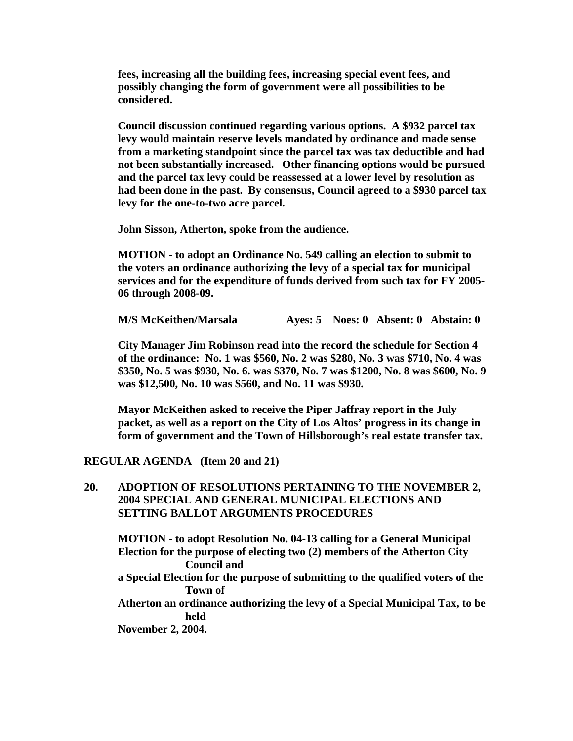**fees, increasing all the building fees, increasing special event fees, and possibly changing the form of government were all possibilities to be considered.** 

**Council discussion continued regarding various options. A \$932 parcel tax levy would maintain reserve levels mandated by ordinance and made sense from a marketing standpoint since the parcel tax was tax deductible and had not been substantially increased. Other financing options would be pursued and the parcel tax levy could be reassessed at a lower level by resolution as had been done in the past. By consensus, Council agreed to a \$930 parcel tax levy for the one-to-two acre parcel.** 

 **John Sisson, Atherton, spoke from the audience.** 

**MOTION - to adopt an Ordinance No. 549 calling an election to submit to the voters an ordinance authorizing the levy of a special tax for municipal services and for the expenditure of funds derived from such tax for FY 2005- 06 through 2008-09.** 

**M/S McKeithen/Marsala Ayes: 5 Noes: 0 Absent: 0 Abstain: 0** 

**City Manager Jim Robinson read into the record the schedule for Section 4 of the ordinance: No. 1 was \$560, No. 2 was \$280, No. 3 was \$710, No. 4 was \$350, No. 5 was \$930, No. 6. was \$370, No. 7 was \$1200, No. 8 was \$600, No. 9 was \$12,500, No. 10 was \$560, and No. 11 was \$930.** 

**Mayor McKeithen asked to receive the Piper Jaffray report in the July packet, as well as a report on the City of Los Altos' progress in its change in form of government and the Town of Hillsborough's real estate transfer tax.** 

**REGULAR AGENDA (Item 20 and 21)** 

#### **20. ADOPTION OF RESOLUTIONS PERTAINING TO THE NOVEMBER 2, 2004 SPECIAL AND GENERAL MUNICIPAL ELECTIONS AND SETTING BALLOT ARGUMENTS PROCEDURES**

**MOTION - to adopt Resolution No. 04-13 calling for a General Municipal Election for the purpose of electing two (2) members of the Atherton City Council and** 

**a Special Election for the purpose of submitting to the qualified voters of the Town of** 

**Atherton an ordinance authorizing the levy of a Special Municipal Tax, to be held** 

**November 2, 2004.**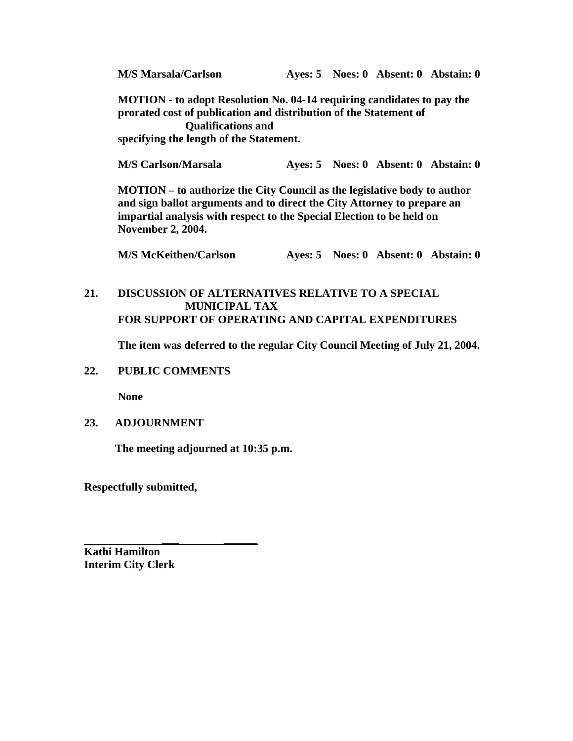**M/S Marsala/Carlson Ayes: 5 Noes: 0 Absent: 0 Abstain: 0** 

**MOTION - to adopt Resolution No. 04-14 requiring candidates to pay the prorated cost of publication and distribution of the Statement of Qualifications and specifying the length of the Statement.** 

**M/S Carlson/Marsala Ayes: 5 Noes: 0 Absent: 0 Abstain: 0** 

**MOTION – to authorize the City Council as the legislative body to author and sign ballot arguments and to direct the City Attorney to prepare an impartial analysis with respect to the Special Election to be held on November 2, 2004.** 

 **M/S McKeithen/Carlson Ayes: 5 Noes: 0 Absent: 0 Abstain: 0** 

**21. DISCUSSION OF ALTERNATIVES RELATIVE TO A SPECIAL MUNICIPAL TAX FOR SUPPORT OF OPERATING AND CAPITAL EXPENDITURES** 

 **The item was deferred to the regular City Council Meeting of July 21, 2004.** 

**22. PUBLIC COMMENTS** 

 **None** 

## **23. ADJOURNMENT**

 **The meeting adjourned at 10:35 p.m.** 

**Respectfully submitted,** 

 *\_\_\_ \_\_\_\_\_\_*

**Kathi Hamilton Interim City Clerk**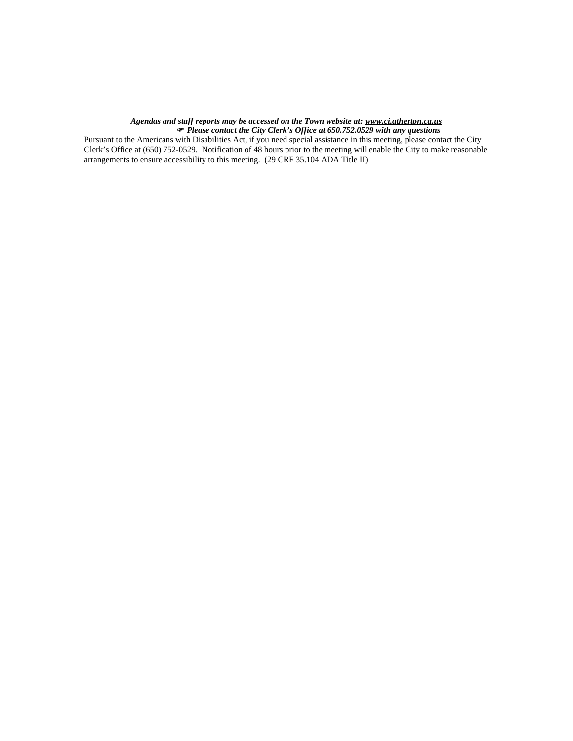#### *Agendas and staff reports may be accessed on the Town website at: www.ci.atherton.ca.us*

) *Please contact the City Clerk's Office at 650.752.0529 with any questions* 

Pursuant to the Americans with Disabilities Act, if you need special assistance in this meeting, please contact the City Clerk's Office at (650) 752-0529. Notification of 48 hours prior to the meeting will enable the City to make reasonable arrangements to ensure accessibility to this meeting. (29 CRF 35.104 ADA Title II)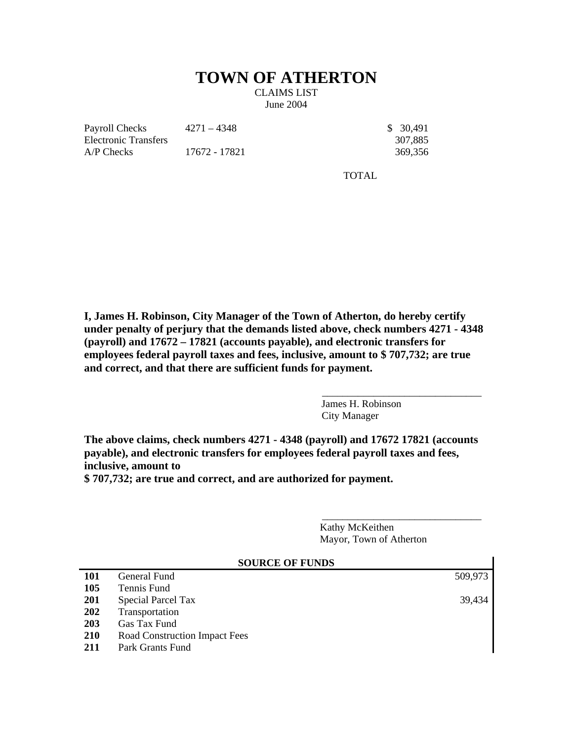# **TOWN OF ATHERTON**

CLAIMS LIST June 2004

Payroll Checks Electronic Transfers A/P Checks 17672 - 17821 369,356

 $4271 - 4348$  \$ 30,491

307,885

TOTAL

**I, James H. Robinson, City Manager of the Town of Atherton, do hereby certify under penalty of perjury that the demands listed above, check numbers 4271 - 4348 (payroll) and 17672 – 17821 (accounts payable), and electronic transfers for employees federal payroll taxes and fees, inclusive, amount to \$ 707,732; are true and correct, and that there are sufficient funds for payment.** 

> James H. Robinson City Manager

\_\_\_\_\_\_\_\_\_\_\_\_\_\_\_\_\_\_\_\_\_\_\_\_\_\_\_\_\_\_\_

\_\_\_\_\_\_\_\_\_\_\_\_\_\_\_\_\_\_\_\_\_\_\_\_\_\_\_\_\_\_\_

**The above claims, check numbers 4271 - 4348 (payroll) and 17672 17821 (accounts payable), and electronic transfers for employees federal payroll taxes and fees, inclusive, amount to \$ 707,732; are true and correct, and are authorized for payment.** 

> Kathy McKeithen Mayor, Town of Atherton

|            | <b>SOURCE OF FUNDS</b>        |         |  |  |  |  |
|------------|-------------------------------|---------|--|--|--|--|
| <b>101</b> | General Fund                  | 509,973 |  |  |  |  |
| 105        | Tennis Fund                   |         |  |  |  |  |
| 201        | <b>Special Parcel Tax</b>     | 39,434  |  |  |  |  |
| 202        | Transportation                |         |  |  |  |  |
| 203        | Gas Tax Fund                  |         |  |  |  |  |
| 210        | Road Construction Impact Fees |         |  |  |  |  |
| 211        | Park Grants Fund              |         |  |  |  |  |
|            |                               |         |  |  |  |  |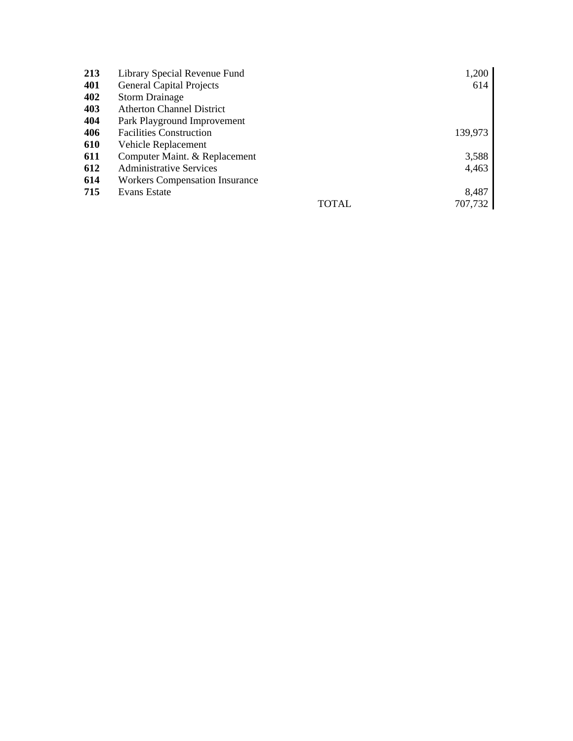| 213 | Library Special Revenue Fund          |       | 1,200   |
|-----|---------------------------------------|-------|---------|
| 401 | <b>General Capital Projects</b>       |       | 614     |
| 402 | <b>Storm Drainage</b>                 |       |         |
| 403 | <b>Atherton Channel District</b>      |       |         |
| 404 | Park Playground Improvement           |       |         |
| 406 | <b>Facilities Construction</b>        |       | 139,973 |
| 610 | Vehicle Replacement                   |       |         |
| 611 | Computer Maint. & Replacement         |       | 3,588   |
| 612 | <b>Administrative Services</b>        |       | 4,463   |
| 614 | <b>Workers Compensation Insurance</b> |       |         |
| 715 | Evans Estate                          |       | 8,487   |
|     |                                       | TOTAL | 707,732 |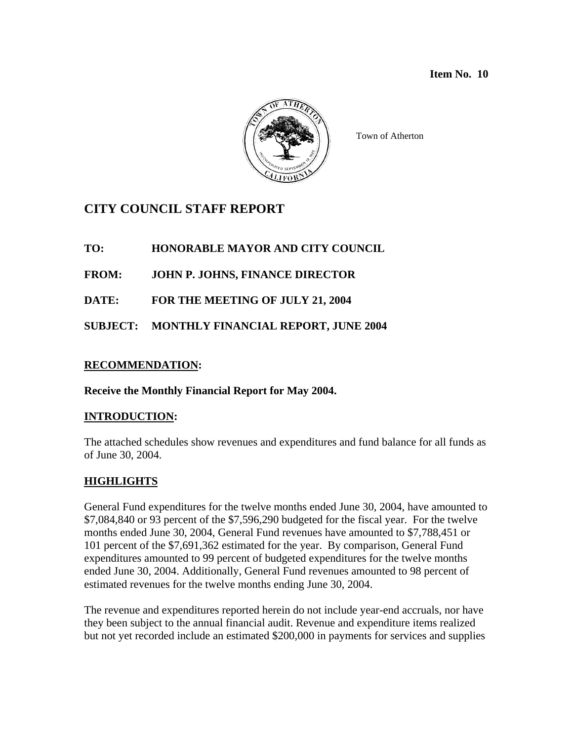#### **Item No. 10**



Town of Atherton

# **CITY COUNCIL STAFF REPORT**

**TO: HONORABLE MAYOR AND CITY COUNCIL** 

**FROM: JOHN P. JOHNS, FINANCE DIRECTOR** 

**DATE: FOR THE MEETING OF JULY 21, 2004** 

**SUBJECT: MONTHLY FINANCIAL REPORT, JUNE 2004** 

## **RECOMMENDATION:**

## **Receive the Monthly Financial Report for May 2004.**

## **INTRODUCTION:**

The attached schedules show revenues and expenditures and fund balance for all funds as of June 30, 2004.

## **HIGHLIGHTS**

General Fund expenditures for the twelve months ended June 30, 2004, have amounted to \$7,084,840 or 93 percent of the \$7,596,290 budgeted for the fiscal year. For the twelve months ended June 30, 2004, General Fund revenues have amounted to \$7,788,451 or 101 percent of the \$7,691,362 estimated for the year. By comparison, General Fund expenditures amounted to 99 percent of budgeted expenditures for the twelve months ended June 30, 2004. Additionally, General Fund revenues amounted to 98 percent of estimated revenues for the twelve months ending June 30, 2004.

The revenue and expenditures reported herein do not include year-end accruals, nor have they been subject to the annual financial audit. Revenue and expenditure items realized but not yet recorded include an estimated \$200,000 in payments for services and supplies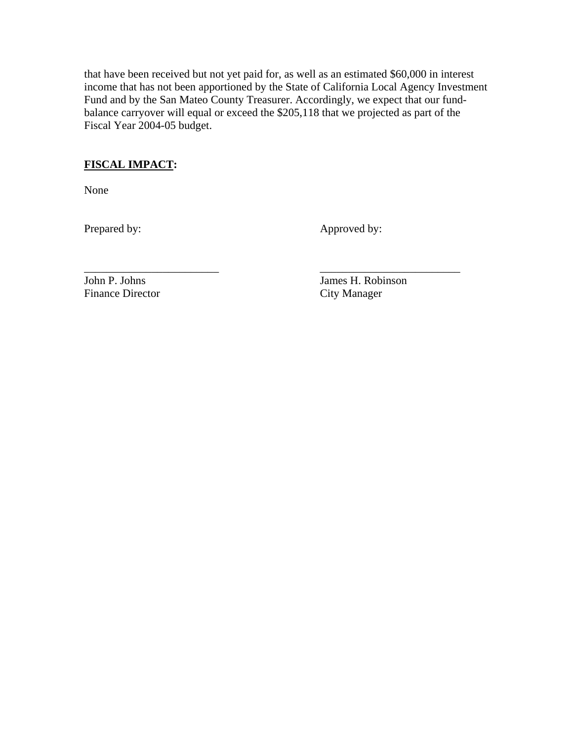that have been received but not yet paid for, as well as an estimated \$60,000 in interest income that has not been apportioned by the State of California Local Agency Investment Fund and by the San Mateo County Treasurer. Accordingly, we expect that our fundbalance carryover will equal or exceed the \$205,118 that we projected as part of the Fiscal Year 2004-05 budget.

## **FISCAL IMPACT:**

None

Prepared by: Approved by:

Finance Director City Manager

\_\_\_\_\_\_\_\_\_\_\_\_\_\_\_\_\_\_\_\_\_\_\_\_ \_\_\_\_\_\_\_\_\_\_\_\_\_\_\_\_\_\_\_\_\_\_\_\_\_ John P. Johns James H. Robinson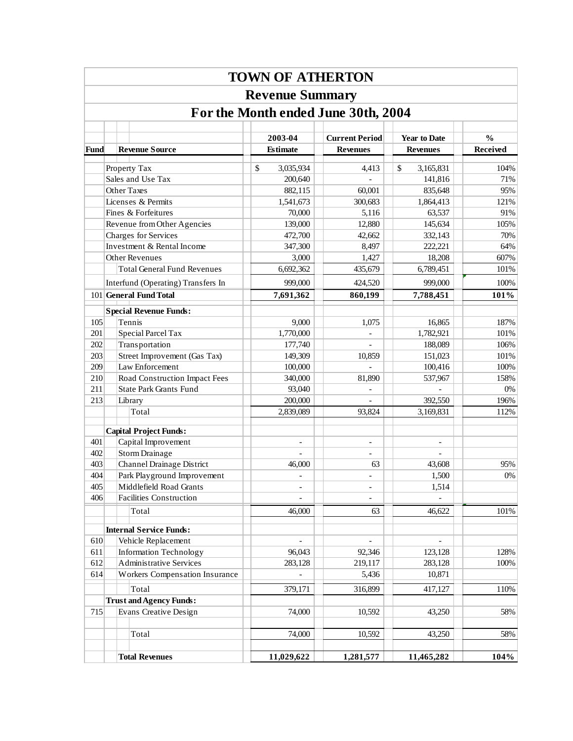|      |                                     |                                    | <b>TOWN OF ATHERTON</b>    |                                          |                                        |                                  |  |  |  |  |  |  |
|------|-------------------------------------|------------------------------------|----------------------------|------------------------------------------|----------------------------------------|----------------------------------|--|--|--|--|--|--|
|      |                                     |                                    | <b>Revenue Summary</b>     |                                          |                                        |                                  |  |  |  |  |  |  |
|      | For the Month ended June 30th, 2004 |                                    |                            |                                          |                                        |                                  |  |  |  |  |  |  |
|      |                                     |                                    |                            |                                          |                                        |                                  |  |  |  |  |  |  |
| Fund |                                     | <b>Revenue Source</b>              | 2003-04<br><b>Estimate</b> | <b>Current Period</b><br><b>Revenues</b> | <b>Year to Date</b><br><b>Revenues</b> | $\frac{0}{0}$<br><b>Received</b> |  |  |  |  |  |  |
|      |                                     |                                    |                            |                                          |                                        |                                  |  |  |  |  |  |  |
|      |                                     | Property Tax<br>Sales and Use Tax  | \$<br>3,035,934<br>200,640 | 4,413                                    | \$<br>3,165,831<br>141,816             | 104%<br>71%                      |  |  |  |  |  |  |
|      |                                     | Other Taxes                        | 882,115                    | 60,001                                   | 835,648                                | 95%                              |  |  |  |  |  |  |
|      |                                     | Licenses & Permits                 | 1,541,673                  | 300,683                                  | 1,864,413                              | 121%                             |  |  |  |  |  |  |
|      |                                     | Fines & Forfeitures                | 70,000                     | 5,116                                    | 63,537                                 | 91%                              |  |  |  |  |  |  |
|      |                                     | Revenue from Other Agencies        | 139,000                    | 12,880                                   | 145,634                                | 105%                             |  |  |  |  |  |  |
|      |                                     | Charges for Services               | 472,700                    | 42,662                                   | 332,143                                | 70%                              |  |  |  |  |  |  |
|      |                                     | Investment & Rental Income         | 347,300                    | 8,497                                    | 222,221                                | 64%                              |  |  |  |  |  |  |
|      |                                     | Other Revenues                     | 3,000                      | 1,427                                    | 18,208                                 | 607%                             |  |  |  |  |  |  |
|      |                                     | <b>Total General Fund Revenues</b> | 6,692,362                  | 435,679                                  | 6,789,451                              | 101%                             |  |  |  |  |  |  |
|      |                                     | Interfund (Operating) Transfers In | 999,000                    | 424,520                                  | 999,000                                | 100%                             |  |  |  |  |  |  |
|      |                                     | 101 General Fund Total             | 7,691,362                  | 860,199                                  | 7,788,451                              | 101%                             |  |  |  |  |  |  |
|      |                                     | <b>Special Revenue Funds:</b>      |                            |                                          |                                        |                                  |  |  |  |  |  |  |
| 105  |                                     | Tennis                             | 9,000                      | 1,075                                    | 16,865                                 | 187%                             |  |  |  |  |  |  |
| 201  |                                     | Special Parcel Tax                 | 1,770,000                  | $\overline{a}$                           | 1,782,921                              | 101%                             |  |  |  |  |  |  |
| 202  |                                     | Transportation                     | 177,740                    |                                          | 188,089                                | 106%                             |  |  |  |  |  |  |
| 203  |                                     | Street Improvement (Gas Tax)       | 149,309                    | 10,859                                   | 151,023                                | 101%                             |  |  |  |  |  |  |
| 209  |                                     | Law Enforcement                    | 100,000                    |                                          | 100,416                                | 100%                             |  |  |  |  |  |  |
| 210  |                                     | Road Construction Impact Fees      | 340,000                    | 81,890                                   | 537,967                                | 158%                             |  |  |  |  |  |  |
| 211  |                                     | <b>State Park Grants Fund</b>      | 93,040                     | $\overline{\phantom{0}}$                 |                                        | $0\%$                            |  |  |  |  |  |  |
| 213  |                                     | Library                            | 200,000                    | $\overline{\phantom{a}}$                 | 392,550                                | 196%                             |  |  |  |  |  |  |
|      |                                     | Total                              | 2,839,089                  | 93,824                                   | 3,169,831                              | 112%                             |  |  |  |  |  |  |
|      |                                     | <b>Capital Project Funds:</b>      |                            |                                          |                                        |                                  |  |  |  |  |  |  |
| 401  |                                     | Capital Improvement                |                            | $\overline{\phantom{0}}$                 |                                        |                                  |  |  |  |  |  |  |
| 402  |                                     | <b>Storm Drainage</b>              |                            |                                          |                                        |                                  |  |  |  |  |  |  |
| 403  |                                     | Channel Drainage District          | 46,000                     | 63                                       | 43,608                                 | 95%                              |  |  |  |  |  |  |
| 404  |                                     | Park Playground Improvement        |                            |                                          | 1,500                                  | $0\%$                            |  |  |  |  |  |  |
| 405  |                                     | Middlefield Road Grants            |                            |                                          | 1,514                                  |                                  |  |  |  |  |  |  |
| 406  |                                     | Facilities Construction            |                            |                                          |                                        |                                  |  |  |  |  |  |  |
|      |                                     | Total                              | 46,000                     | 63                                       | 46,622                                 | 101%                             |  |  |  |  |  |  |
|      |                                     |                                    |                            |                                          |                                        |                                  |  |  |  |  |  |  |
|      |                                     | <b>Internal Service Funds:</b>     |                            |                                          |                                        |                                  |  |  |  |  |  |  |
| 610  |                                     | Vehicle Replacement                | $\overline{\phantom{0}}$   | $\overline{\phantom{0}}$                 | $\overline{\phantom{0}}$               |                                  |  |  |  |  |  |  |
| 611  |                                     | <b>Information Technology</b>      | 96,043                     | 92,346                                   | 123,128                                | 128%                             |  |  |  |  |  |  |
| 612  |                                     | <b>Administrative Services</b>     | 283,128                    | 219,117                                  | 283,128                                | 100%                             |  |  |  |  |  |  |
| 614  |                                     | Workers Compensation Insurance     |                            | 5,436                                    | 10,871                                 |                                  |  |  |  |  |  |  |
|      |                                     | Total                              | 379,171                    | 316,899                                  | 417,127                                | 110%                             |  |  |  |  |  |  |
|      |                                     | <b>Trust and Agency Funds:</b>     |                            |                                          |                                        |                                  |  |  |  |  |  |  |
| 715  |                                     | <b>Evans Creative Design</b>       | 74,000                     | 10,592                                   | 43,250                                 | 58%                              |  |  |  |  |  |  |
|      |                                     |                                    |                            |                                          |                                        |                                  |  |  |  |  |  |  |
|      |                                     | Total                              | 74,000                     | 10,592                                   | 43,250                                 | 58%                              |  |  |  |  |  |  |
|      |                                     | <b>Total Revenues</b>              | 11,029,622                 | 1,281,577                                | 11,465,282                             | 104%                             |  |  |  |  |  |  |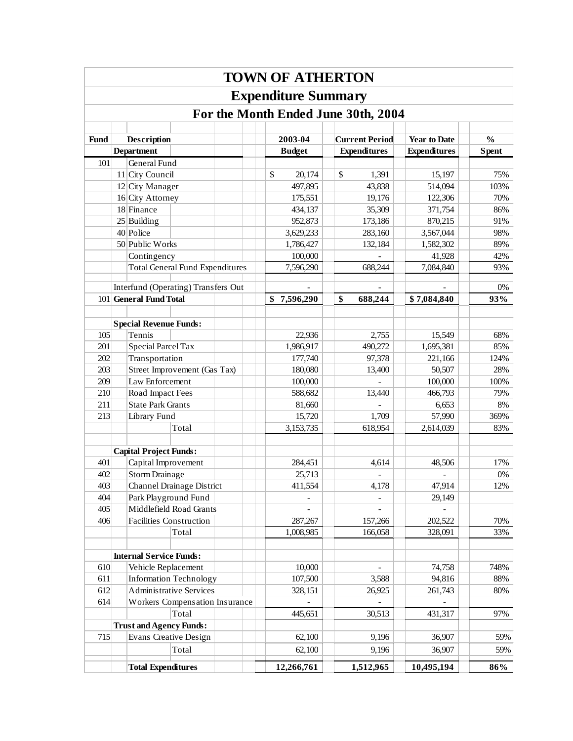|             |                                        | <b>TOWN OF ATHERTON</b>    |                                     |                     |               |
|-------------|----------------------------------------|----------------------------|-------------------------------------|---------------------|---------------|
|             |                                        | <b>Expenditure Summary</b> |                                     |                     |               |
|             |                                        |                            | For the Month Ended June 30th, 2004 |                     |               |
|             |                                        |                            |                                     |                     |               |
| <b>Fund</b> | Description                            | 2003-04                    | <b>Current Period</b>               | <b>Year to Date</b> | $\frac{0}{0}$ |
|             | <b>Department</b>                      | <b>Budget</b>              | <b>Expenditures</b>                 | <b>Expenditures</b> | <b>Spent</b>  |
| 101         | General Fund                           |                            |                                     |                     |               |
|             | 11 City Council                        | \$<br>20,174               | \$<br>1,391                         | 15,197              | 75%           |
|             | 12 City Manager                        | 497,895                    | 43,838                              | 514,094             | 103%          |
|             | 16 City Attorney                       | 175,551                    | 19,176                              | 122,306             | 70%           |
|             | 18 Finance                             | 434,137                    | 35,309                              | 371,754             | 86%           |
|             | $25$ Building                          | 952,873                    | 173,186                             | 870,215             | 91%           |
|             | 40 Police                              | 3,629,233                  | 283,160                             | 3,567,044           | 98%           |
|             | 50 Public Works                        | 1,786,427                  | 132,184                             | 1,582,302           | 89%           |
|             | Contingency                            | 100,000                    |                                     | 41,928              | 42%           |
|             | <b>Total General Fund Expenditures</b> | 7,596,290                  | 688,244                             | 7,084,840           | 93%           |
|             | Interfund (Operating) Transfers Out    |                            |                                     |                     | 0%            |
|             | 101 General Fund Total                 | \$7,596,290                | \$<br>688,244                       | \$7,084,840         | 93%           |
|             |                                        |                            |                                     |                     |               |
|             | <b>Special Revenue Funds:</b>          |                            |                                     |                     |               |
| 105         | Tennis                                 | 22,936                     | 2,755                               | 15,549              | 68%           |
| 201         | Special Parcel Tax                     | 1,986,917                  | 490,272                             | 1,695,381           | 85%           |
| 202         | Transportation                         | 177,740                    | 97,378                              | 221,166             | 124%          |
| 203         | Street Improvement (Gas Tax)           | 180,080                    | 13,400                              | 50,507              | 28%           |
| 209         | Law Enforcement                        | 100,000                    |                                     | 100,000             | 100%          |
| 210         | Road Impact Fees                       | 588,682                    | 13,440                              | 466,793             | 79%           |
| 211         | <b>State Park Grants</b>               | 81,660                     |                                     | 6,653               | 8%            |
| 213         | Library Fund                           | 15,720                     | 1,709                               | 57,990              | 369%          |
|             | Total                                  | 3,153,735                  | 618,954                             | 2,614,039           | 83%           |
|             |                                        |                            |                                     |                     |               |
|             | <b>Capital Project Funds:</b>          |                            |                                     |                     |               |
| 401         | Capital Improvement                    | 284,451                    | 4,614                               | 48,506              | 17%           |
| 402         | Storm Drainage                         | 25,713                     |                                     |                     | $0\%$         |
| 403         | Channel Drainage District              | 411,554                    | 4,178                               | 47,914              | 12%           |
| 404         | Park Playground Fund                   |                            |                                     | 29,149              |               |
| 405         | Middlefield Road Grants                |                            |                                     |                     |               |
| 406         | <b>Facilities Construction</b>         | 287,267                    | 157,266                             | 202,522             | 70%           |
|             | Total                                  | 1,008,985                  | 166,058                             | 328,091             | 33%           |
|             |                                        |                            |                                     |                     |               |
|             | <b>Internal Service Funds:</b>         |                            |                                     |                     |               |
| 610         | Vehicle Replacement                    | 10,000                     |                                     | 74,758              | 748%          |
| 611         | <b>Information Technology</b>          | 107,500                    | 3,588                               | 94,816              | 88%           |
| 612         | <b>Administrative Services</b>         | 328,151                    | 26,925                              | 261,743             | 80%           |
| 614         | Workers Compensation Insurance         |                            |                                     |                     |               |
|             | Total                                  | 445,651                    | 30,513                              | 431,317             | 97%           |
|             | <b>Trust and Agency Funds:</b>         |                            |                                     |                     |               |
| 715         | Evans Creative Design                  | 62,100                     | 9,196                               | 36,907              | 59%           |
|             | Total                                  | 62,100                     | 9,196                               | 36,907              | 59%           |
|             | <b>Total Expenditures</b>              | 12,266,761                 | 1,512,965                           | 10,495,194          | 86%           |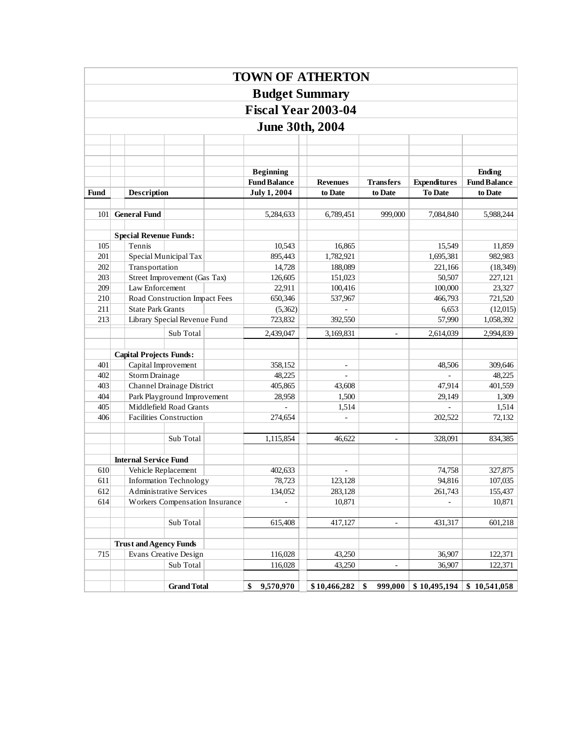|             |                                         |                                                           |                                |                    |                                         | <b>TOWN OF ATHERTON</b>    |                          |                     |                               |
|-------------|-----------------------------------------|-----------------------------------------------------------|--------------------------------|--------------------|-----------------------------------------|----------------------------|--------------------------|---------------------|-------------------------------|
|             |                                         |                                                           |                                |                    | <b>Budget Summary</b>                   |                            |                          |                     |                               |
|             |                                         |                                                           |                                |                    |                                         | <b>Fiscal Year 2003-04</b> |                          |                     |                               |
|             |                                         |                                                           |                                |                    | <b>June 30th, 2004</b>                  |                            |                          |                     |                               |
|             |                                         |                                                           |                                |                    |                                         |                            |                          |                     |                               |
|             |                                         |                                                           |                                |                    |                                         |                            |                          |                     |                               |
|             |                                         |                                                           |                                |                    |                                         |                            |                          |                     |                               |
|             |                                         |                                                           |                                |                    | <b>Beginning</b><br><b>Fund Balance</b> | <b>Revenues</b>            | <b>Transfers</b>         | <b>Expenditures</b> | Ending<br><b>Fund Balance</b> |
| <b>Fund</b> | Description                             |                                                           |                                |                    | <b>July 1, 2004</b>                     | to Date                    | to Date                  | <b>To Date</b>      | to Date                       |
|             |                                         |                                                           |                                |                    |                                         |                            |                          |                     |                               |
| 101         | <b>General Fund</b>                     |                                                           |                                |                    | 5,284,633                               | 6,789,451                  | 999,000                  | 7,084,840           | 5,988,244                     |
|             |                                         |                                                           |                                |                    |                                         |                            |                          |                     |                               |
| 105         | <b>Special Revenue Funds:</b><br>Tennis |                                                           |                                |                    | 10,543                                  | 16,865                     |                          | 15,549              | 11,859                        |
| 201         |                                         |                                                           | Special Municipal Tax          |                    | 895,443                                 | 1,782,921                  |                          | 1,695,381           | 982,983                       |
| 202         | Transportation                          |                                                           |                                |                    | 14,728                                  | 188,089                    |                          | 221,166             | (18, 349)                     |
| 203         |                                         |                                                           | Street Improvement (Gas Tax)   |                    | 126,605                                 | 151,023                    |                          | 50,507              | 227,121                       |
| 209         |                                         |                                                           | Law Enforcement                |                    | 22,911                                  | 100,416                    |                          | 100,000             | 23,327                        |
| 210         |                                         |                                                           | Road Construction Impact Fees  |                    | 650,346                                 | 537,967                    |                          | 466,793             | 721,520                       |
| 211         |                                         |                                                           | <b>State Park Grants</b>       |                    | (5,362)                                 |                            |                          | 6,653               | (12,015)                      |
| 213         |                                         |                                                           | Library Special Revenue Fund   |                    | 723,832                                 | 392,550                    |                          | 57,990              | 1,058,392                     |
|             |                                         |                                                           | Sub Total                      |                    | 2,439,047                               | 3,169,831                  | $\overline{\phantom{a}}$ | 2,614,039           | 2,994,839                     |
|             |                                         |                                                           |                                |                    |                                         |                            |                          |                     |                               |
|             | <b>Capital Projects Funds:</b>          |                                                           |                                |                    |                                         |                            |                          |                     |                               |
| 401<br>402  |                                         |                                                           | Capital Improvement            |                    | 358,152<br>48,225                       | $\overline{\phantom{a}}$   |                          | 48,506              | 309,646                       |
| 403         | Storm Drainage                          |                                                           | Channel Drainage District      |                    | 405,865                                 | 43,608                     |                          | 47,914              | 48,225<br>401,559             |
| 404         |                                         |                                                           | Park Playground Improvement    |                    | 28,958                                  | 1,500                      |                          | 29,149              | 1,309                         |
| 405         |                                         |                                                           | Middlefield Road Grants        |                    |                                         | 1,514                      |                          |                     | 1,514                         |
| 406         |                                         |                                                           | <b>Facilities Construction</b> |                    | 274,654                                 | $\overline{\phantom{a}}$   |                          | 202,522             | 72,132                        |
|             |                                         |                                                           |                                |                    |                                         |                            |                          |                     |                               |
|             |                                         |                                                           | Sub Total                      |                    | 1,115,854                               | 46,622                     | $\blacksquare$           | 328,091             | 834,385                       |
|             |                                         |                                                           |                                |                    |                                         |                            |                          |                     |                               |
|             | <b>Internal Service Fund</b>            |                                                           |                                |                    |                                         |                            |                          |                     |                               |
| 610         |                                         |                                                           | Vehicle Replacement            |                    | 402,633                                 |                            |                          | 74,758              | 327,875                       |
| 612         | Information Technology<br>611           |                                                           | 78,723<br>134,052              | 123,128<br>283,128 |                                         | 94,816<br>261,743          | 107,035<br>155,437       |                     |                               |
| 614         |                                         | Administrative Services<br>Workers Compensation Insurance |                                |                    | 10,871                                  |                            |                          | 10,871              |                               |
|             |                                         |                                                           |                                |                    |                                         |                            |                          |                     |                               |
|             |                                         |                                                           | Sub Total                      |                    | 615,408                                 | 417,127                    | $\blacksquare$           | 431,317             | 601,218                       |
|             |                                         |                                                           |                                |                    |                                         |                            |                          |                     |                               |
|             |                                         |                                                           | <b>Trust and Agency Funds</b>  |                    |                                         |                            |                          |                     |                               |
| 715         |                                         |                                                           | Evans Creative Design          |                    | 116,028                                 | 43,250                     |                          | 36,907              | 122,371                       |
|             |                                         |                                                           | Sub Total                      |                    | 116,028                                 | 43,250                     | ä,                       | 36,907              | 122,371                       |
|             |                                         |                                                           | <b>Grand Total</b>             |                    | \$<br>9,570,970                         | \$10,466,282               | \$<br>999,000            | \$10,495,194        | \$10,541,058                  |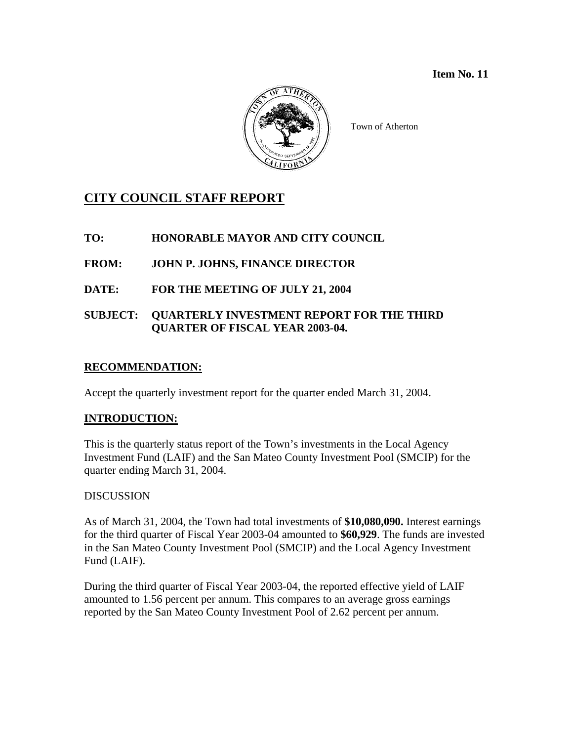

Town of Atherton

# **CITY COUNCIL STAFF REPORT**

**TO: HONORABLE MAYOR AND CITY COUNCIL** 

**FROM: JOHN P. JOHNS, FINANCE DIRECTOR** 

**DATE: FOR THE MEETING OF JULY 21, 2004** 

## **SUBJECT: QUARTERLY INVESTMENT REPORT FOR THE THIRD QUARTER OF FISCAL YEAR 2003-04.**

## **RECOMMENDATION:**

Accept the quarterly investment report for the quarter ended March 31, 2004.

## **INTRODUCTION:**

This is the quarterly status report of the Town's investments in the Local Agency Investment Fund (LAIF) and the San Mateo County Investment Pool (SMCIP) for the quarter ending March 31, 2004.

## DISCUSSION

As of March 31, 2004, the Town had total investments of **\$10,080,090.** Interest earnings for the third quarter of Fiscal Year 2003-04 amounted to **\$60,929**. The funds are invested in the San Mateo County Investment Pool (SMCIP) and the Local Agency Investment Fund (LAIF).

During the third quarter of Fiscal Year 2003-04, the reported effective yield of LAIF amounted to 1.56 percent per annum. This compares to an average gross earnings reported by the San Mateo County Investment Pool of 2.62 percent per annum.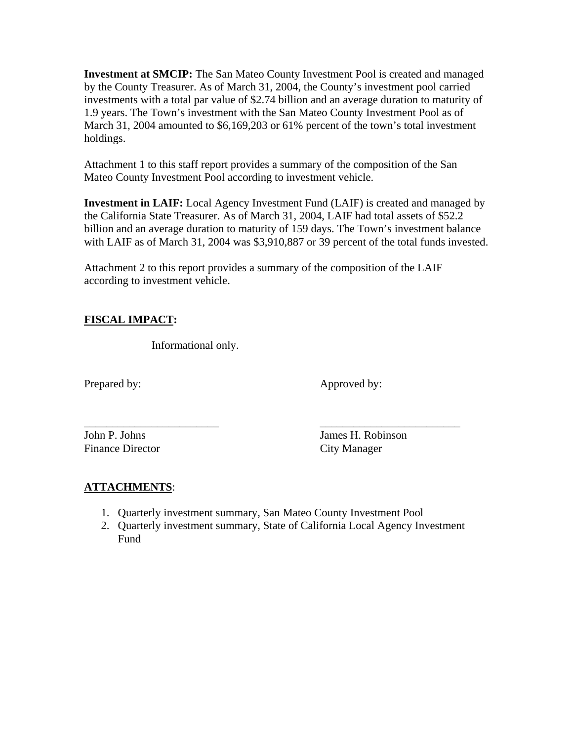**Investment at SMCIP:** The San Mateo County Investment Pool is created and managed by the County Treasurer. As of March 31, 2004, the County's investment pool carried investments with a total par value of \$2.74 billion and an average duration to maturity of 1.9 years. The Town's investment with the San Mateo County Investment Pool as of March 31, 2004 amounted to \$6,169,203 or 61% percent of the town's total investment holdings.

Attachment 1 to this staff report provides a summary of the composition of the San Mateo County Investment Pool according to investment vehicle.

**Investment in LAIF:** Local Agency Investment Fund (LAIF) is created and managed by the California State Treasurer. As of March 31, 2004, LAIF had total assets of \$52.2 billion and an average duration to maturity of 159 days. The Town's investment balance with LAIF as of March 31, 2004 was \$3,910,887 or 39 percent of the total funds invested.

Attachment 2 to this report provides a summary of the composition of the LAIF according to investment vehicle.

## **FISCAL IMPACT:**

Informational only.

Prepared by: Approved by:

Finance Director City Manager

John P. Johns James H. Robinson

## **ATTACHMENTS**:

1. Quarterly investment summary, San Mateo County Investment Pool

\_\_\_\_\_\_\_\_\_\_\_\_\_\_\_\_\_\_\_\_\_\_\_\_ \_\_\_\_\_\_\_\_\_\_\_\_\_\_\_\_\_\_\_\_\_\_\_\_\_

2. Quarterly investment summary, State of California Local Agency Investment Fund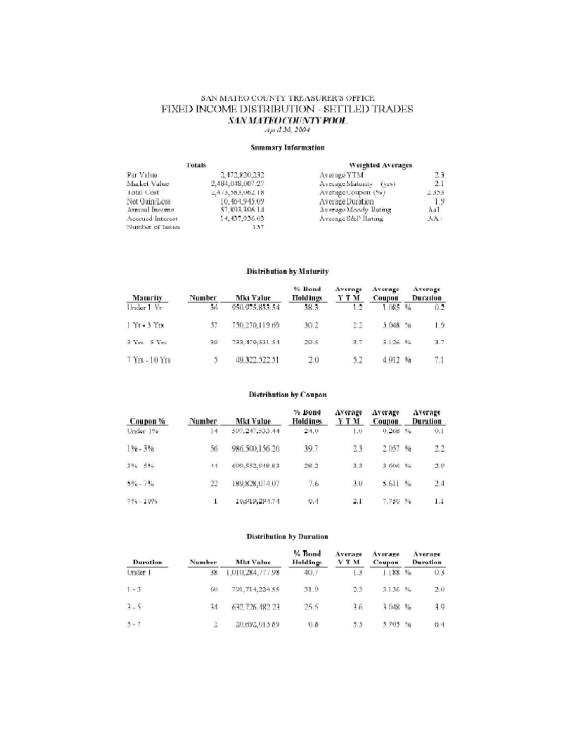# SAN MATEO COUNTY TREASURER'S OFFICE FIXED INCOME DISTRIBUTION - SETTLED TRADES  $\underset{Apr\bar{d}}{\textrm{300,2004}}\textcolor{red}{\textrm{547\%}}\underset{2004}{\textrm{540}}\textcolor{red}{\textrm{7490}}\textcolor{red}{\textrm{749}}$

#### **Summary Information**

|                                | Totals                          | Weighted Averages                        |            |
|--------------------------------|---------------------------------|------------------------------------------|------------|
| Par Value                      | 3.473.820.333                   | Average YTM                              | 23         |
| Market Value                   | 2,484,048,007.27                | Average Maturity (yrs)                   | 2.1        |
| <b>Total Cost</b>              | 2.473,583,062.18                | Average Coupon (%)                       | 2.355      |
| Net Gain/Loss<br>Armual Income | 10.464,945.09<br>\$7,893,306.14 | Average Duration<br>Average Moody Ruting | 1.9<br>Aa1 |
| Accrued Interest               | 14, 437, 936.03                 | Average S&P Rating                       | AA:        |
| Number of Issues               | 137                             |                                          |            |

#### Distribution by Maturity

| Maturity              | Number | <b>Mkt Value</b> | % Bond<br><b>Holdings</b> | Average<br>Y T M | Average<br>Coupon |                        | Average<br>Duration |
|-----------------------|--------|------------------|---------------------------|------------------|-------------------|------------------------|---------------------|
| Under 1 Yr            | 36     | 950.975.833.54   | 38.3                      | 1.2              | 1.085             | $\mathcal{H}_{\alpha}$ | 62                  |
| $1$ $1$ r $-3$ $1$ rs | 57     | 750,270,119.69   | 30.2                      | 2.2              | 3.048             | 20                     | 1.9                 |
| 3 Yrs 5 Yrs           | 39     | 733.479.531.54   | 29.5                      | 3.7              | 3.126 96          |                        | 3.7                 |
| $7$ Yrs $-10$ Yrs     |        | 49.322.522.51    | 2.0                       | 5.2              | 4.912%            |                        | 7.1                 |

#### Distribution by Coupon

| Coupon %     | Number          | Mkt Value      | % Bond<br><b>Holdings</b> | Average<br>Y T M | Average<br>Coupon |               | Average<br>Duration |
|--------------|-----------------|----------------|---------------------------|------------------|-------------------|---------------|---------------------|
| Under 1%     | 14              | 597.247.533.44 | 24.0                      | 1.0              | 0,268             | 96            | $Q,$ ]              |
| $1\% - 3\%$  | 56              | 986.500.156.20 | 39.7                      | 23               | 2.057             | $\%$          | 2.2                 |
| 3% 5%        | $\overline{14}$ | 699.552.948.83 | 28.2                      | 3.3              | 3.606             | $96 -$        | 2.9                 |
| $5\% - 7\%$  | 22              | 189,828,074.07 | 7.6                       | 3.0              | 5.611             | $\frac{1}{2}$ | 2.4                 |
| $7\% - 10\%$ | 1               | 10,919,294.74  | Q, 4                      | 2.1              | 7,750 %           |               | 1.1                 |

#### **Distribution by Duration**

| <b>Duration</b> | Number | <b>Mkt Value</b> | % Bond<br>Holdings | Average<br><b>Y T M</b> | Average<br>Coupon | Average<br>Duration |
|-----------------|--------|------------------|--------------------|-------------------------|-------------------|---------------------|
| Under 1         | 38     | 1,010,284,777.98 | 40.7               | 1.3                     | 1.1XX %           | 0.3                 |
| $1 - 3$         | 60     | 701, 714, 224.55 | 31.9               | 2.3                     | 3.136 %           | 2.0                 |
| $3 - 5$         | 14     | 632.726.482.23   | 255                | 36                      | 3 048 %           | 39                  |
| $5 - 7$         | 2      | 20,692,913.89    | 0.8                | 53                      | 5.705 %           | 6.4                 |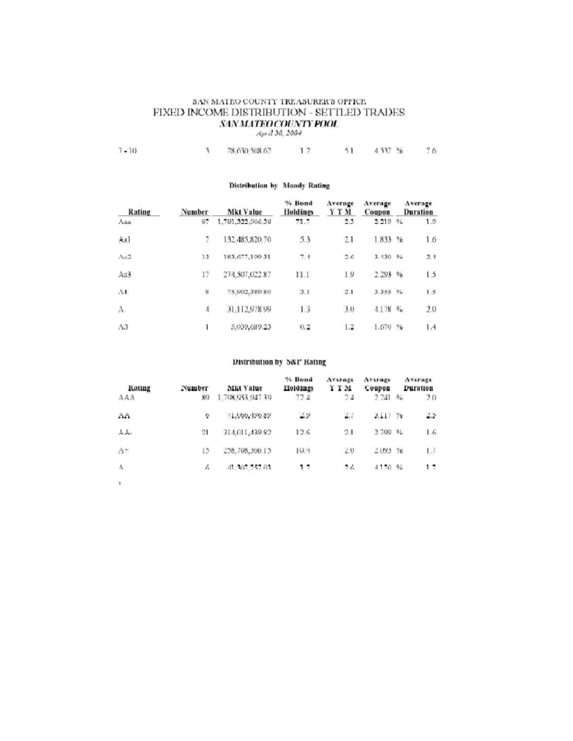## SAN MATEO COUNTY TREASURER'S OFFICE FIXED INCOME DISTRIBUTION - SETTLED TRADES  $\underset{Apr\bar{d}}{\textrm{MMM1FGCOUNTY POOL}}$

|  | $7 - 10$ |  | 28.630.508.62 |  |  | 4 337 % | 76 |
|--|----------|--|---------------|--|--|---------|----|
|--|----------|--|---------------|--|--|---------|----|

#### Distribution by Moody Rating

| Rating         | Number      | <b>Mkt Value</b> | % Bond<br><b>Holdings</b> | Average<br>Y T M | Average<br>Coupon | Average<br>Duration |
|----------------|-------------|------------------|---------------------------|------------------|-------------------|---------------------|
| Ana            | 87.         | 1.781.322.006.38 | 71.7                      | 2.3              | 2.219 %           | 1.5                 |
| Aal            |             | 132,485,820.70   | 5.3                       | 2.1              | 1.833~%           | 1.6                 |
| Aa2            | 13          | 183.677,199.31   | 7.1                       | 2.6              | 3.130.96          | 2.4                 |
| As3            | 17          | 274,507,022.87   | 11.1                      | 1.9              | 2.293 %           | 1.5                 |
| AI             | $\mathbf x$ | 75,902,389.80    | 3.1                       | 2.1              | 3.355~96          | 1.5                 |
| A              | 4           | 31,112,978.99    | 1.3                       | 3.0              | 4.178 %           | 2.0                 |
| A <sub>3</sub> |             | 5,939,689.23     | 0.2                       | 1.2              | 1.679 %           | 1.4                 |

#### Distribution by S&P Rating

| Rating       | Number | MKI Value        | % Bond<br>Holdings | Average<br>Y T M | Average<br>Coupon |     | Average<br>Duration |
|--------------|--------|------------------|--------------------|------------------|-------------------|-----|---------------------|
| AAA          | 80     | 1.798.953.947.39 | 72.4               | 24               | 2.241             | 0/2 | 20                  |
| AA           | ¢      | 71,066,496.89    | 2.9                | 2.7              | 3.11/ 79          |     | 2.3                 |
| A A-         | 21     | 314, 611, 439.82 | 12.6               | 2.1              | 2,700 %           |     | 1.6                 |
| $A^+$        | 15     | 258,708,300.15   | 19.4               | 2.0              | 2.093 %           |     | Lž                  |
| Å            | Ł.     | 41,307,757.03    | 17                 | 26               | 4170 %            |     | 17                  |
| $\mathbf{r}$ |        |                  |                    |                  |                   |     |                     |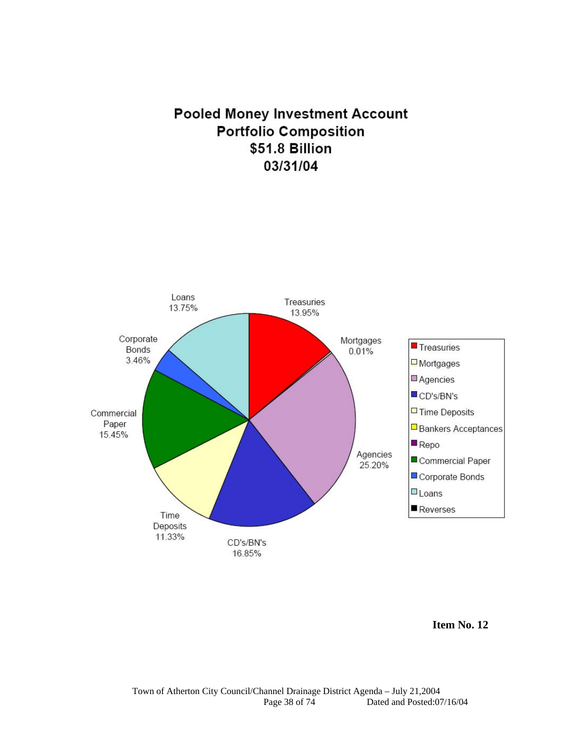# **Pooled Money Investment Account Portfolio Composition** \$51.8 Billion 03/31/04



**Item No. 12**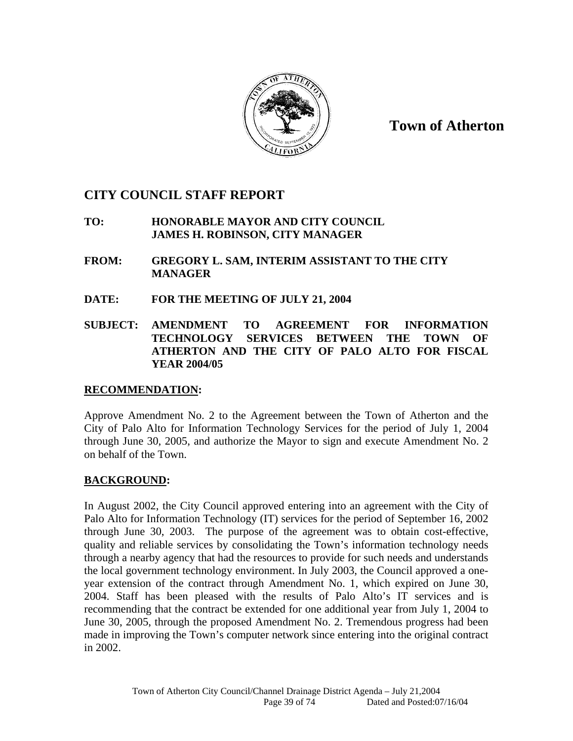

**Town of Atherton**

## **CITY COUNCIL STAFF REPORT**

 **TO: HONORABLE MAYOR AND CITY COUNCIL JAMES H. ROBINSON, CITY MANAGER** 

- **FROM: GREGORY L. SAM, INTERIM ASSISTANT TO THE CITY MANAGER**
- **DATE: FOR THE MEETING OF JULY 21, 2004**
- **SUBJECT: AMENDMENT TO AGREEMENT FOR INFORMATION TECHNOLOGY SERVICES BETWEEN THE TOWN OF ATHERTON AND THE CITY OF PALO ALTO FOR FISCAL YEAR 2004/05**

## **RECOMMENDATION:**

Approve Amendment No. 2 to the Agreement between the Town of Atherton and the City of Palo Alto for Information Technology Services for the period of July 1, 2004 through June 30, 2005, and authorize the Mayor to sign and execute Amendment No. 2 on behalf of the Town.

## **BACKGROUND:**

In August 2002, the City Council approved entering into an agreement with the City of Palo Alto for Information Technology (IT) services for the period of September 16, 2002 through June 30, 2003. The purpose of the agreement was to obtain cost-effective, quality and reliable services by consolidating the Town's information technology needs through a nearby agency that had the resources to provide for such needs and understands the local government technology environment. In July 2003, the Council approved a oneyear extension of the contract through Amendment No. 1, which expired on June 30, 2004. Staff has been pleased with the results of Palo Alto's IT services and is recommending that the contract be extended for one additional year from July 1, 2004 to June 30, 2005, through the proposed Amendment No. 2. Tremendous progress had been made in improving the Town's computer network since entering into the original contract in 2002.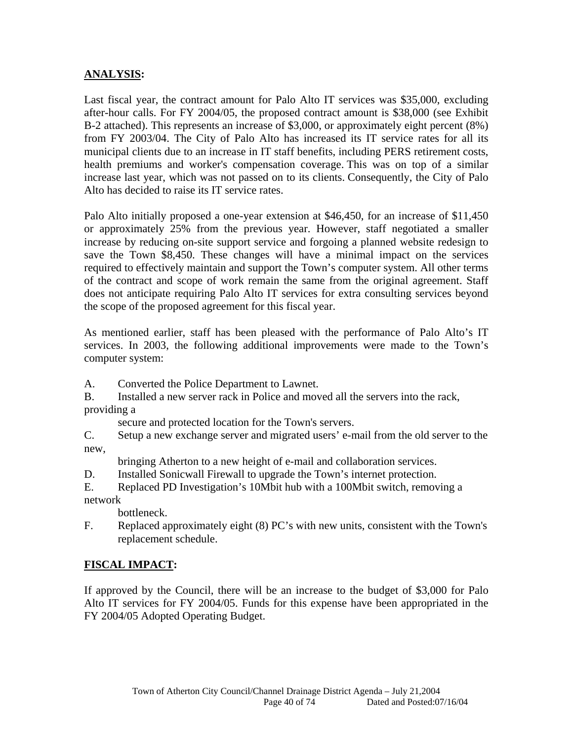## **ANALYSIS:**

Last fiscal year, the contract amount for Palo Alto IT services was \$35,000, excluding after-hour calls. For FY 2004/05, the proposed contract amount is \$38,000 (see Exhibit B-2 attached). This represents an increase of \$3,000, or approximately eight percent (8%) from FY 2003/04. The City of Palo Alto has increased its IT service rates for all its municipal clients due to an increase in IT staff benefits, including PERS retirement costs, health premiums and worker's compensation coverage. This was on top of a similar increase last year, which was not passed on to its clients. Consequently, the City of Palo Alto has decided to raise its IT service rates.

Palo Alto initially proposed a one-year extension at \$46,450, for an increase of \$11,450 or approximately 25% from the previous year. However, staff negotiated a smaller increase by reducing on-site support service and forgoing a planned website redesign to save the Town \$8,450. These changes will have a minimal impact on the services required to effectively maintain and support the Town's computer system. All other terms of the contract and scope of work remain the same from the original agreement. Staff does not anticipate requiring Palo Alto IT services for extra consulting services beyond the scope of the proposed agreement for this fiscal year.

As mentioned earlier, staff has been pleased with the performance of Palo Alto's IT services. In 2003, the following additional improvements were made to the Town's computer system:

A. Converted the Police Department to Lawnet.

B. Installed a new server rack in Police and moved all the servers into the rack, providing a

secure and protected location for the Town's servers.

C. Setup a new exchange server and migrated users' e-mail from the old server to the new,

bringing Atherton to a new height of e-mail and collaboration services.

D. Installed Sonicwall Firewall to upgrade the Town's internet protection.

E. Replaced PD Investigation's 10Mbit hub with a 100Mbit switch, removing a network

bottleneck.

F. Replaced approximately eight (8) PC's with new units, consistent with the Town's replacement schedule.

## **FISCAL IMPACT:**

If approved by the Council, there will be an increase to the budget of \$3,000 for Palo Alto IT services for FY 2004/05. Funds for this expense have been appropriated in the FY 2004/05 Adopted Operating Budget.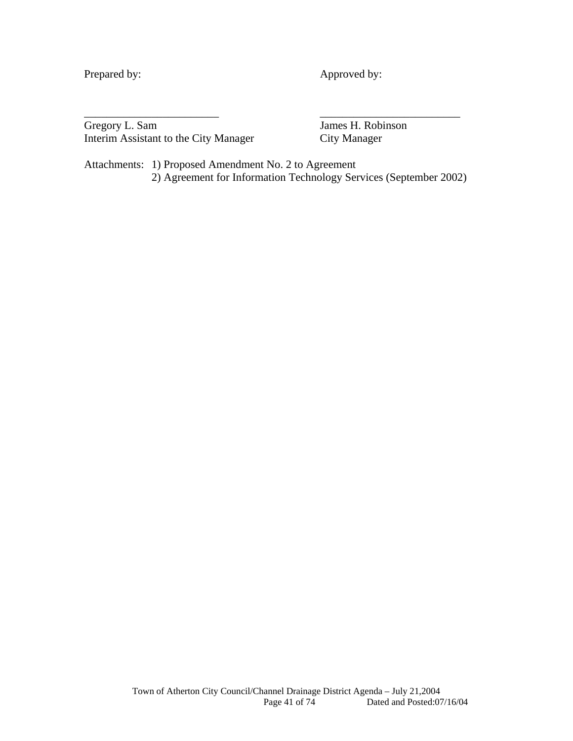Prepared by: Approved by:

Gregory L. Sam James H. Robinson Interim Assistant to the City Manager City Manager

Attachments: 1) Proposed Amendment No. 2 to Agreement 2) Agreement for Information Technology Services (September 2002)

\_\_\_\_\_\_\_\_\_\_\_\_\_\_\_\_\_\_\_\_\_\_\_\_ \_\_\_\_\_\_\_\_\_\_\_\_\_\_\_\_\_\_\_\_\_\_\_\_\_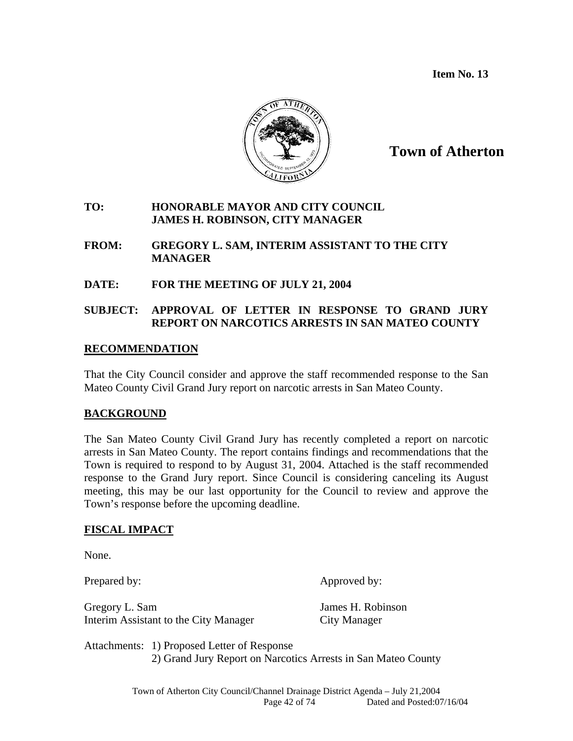**Item No. 13** 



## **Town of Atherton**

### **TO: HONORABLE MAYOR AND CITY COUNCIL JAMES H. ROBINSON, CITY MANAGER**

- **FROM: GREGORY L. SAM, INTERIM ASSISTANT TO THE CITY MANAGER**
- **DATE: FOR THE MEETING OF JULY 21, 2004**

## **SUBJECT: APPROVAL OF LETTER IN RESPONSE TO GRAND JURY REPORT ON NARCOTICS ARRESTS IN SAN MATEO COUNTY**

### **RECOMMENDATION**

 That the City Council consider and approve the staff recommended response to the San Mateo County Civil Grand Jury report on narcotic arrests in San Mateo County.

## **BACKGROUND**

The San Mateo County Civil Grand Jury has recently completed a report on narcotic arrests in San Mateo County. The report contains findings and recommendations that the Town is required to respond to by August 31, 2004. Attached is the staff recommended response to the Grand Jury report. Since Council is considering canceling its August meeting, this may be our last opportunity for the Council to review and approve the Town's response before the upcoming deadline.

## **FISCAL IMPACT**

None.

Prepared by: Approved by:

Gregory L. Sam James H. Robinson Interim Assistant to the City Manager City Manager

Attachments: 1) Proposed Letter of Response 2) Grand Jury Report on Narcotics Arrests in San Mateo County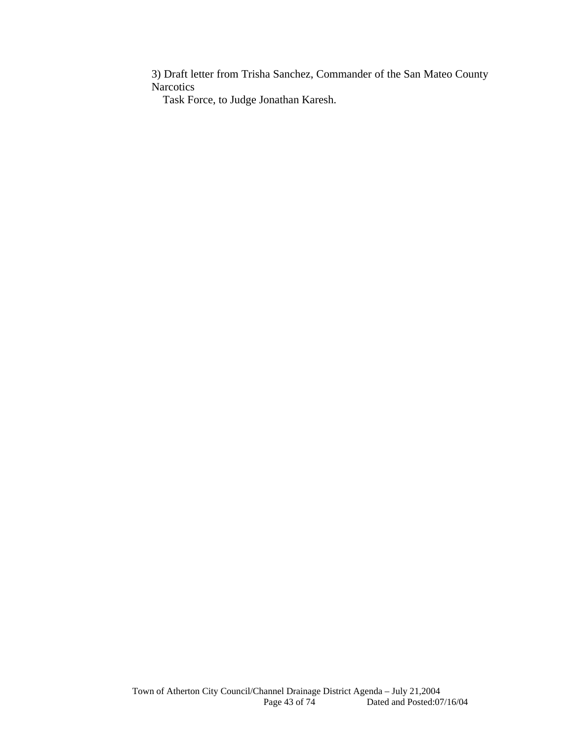3) Draft letter from Trisha Sanchez, Commander of the San Mateo County Narcotics

Task Force, to Judge Jonathan Karesh.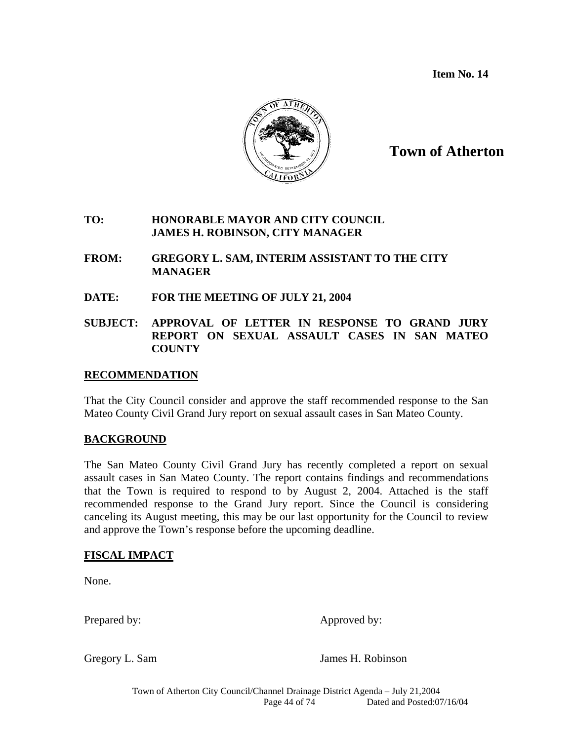**Item No. 14** 



**Town of Atherton**

### **TO: HONORABLE MAYOR AND CITY COUNCIL JAMES H. ROBINSON, CITY MANAGER**

- **FROM: GREGORY L. SAM, INTERIM ASSISTANT TO THE CITY MANAGER**
- **DATE: FOR THE MEETING OF JULY 21, 2004**
- **SUBJECT: APPROVAL OF LETTER IN RESPONSE TO GRAND JURY REPORT ON SEXUAL ASSAULT CASES IN SAN MATEO COUNTY**

### **RECOMMENDATION**

 That the City Council consider and approve the staff recommended response to the San Mateo County Civil Grand Jury report on sexual assault cases in San Mateo County.

## **BACKGROUND**

The San Mateo County Civil Grand Jury has recently completed a report on sexual assault cases in San Mateo County. The report contains findings and recommendations that the Town is required to respond to by August 2, 2004. Attached is the staff recommended response to the Grand Jury report. Since the Council is considering canceling its August meeting, this may be our last opportunity for the Council to review and approve the Town's response before the upcoming deadline.

## **FISCAL IMPACT**

None.

Prepared by: Approved by:

Gregory L. Sam James H. Robinson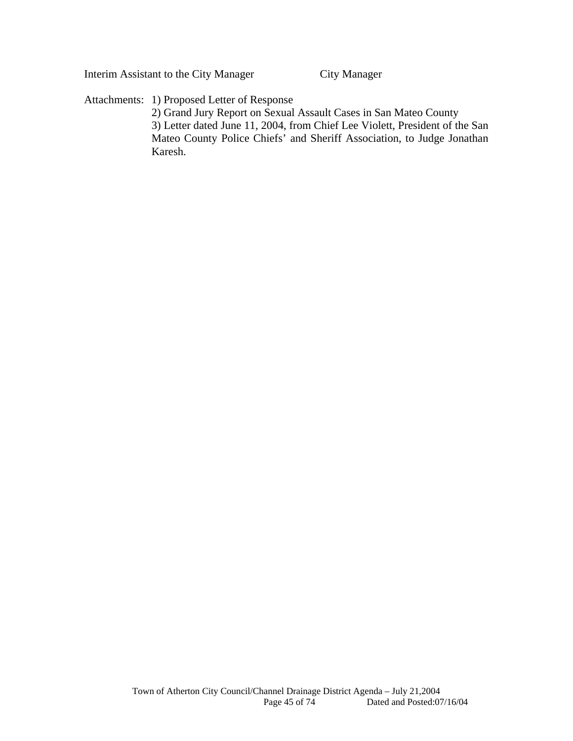Interim Assistant to the City Manager City Manager

Attachments: 1) Proposed Letter of Response

 2) Grand Jury Report on Sexual Assault Cases in San Mateo County 3) Letter dated June 11, 2004, from Chief Lee Violett, President of the San Mateo County Police Chiefs' and Sheriff Association, to Judge Jonathan Karesh.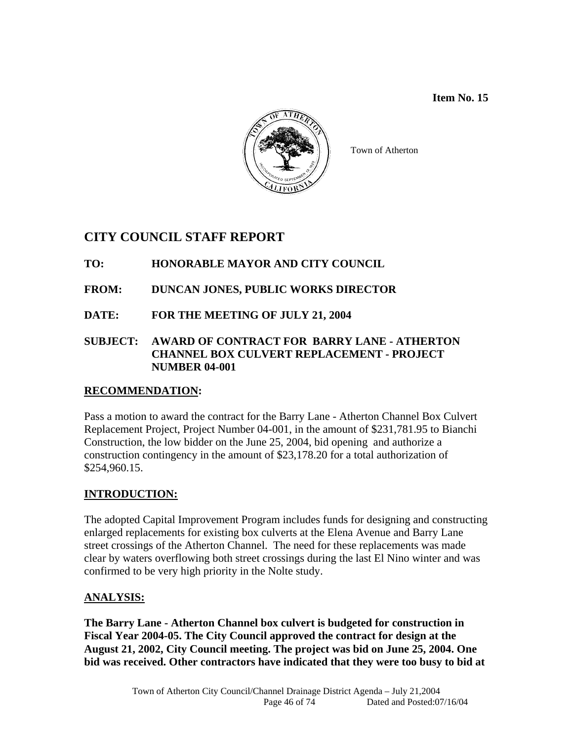### **Item No. 15**



Town of Atherton

## **CITY COUNCIL STAFF REPORT**

## **TO: HONORABLE MAYOR AND CITY COUNCIL**

## **FROM: DUNCAN JONES, PUBLIC WORKS DIRECTOR**

**DATE: FOR THE MEETING OF JULY 21, 2004** 

### **SUBJECT: AWARD OF CONTRACT FOR BARRY LANE - ATHERTON CHANNEL BOX CULVERT REPLACEMENT - PROJECT NUMBER 04-001**

## **RECOMMENDATION:**

Pass a motion to award the contract for the Barry Lane - Atherton Channel Box Culvert Replacement Project, Project Number 04-001, in the amount of \$231,781.95 to Bianchi Construction, the low bidder on the June 25, 2004, bid opening and authorize a construction contingency in the amount of \$23,178.20 for a total authorization of \$254,960.15.

## **INTRODUCTION:**

The adopted Capital Improvement Program includes funds for designing and constructing enlarged replacements for existing box culverts at the Elena Avenue and Barry Lane street crossings of the Atherton Channel. The need for these replacements was made clear by waters overflowing both street crossings during the last El Nino winter and was confirmed to be very high priority in the Nolte study.

## **ANALYSIS:**

**The Barry Lane - Atherton Channel box culvert is budgeted for construction in Fiscal Year 2004-05. The City Council approved the contract for design at the August 21, 2002, City Council meeting. The project was bid on June 25, 2004. One bid was received. Other contractors have indicated that they were too busy to bid at**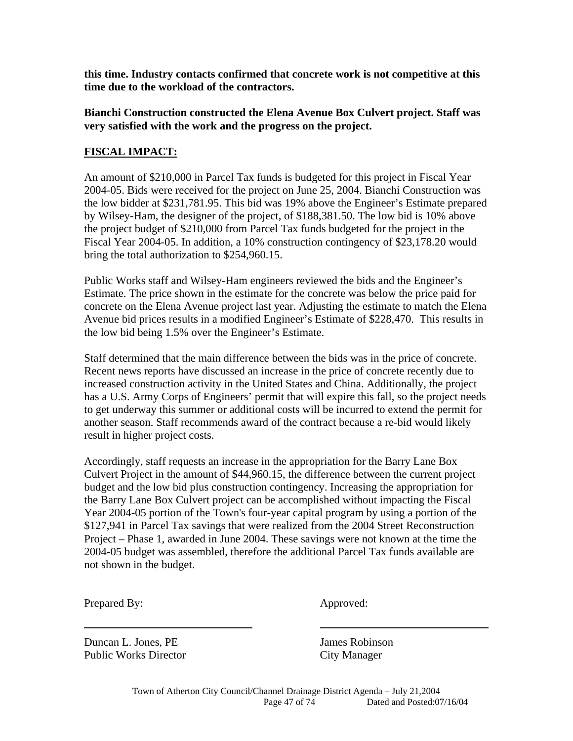**this time. Industry contacts confirmed that concrete work is not competitive at this time due to the workload of the contractors.** 

### **Bianchi Construction constructed the Elena Avenue Box Culvert project. Staff was very satisfied with the work and the progress on the project.**

## **FISCAL IMPACT:**

An amount of \$210,000 in Parcel Tax funds is budgeted for this project in Fiscal Year 2004-05. Bids were received for the project on June 25, 2004. Bianchi Construction was the low bidder at \$231,781.95. This bid was 19% above the Engineer's Estimate prepared by Wilsey-Ham, the designer of the project, of \$188,381.50. The low bid is 10% above the project budget of \$210,000 from Parcel Tax funds budgeted for the project in the Fiscal Year 2004-05. In addition, a 10% construction contingency of \$23,178.20 would bring the total authorization to \$254,960.15.

Public Works staff and Wilsey-Ham engineers reviewed the bids and the Engineer's Estimate. The price shown in the estimate for the concrete was below the price paid for concrete on the Elena Avenue project last year. Adjusting the estimate to match the Elena Avenue bid prices results in a modified Engineer's Estimate of \$228,470. This results in the low bid being 1.5% over the Engineer's Estimate.

Staff determined that the main difference between the bids was in the price of concrete. Recent news reports have discussed an increase in the price of concrete recently due to increased construction activity in the United States and China. Additionally, the project has a U.S. Army Corps of Engineers' permit that will expire this fall, so the project needs to get underway this summer or additional costs will be incurred to extend the permit for another season. Staff recommends award of the contract because a re-bid would likely result in higher project costs.

Accordingly, staff requests an increase in the appropriation for the Barry Lane Box Culvert Project in the amount of \$44,960.15, the difference between the current project budget and the low bid plus construction contingency. Increasing the appropriation for the Barry Lane Box Culvert project can be accomplished without impacting the Fiscal Year 2004-05 portion of the Town's four-year capital program by using a portion of the \$127,941 in Parcel Tax savings that were realized from the 2004 Street Reconstruction Project – Phase 1, awarded in June 2004. These savings were not known at the time the 2004-05 budget was assembled, therefore the additional Parcel Tax funds available are not shown in the budget.

Prepared By: Approved:

l

Duncan L. Jones, PE James Robinson Public Works Director City Manager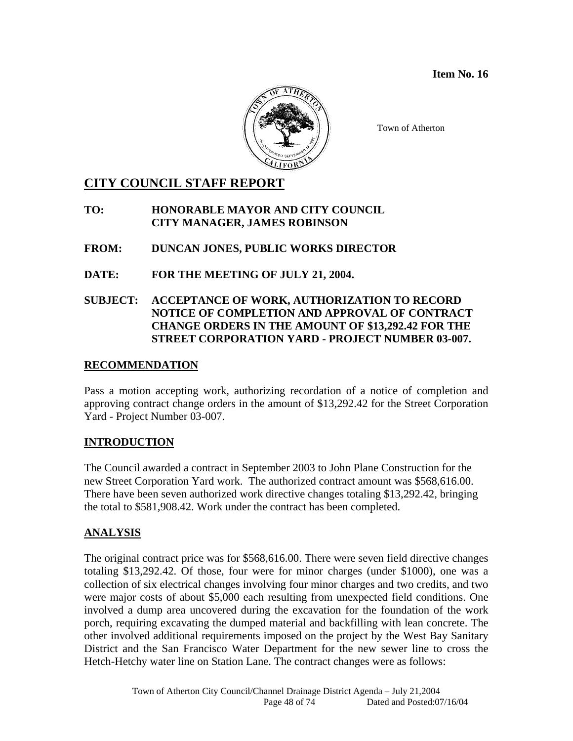**Item No. 16** 



Town of Atherton

## **CITY COUNCIL STAFF REPORT**

## **TO: HONORABLE MAYOR AND CITY COUNCIL CITY MANAGER, JAMES ROBINSON**

## **FROM: DUNCAN JONES, PUBLIC WORKS DIRECTOR**

## **DATE: FOR THE MEETING OF JULY 21, 2004.**

## **SUBJECT: ACCEPTANCE OF WORK, AUTHORIZATION TO RECORD NOTICE OF COMPLETION AND APPROVAL OF CONTRACT CHANGE ORDERS IN THE AMOUNT OF \$13,292.42 FOR THE STREET CORPORATION YARD - PROJECT NUMBER 03-007.**

## **RECOMMENDATION**

Pass a motion accepting work, authorizing recordation of a notice of completion and approving contract change orders in the amount of \$13,292.42 for the Street Corporation Yard - Project Number 03-007.

## **INTRODUCTION**

The Council awarded a contract in September 2003 to John Plane Construction for the new Street Corporation Yard work. The authorized contract amount was \$568,616.00. There have been seven authorized work directive changes totaling \$13,292.42, bringing the total to \$581,908.42. Work under the contract has been completed.

## **ANALYSIS**

The original contract price was for \$568,616.00. There were seven field directive changes totaling \$13,292.42. Of those, four were for minor charges (under \$1000), one was a collection of six electrical changes involving four minor charges and two credits, and two were major costs of about \$5,000 each resulting from unexpected field conditions. One involved a dump area uncovered during the excavation for the foundation of the work porch, requiring excavating the dumped material and backfilling with lean concrete. The other involved additional requirements imposed on the project by the West Bay Sanitary District and the San Francisco Water Department for the new sewer line to cross the Hetch-Hetchy water line on Station Lane. The contract changes were as follows: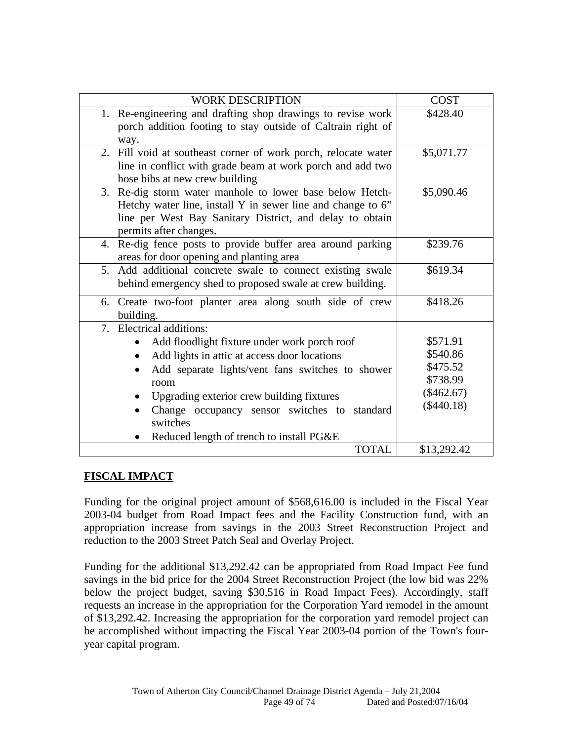| <b>WORK DESCRIPTION</b>                                                                                                                                                                                       | <b>COST</b>  |
|---------------------------------------------------------------------------------------------------------------------------------------------------------------------------------------------------------------|--------------|
| 1. Re-engineering and drafting shop drawings to revise work<br>porch addition footing to stay outside of Caltrain right of<br>way.                                                                            | \$428.40     |
| 2. Fill void at southeast corner of work porch, relocate water<br>line in conflict with grade beam at work porch and add two<br>hose bibs at new crew building                                                | \$5,071.77   |
| 3. Re-dig storm water manhole to lower base below Hetch-<br>Hetchy water line, install Y in sewer line and change to 6"<br>line per West Bay Sanitary District, and delay to obtain<br>permits after changes. | \$5,090.46   |
| 4. Re-dig fence posts to provide buffer area around parking<br>areas for door opening and planting area                                                                                                       | \$239.76     |
| 5. Add additional concrete swale to connect existing swale<br>behind emergency shed to proposed swale at crew building.                                                                                       | \$619.34     |
| 6. Create two-foot planter area along south side of crew<br>building.                                                                                                                                         | \$418.26     |
| 7. Electrical additions:                                                                                                                                                                                      |              |
| Add floodlight fixture under work porch roof                                                                                                                                                                  | \$571.91     |
| Add lights in attic at access door locations                                                                                                                                                                  | \$540.86     |
| Add separate lights/vent fans switches to shower                                                                                                                                                              | \$475.52     |
| room                                                                                                                                                                                                          | \$738.99     |
| Upgrading exterior crew building fixtures                                                                                                                                                                     | $(\$462.67)$ |
| Change occupancy sensor switches to<br>standard<br>switches                                                                                                                                                   | $(\$440.18)$ |
| Reduced length of trench to install PG&E                                                                                                                                                                      |              |
| <b>TOTAL</b>                                                                                                                                                                                                  | \$13,292.42  |

## **FISCAL IMPACT**

Funding for the original project amount of \$568,616.00 is included in the Fiscal Year 2003-04 budget from Road Impact fees and the Facility Construction fund, with an appropriation increase from savings in the 2003 Street Reconstruction Project and reduction to the 2003 Street Patch Seal and Overlay Project.

Funding for the additional \$13,292.42 can be appropriated from Road Impact Fee fund savings in the bid price for the 2004 Street Reconstruction Project (the low bid was 22% below the project budget, saving \$30,516 in Road Impact Fees). Accordingly, staff requests an increase in the appropriation for the Corporation Yard remodel in the amount of \$13,292.42. Increasing the appropriation for the corporation yard remodel project can be accomplished without impacting the Fiscal Year 2003-04 portion of the Town's fouryear capital program.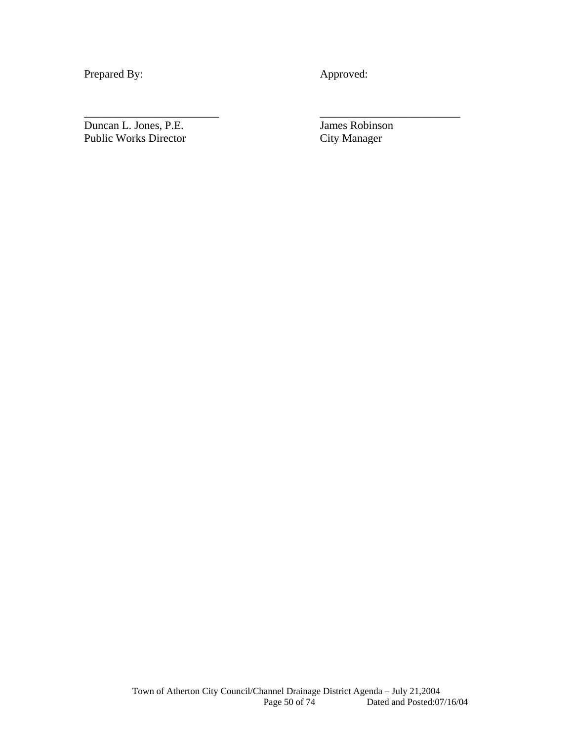Prepared By: Approved:

\_\_\_\_\_\_\_\_\_\_\_\_\_\_\_\_\_\_\_\_\_\_\_\_ \_\_\_\_\_\_\_\_\_\_\_\_\_\_\_\_\_\_\_\_\_\_\_\_\_

Duncan L. Jones, P.E.<br>
Public Works Director<br>
City Manager Public Works Director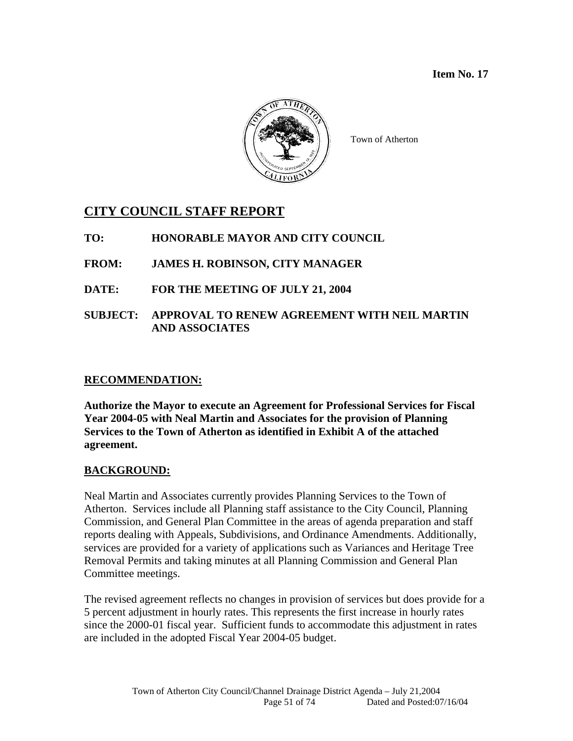

Town of Atherton

## **CITY COUNCIL STAFF REPORT**

**TO: HONORABLE MAYOR AND CITY COUNCIL** 

- **FROM: JAMES H. ROBINSON, CITY MANAGER**
- **DATE: FOR THE MEETING OF JULY 21, 2004**
- **SUBJECT: APPROVAL TO RENEW AGREEMENT WITH NEIL MARTIN AND ASSOCIATES**

## **RECOMMENDATION:**

**Authorize the Mayor to execute an Agreement for Professional Services for Fiscal Year 2004-05 with Neal Martin and Associates for the provision of Planning Services to the Town of Atherton as identified in Exhibit A of the attached agreement.** 

## **BACKGROUND:**

Neal Martin and Associates currently provides Planning Services to the Town of Atherton. Services include all Planning staff assistance to the City Council, Planning Commission, and General Plan Committee in the areas of agenda preparation and staff reports dealing with Appeals, Subdivisions, and Ordinance Amendments. Additionally, services are provided for a variety of applications such as Variances and Heritage Tree Removal Permits and taking minutes at all Planning Commission and General Plan Committee meetings.

The revised agreement reflects no changes in provision of services but does provide for a 5 percent adjustment in hourly rates. This represents the first increase in hourly rates since the 2000-01 fiscal year. Sufficient funds to accommodate this adjustment in rates are included in the adopted Fiscal Year 2004-05 budget.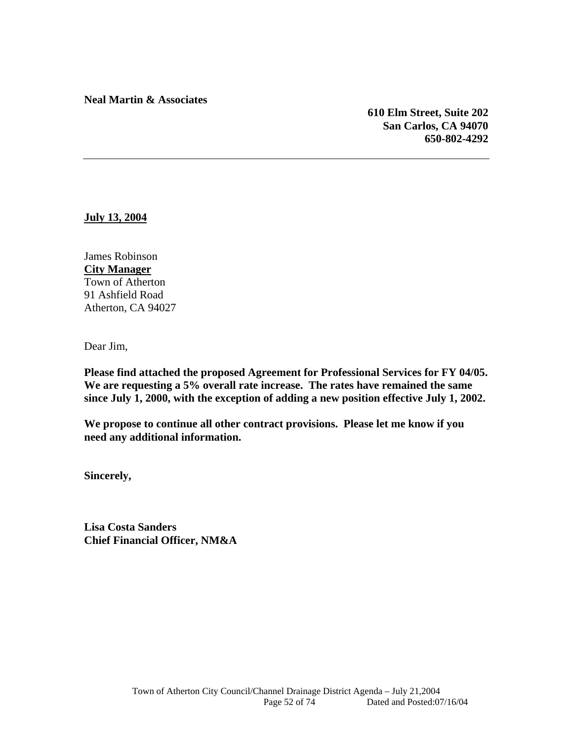**Neal Martin & Associates** 

**610 Elm Street, Suite 202 San Carlos, CA 94070 650-802-4292** 

**July 13, 2004**

James Robinson **City Manager** Town of Atherton 91 Ashfield Road Atherton, CA 94027

Dear Jim,

**Please find attached the proposed Agreement for Professional Services for FY 04/05. We are requesting a 5% overall rate increase. The rates have remained the same since July 1, 2000, with the exception of adding a new position effective July 1, 2002.** 

**We propose to continue all other contract provisions. Please let me know if you need any additional information.** 

**Sincerely,** 

**Lisa Costa Sanders Chief Financial Officer, NM&A**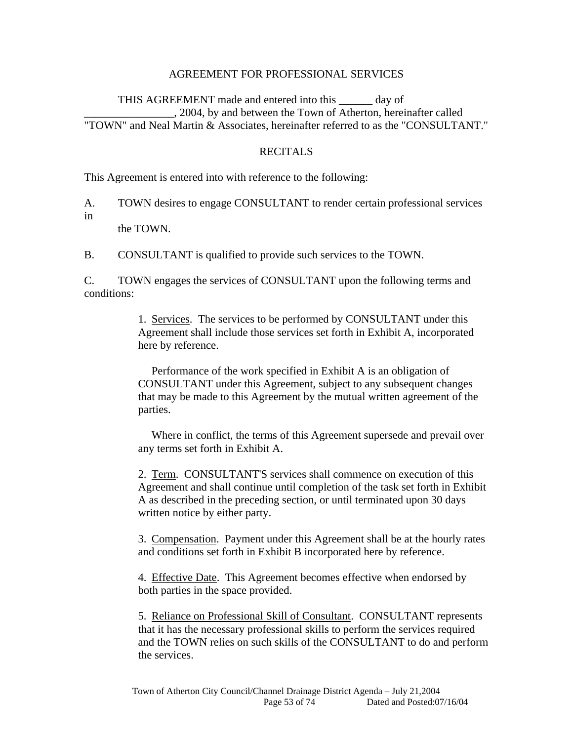#### AGREEMENT FOR PROFESSIONAL SERVICES

 THIS AGREEMENT made and entered into this \_\_\_\_\_\_ day of \_\_\_\_\_\_\_\_\_\_\_\_\_\_\_\_, 2004, by and between the Town of Atherton, hereinafter called "TOWN" and Neal Martin & Associates, hereinafter referred to as the "CONSULTANT."

#### RECITALS

This Agreement is entered into with reference to the following:

A. TOWN desires to engage CONSULTANT to render certain professional services in

the TOWN.

B. CONSULTANT is qualified to provide such services to the TOWN.

C. TOWN engages the services of CONSULTANT upon the following terms and conditions:

> 1. Services. The services to be performed by CONSULTANT under this Agreement shall include those services set forth in Exhibit A, incorporated here by reference.

 Performance of the work specified in Exhibit A is an obligation of CONSULTANT under this Agreement, subject to any subsequent changes that may be made to this Agreement by the mutual written agreement of the parties.

 Where in conflict, the terms of this Agreement supersede and prevail over any terms set forth in Exhibit A.

 2. Term. CONSULTANT'S services shall commence on execution of this Agreement and shall continue until completion of the task set forth in Exhibit A as described in the preceding section, or until terminated upon 30 days written notice by either party.

 3. Compensation. Payment under this Agreement shall be at the hourly rates and conditions set forth in Exhibit B incorporated here by reference.

 4. Effective Date. This Agreement becomes effective when endorsed by both parties in the space provided.

 5. Reliance on Professional Skill of Consultant. CONSULTANT represents that it has the necessary professional skills to perform the services required and the TOWN relies on such skills of the CONSULTANT to do and perform the services.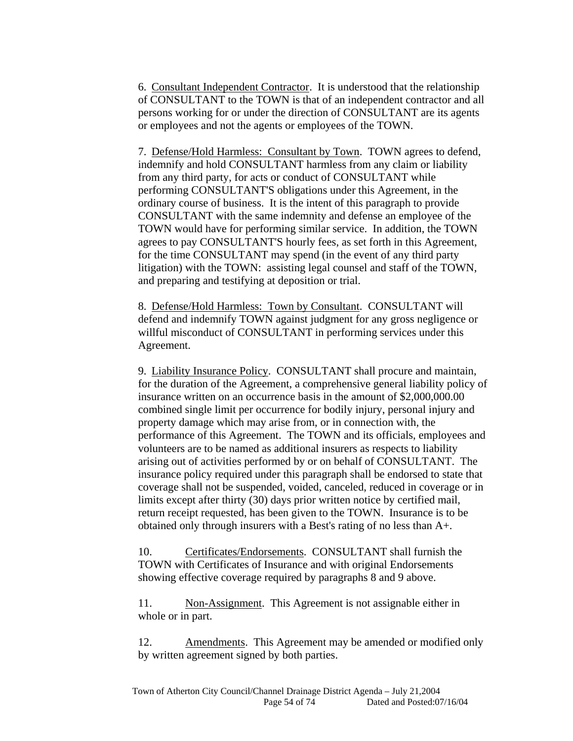6. Consultant Independent Contractor. It is understood that the relationship of CONSULTANT to the TOWN is that of an independent contractor and all persons working for or under the direction of CONSULTANT are its agents or employees and not the agents or employees of the TOWN.

 7. Defense/Hold Harmless: Consultant by Town. TOWN agrees to defend, indemnify and hold CONSULTANT harmless from any claim or liability from any third party, for acts or conduct of CONSULTANT while performing CONSULTANT'S obligations under this Agreement, in the ordinary course of business. It is the intent of this paragraph to provide CONSULTANT with the same indemnity and defense an employee of the TOWN would have for performing similar service. In addition, the TOWN agrees to pay CONSULTANT'S hourly fees, as set forth in this Agreement, for the time CONSULTANT may spend (in the event of any third party litigation) with the TOWN: assisting legal counsel and staff of the TOWN, and preparing and testifying at deposition or trial.

 8. Defense/Hold Harmless: Town by Consultant. CONSULTANT will defend and indemnify TOWN against judgment for any gross negligence or willful misconduct of CONSULTANT in performing services under this Agreement.

 9. Liability Insurance Policy. CONSULTANT shall procure and maintain, for the duration of the Agreement, a comprehensive general liability policy of insurance written on an occurrence basis in the amount of \$2,000,000.00 combined single limit per occurrence for bodily injury, personal injury and property damage which may arise from, or in connection with, the performance of this Agreement. The TOWN and its officials, employees and volunteers are to be named as additional insurers as respects to liability arising out of activities performed by or on behalf of CONSULTANT. The insurance policy required under this paragraph shall be endorsed to state that coverage shall not be suspended, voided, canceled, reduced in coverage or in limits except after thirty (30) days prior written notice by certified mail, return receipt requested, has been given to the TOWN. Insurance is to be obtained only through insurers with a Best's rating of no less than A+.

 10. Certificates/Endorsements. CONSULTANT shall furnish the TOWN with Certificates of Insurance and with original Endorsements showing effective coverage required by paragraphs 8 and 9 above.

11. Non-Assignment. This Agreement is not assignable either in whole or in part.

 12. Amendments. This Agreement may be amended or modified only by written agreement signed by both parties.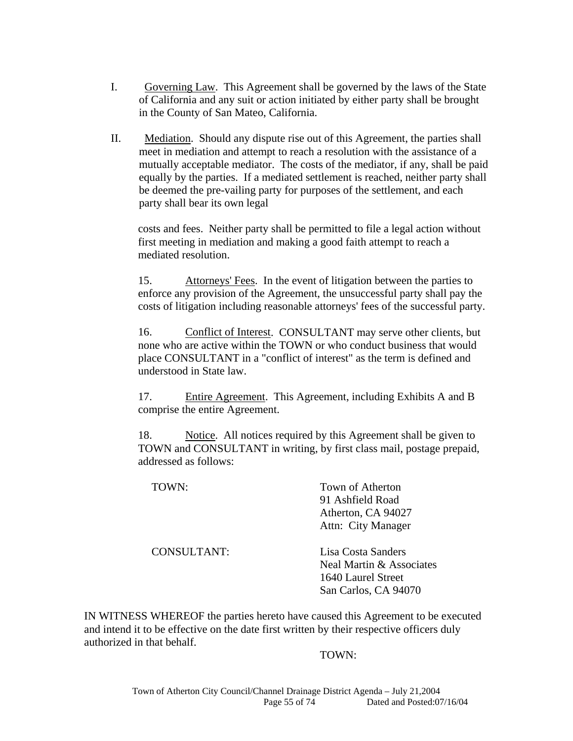- I. Governing Law. This Agreement shall be governed by the laws of the State of California and any suit or action initiated by either party shall be brought in the County of San Mateo, California.
- II. Mediation. Should any dispute rise out of this Agreement, the parties shall meet in mediation and attempt to reach a resolution with the assistance of a mutually acceptable mediator. The costs of the mediator, if any, shall be paid equally by the parties. If a mediated settlement is reached, neither party shall be deemed the pre-vailing party for purposes of the settlement, and each party shall bear its own legal

costs and fees. Neither party shall be permitted to file a legal action without first meeting in mediation and making a good faith attempt to reach a mediated resolution.

 15. Attorneys' Fees. In the event of litigation between the parties to enforce any provision of the Agreement, the unsuccessful party shall pay the costs of litigation including reasonable attorneys' fees of the successful party.

 16. Conflict of Interest. CONSULTANT may serve other clients, but none who are active within the TOWN or who conduct business that would place CONSULTANT in a "conflict of interest" as the term is defined and understood in State law.

 17. Entire Agreement. This Agreement, including Exhibits A and B comprise the entire Agreement.

 18. Notice. All notices required by this Agreement shall be given to TOWN and CONSULTANT in writing, by first class mail, postage prepaid, addressed as follows:

| TOWN:              | Town of Atherton<br>91 Ashfield Road<br>Atherton, CA 94027<br>Attn: City Manager             |
|--------------------|----------------------------------------------------------------------------------------------|
| <b>CONSULTANT:</b> | Lisa Costa Sanders<br>Neal Martin & Associates<br>1640 Laurel Street<br>San Carlos, CA 94070 |

IN WITNESS WHEREOF the parties hereto have caused this Agreement to be executed and intend it to be effective on the date first written by their respective officers duly authorized in that behalf.

TOWN: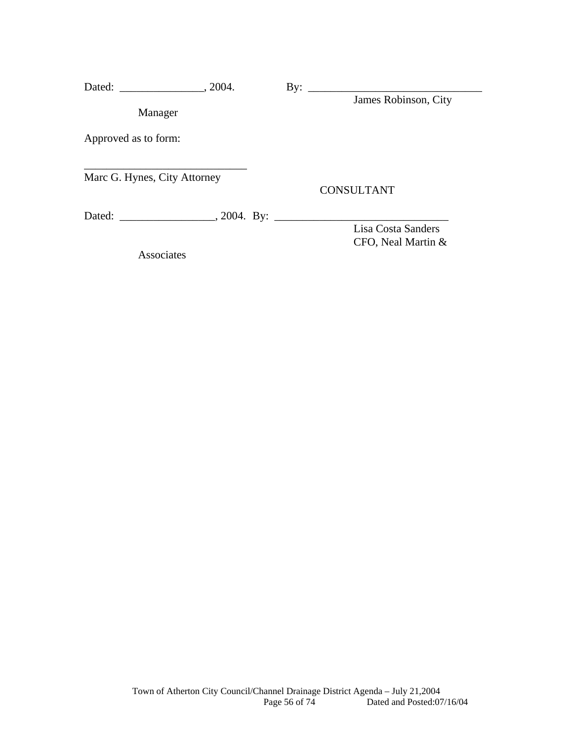| Dated:                       | $\sim$ 2004. | $\mathbf{By:}$ |                      |
|------------------------------|--------------|----------------|----------------------|
|                              |              |                | James Robinson, City |
| Manager                      |              |                |                      |
| Approved as to form:         |              |                |                      |
| Marc G. Hynes, City Attorney |              |                | <b>CONSULTANT</b>    |
|                              |              |                |                      |
|                              |              |                | Lisa Costa Sanders   |
|                              |              |                | CFO, Neal Martin &   |

Associates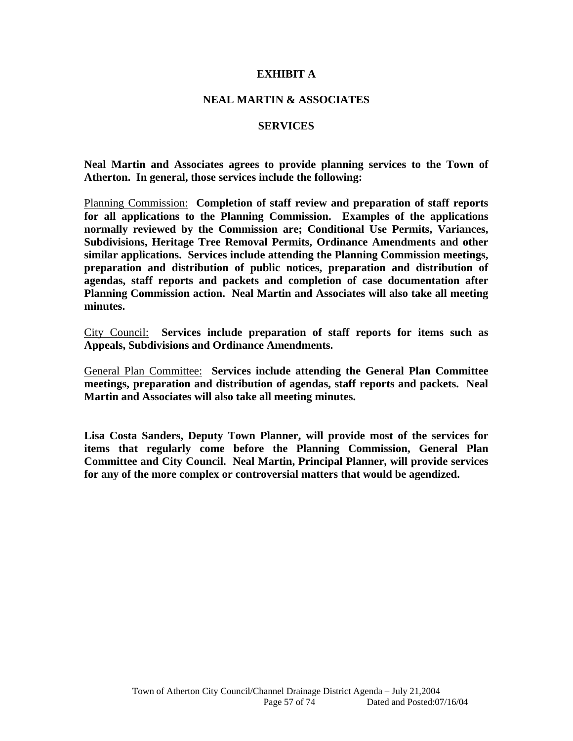#### **EXHIBIT A**

#### **NEAL MARTIN & ASSOCIATES**

#### **SERVICES**

**Neal Martin and Associates agrees to provide planning services to the Town of Atherton. In general, those services include the following:** 

Planning Commission: **Completion of staff review and preparation of staff reports for all applications to the Planning Commission. Examples of the applications normally reviewed by the Commission are; Conditional Use Permits, Variances, Subdivisions, Heritage Tree Removal Permits, Ordinance Amendments and other similar applications. Services include attending the Planning Commission meetings, preparation and distribution of public notices, preparation and distribution of agendas, staff reports and packets and completion of case documentation after Planning Commission action. Neal Martin and Associates will also take all meeting minutes.** 

City Council: **Services include preparation of staff reports for items such as Appeals, Subdivisions and Ordinance Amendments.** 

General Plan Committee: **Services include attending the General Plan Committee meetings, preparation and distribution of agendas, staff reports and packets. Neal Martin and Associates will also take all meeting minutes.** 

**Lisa Costa Sanders, Deputy Town Planner, will provide most of the services for items that regularly come before the Planning Commission, General Plan Committee and City Council. Neal Martin, Principal Planner, will provide services for any of the more complex or controversial matters that would be agendized.**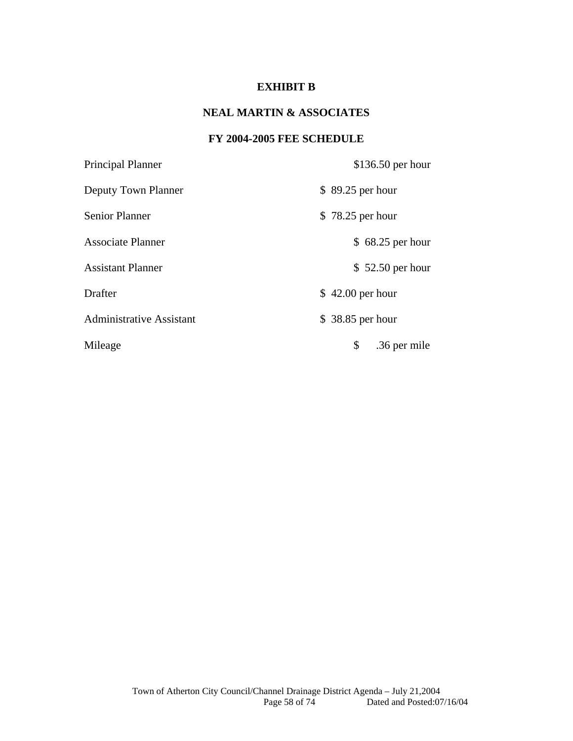## **EXHIBIT B**

## **NEAL MARTIN & ASSOCIATES**

## **FY 2004-2005 FEE SCHEDULE**

| Principal Planner               | $$136.50$ per hour |
|---------------------------------|--------------------|
| Deputy Town Planner             | \$89.25 per hour   |
| <b>Senior Planner</b>           | \$78.25 per hour   |
| <b>Associate Planner</b>        | $$68.25$ per hour  |
| <b>Assistant Planner</b>        | $$52.50$ per hour  |
| Drafter                         | $$42.00$ per hour  |
| <b>Administrative Assistant</b> | \$38.85 per hour   |
| Mileage                         | \$<br>.36 per mile |
|                                 |                    |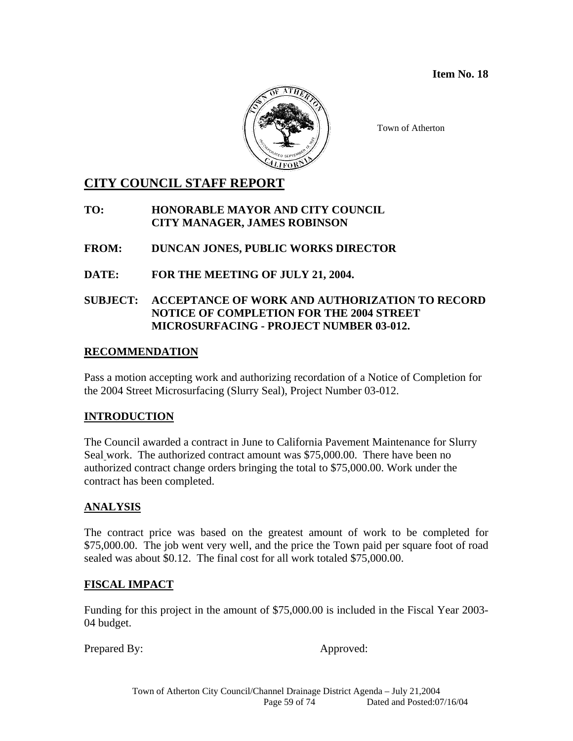**Item No. 18** 



Town of Atherton

## **CITY COUNCIL STAFF REPORT**

**TO: HONORABLE MAYOR AND CITY COUNCIL CITY MANAGER, JAMES ROBINSON** 

**FROM: DUNCAN JONES, PUBLIC WORKS DIRECTOR** 

**DATE: FOR THE MEETING OF JULY 21, 2004.**

## **SUBJECT: ACCEPTANCE OF WORK AND AUTHORIZATION TO RECORD NOTICE OF COMPLETION FOR THE 2004 STREET MICROSURFACING - PROJECT NUMBER 03-012.**

### **RECOMMENDATION**

Pass a motion accepting work and authorizing recordation of a Notice of Completion for the 2004 Street Microsurfacing (Slurry Seal), Project Number 03-012.

## **INTRODUCTION**

The Council awarded a contract in June to California Pavement Maintenance for Slurry Seal work. The authorized contract amount was \$75,000.00. There have been no authorized contract change orders bringing the total to \$75,000.00. Work under the contract has been completed.

## **ANALYSIS**

The contract price was based on the greatest amount of work to be completed for \$75,000.00. The job went very well, and the price the Town paid per square foot of road sealed was about \$0.12. The final cost for all work totaled \$75,000.00.

#### **FISCAL IMPACT**

Funding for this project in the amount of \$75,000.00 is included in the Fiscal Year 2003- 04 budget.

Prepared By: Approved: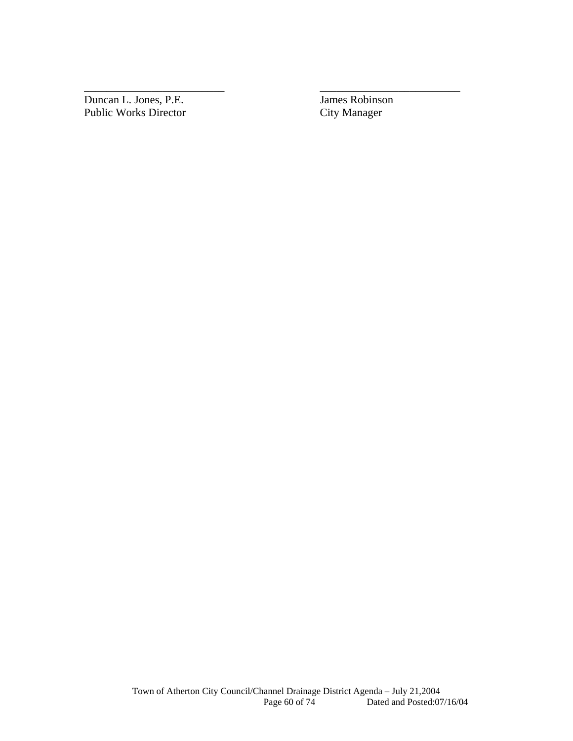Duncan L. Jones, P.E. James Robinson Public Works Director City Manager

\_\_\_\_\_\_\_\_\_\_\_\_\_\_\_\_\_\_\_\_\_\_\_\_\_ \_\_\_\_\_\_\_\_\_\_\_\_\_\_\_\_\_\_\_\_\_\_\_\_\_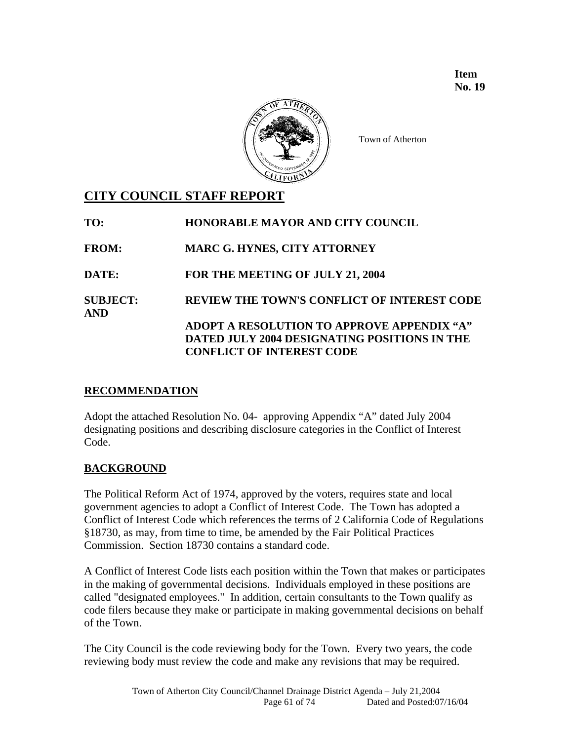**Item No. 19** 



Town of Atherton

## **CITY COUNCIL STAFF REPORT**

| TO:                           | HONORABLE MAYOR AND CITY COUNCIL             |
|-------------------------------|----------------------------------------------|
| <b>FROM:</b>                  | <b>MARC G. HYNES, CITY ATTORNEY</b>          |
| DATE:                         | FOR THE MEETING OF JULY 21, 2004             |
| <b>SUBJECT:</b><br><b>AND</b> | REVIEW THE TOWN'S CONFLICT OF INTEREST CODE  |
|                               | ADOPT A RESOLUTION TO APPROVE APPENDIX "A"   |
|                               | DATED JULY 2004 DESIGNATING POSITIONS IN THE |
|                               | <b>CONFLICT OF INTEREST CODE</b>             |

## **RECOMMENDATION**

Adopt the attached Resolution No. 04- approving Appendix "A" dated July 2004 designating positions and describing disclosure categories in the Conflict of Interest Code.

## **BACKGROUND**

The Political Reform Act of 1974, approved by the voters, requires state and local government agencies to adopt a Conflict of Interest Code. The Town has adopted a Conflict of Interest Code which references the terms of 2 California Code of Regulations §18730, as may, from time to time, be amended by the Fair Political Practices Commission. Section 18730 contains a standard code.

A Conflict of Interest Code lists each position within the Town that makes or participates in the making of governmental decisions. Individuals employed in these positions are called "designated employees." In addition, certain consultants to the Town qualify as code filers because they make or participate in making governmental decisions on behalf of the Town.

The City Council is the code reviewing body for the Town. Every two years, the code reviewing body must review the code and make any revisions that may be required.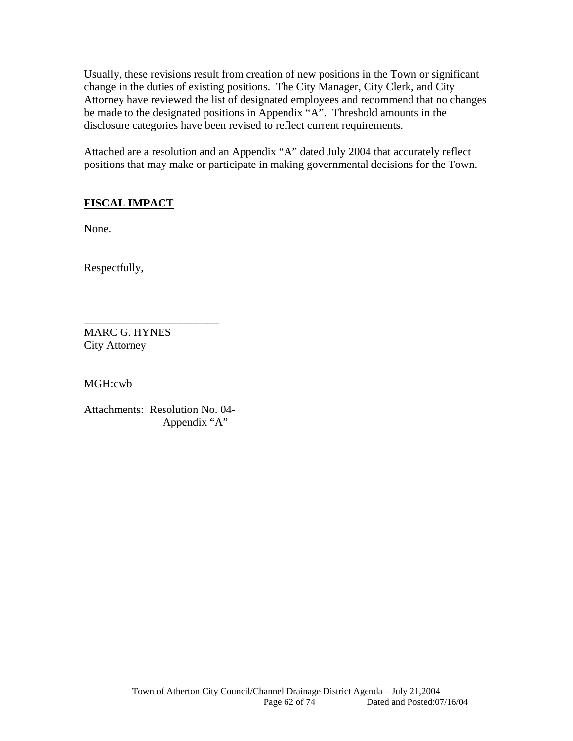Usually, these revisions result from creation of new positions in the Town or significant change in the duties of existing positions. The City Manager, City Clerk, and City Attorney have reviewed the list of designated employees and recommend that no changes be made to the designated positions in Appendix "A". Threshold amounts in the disclosure categories have been revised to reflect current requirements.

Attached are a resolution and an Appendix "A" dated July 2004 that accurately reflect positions that may make or participate in making governmental decisions for the Town.

## **FISCAL IMPACT**

None.

Respectfully,

MARC G. HYNES City Attorney

MGH:cwb

Attachments: Resolution No. 04- Appendix "A"

\_\_\_\_\_\_\_\_\_\_\_\_\_\_\_\_\_\_\_\_\_\_\_\_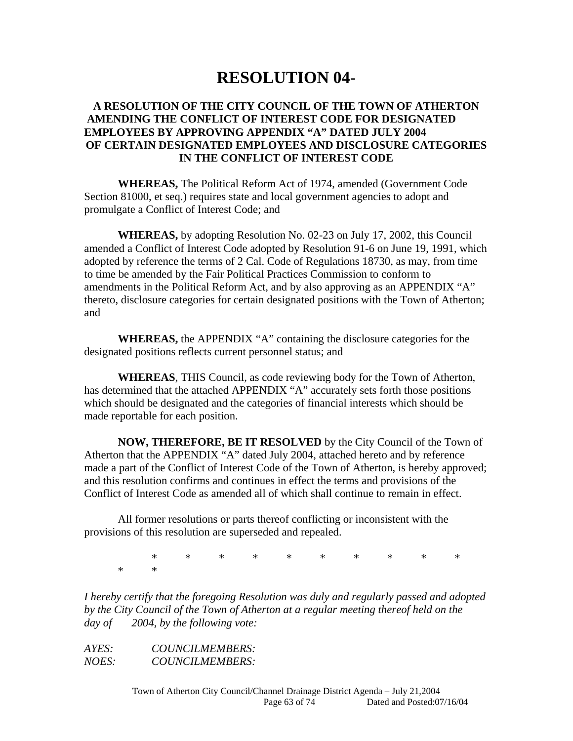# **RESOLUTION 04-**

### **A RESOLUTION OF THE CITY COUNCIL OF THE TOWN OF ATHERTON AMENDING THE CONFLICT OF INTEREST CODE FOR DESIGNATED EMPLOYEES BY APPROVING APPENDIX "A" DATED JULY 2004 OF CERTAIN DESIGNATED EMPLOYEES AND DISCLOSURE CATEGORIES IN THE CONFLICT OF INTEREST CODE**

**WHEREAS,** The Political Reform Act of 1974, amended (Government Code Section 81000, et seq.) requires state and local government agencies to adopt and promulgate a Conflict of Interest Code; and

**WHEREAS,** by adopting Resolution No. 02-23 on July 17, 2002, this Council amended a Conflict of Interest Code adopted by Resolution 91-6 on June 19, 1991, which adopted by reference the terms of 2 Cal. Code of Regulations 18730, as may, from time to time be amended by the Fair Political Practices Commission to conform to amendments in the Political Reform Act, and by also approving as an APPENDIX "A" thereto, disclosure categories for certain designated positions with the Town of Atherton; and

**WHEREAS,** the APPENDIX "A" containing the disclosure categories for the designated positions reflects current personnel status; and

**WHEREAS**, THIS Council, as code reviewing body for the Town of Atherton, has determined that the attached APPENDIX "A" accurately sets forth those positions which should be designated and the categories of financial interests which should be made reportable for each position.

**NOW, THEREFORE, BE IT RESOLVED** by the City Council of the Town of Atherton that the APPENDIX "A" dated July 2004, attached hereto and by reference made a part of the Conflict of Interest Code of the Town of Atherton, is hereby approved; and this resolution confirms and continues in effect the terms and provisions of the Conflict of Interest Code as amended all of which shall continue to remain in effect.

 All former resolutions or parts thereof conflicting or inconsistent with the provisions of this resolution are superseded and repealed.

 \* \* \* \* \* \* \* \* \* \* \* \*

*I hereby certify that the foregoing Resolution was duly and regularly passed and adopted by the City Council of the Town of Atherton at a regular meeting thereof held on the day of 2004, by the following vote:* 

*AYES: COUNCILMEMBERS: NOES: COUNCILMEMBERS:*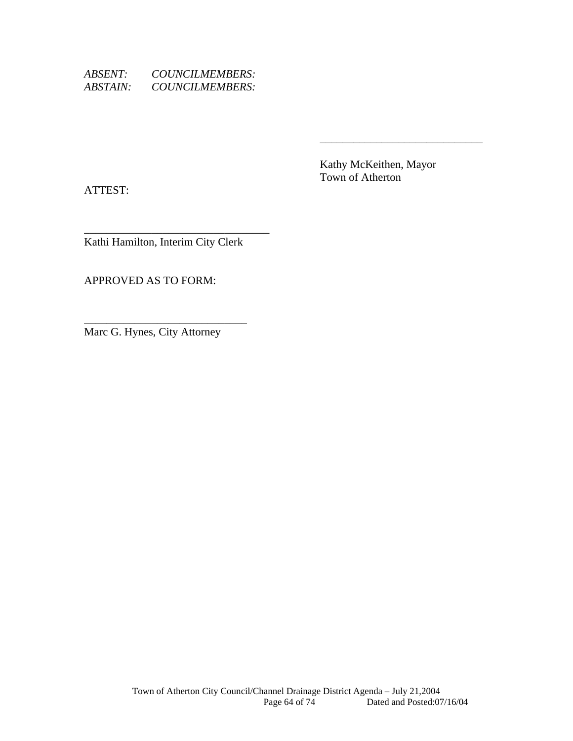| <i>ABSENT:</i>         | COUNCILMEMBERS: |
|------------------------|-----------------|
| <i><b>ABSTAIN:</b></i> | COUNCILMEMBERS: |

 Kathy McKeithen, Mayor Town of Atherton

 $\overline{\phantom{a}}$  , and the contract of the contract of the contract of the contract of the contract of the contract of the contract of the contract of the contract of the contract of the contract of the contract of the contrac

ATTEST:

\_\_\_\_\_\_\_\_\_\_\_\_\_\_\_\_\_\_\_\_\_\_\_\_\_\_\_\_\_\_\_\_\_ Kathi Hamilton, Interim City Clerk

APPROVED AS TO FORM:

Marc G. Hynes, City Attorney

\_\_\_\_\_\_\_\_\_\_\_\_\_\_\_\_\_\_\_\_\_\_\_\_\_\_\_\_\_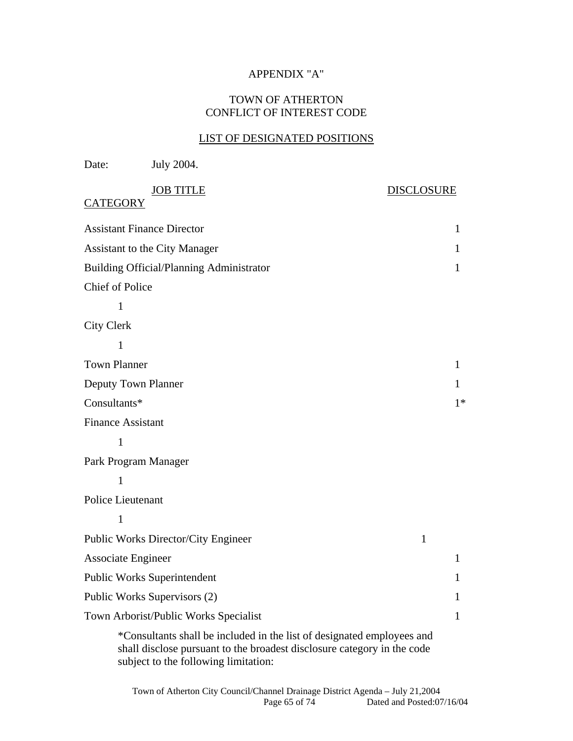## APPENDIX "A"

### TOWN OF ATHERTON CONFLICT OF INTEREST CODE

#### LIST OF DESIGNATED POSITIONS

| Date:                     | July 2004.                                                                                                                                        |                   |
|---------------------------|---------------------------------------------------------------------------------------------------------------------------------------------------|-------------------|
| <b>CATEGORY</b>           | <b>JOB TITLE</b>                                                                                                                                  | <b>DISCLOSURE</b> |
|                           | <b>Assistant Finance Director</b>                                                                                                                 | 1                 |
|                           | <b>Assistant to the City Manager</b>                                                                                                              | 1                 |
|                           | <b>Building Official/Planning Administrator</b>                                                                                                   | 1                 |
| Chief of Police           |                                                                                                                                                   |                   |
| $\mathbf{1}$              |                                                                                                                                                   |                   |
| <b>City Clerk</b>         |                                                                                                                                                   |                   |
| 1                         |                                                                                                                                                   |                   |
| <b>Town Planner</b>       |                                                                                                                                                   | 1                 |
| Deputy Town Planner       |                                                                                                                                                   | 1                 |
| Consultants*              |                                                                                                                                                   | $1*$              |
| <b>Finance Assistant</b>  |                                                                                                                                                   |                   |
| $\mathbf{1}$              |                                                                                                                                                   |                   |
| Park Program Manager      |                                                                                                                                                   |                   |
| $\mathbf{1}$              |                                                                                                                                                   |                   |
| Police Lieutenant         |                                                                                                                                                   |                   |
| $\mathbf{1}$              |                                                                                                                                                   |                   |
|                           | Public Works Director/City Engineer                                                                                                               | 1                 |
| <b>Associate Engineer</b> |                                                                                                                                                   | 1                 |
|                           | Public Works Superintendent                                                                                                                       | 1                 |
|                           | Public Works Supervisors (2)                                                                                                                      | 1                 |
|                           | Town Arborist/Public Works Specialist                                                                                                             | 1                 |
|                           | *Consultants shall be included in the list of designated employees and<br>shall disclose pursuant to the broadest disclosure category in the code |                   |

subject to the following limitation: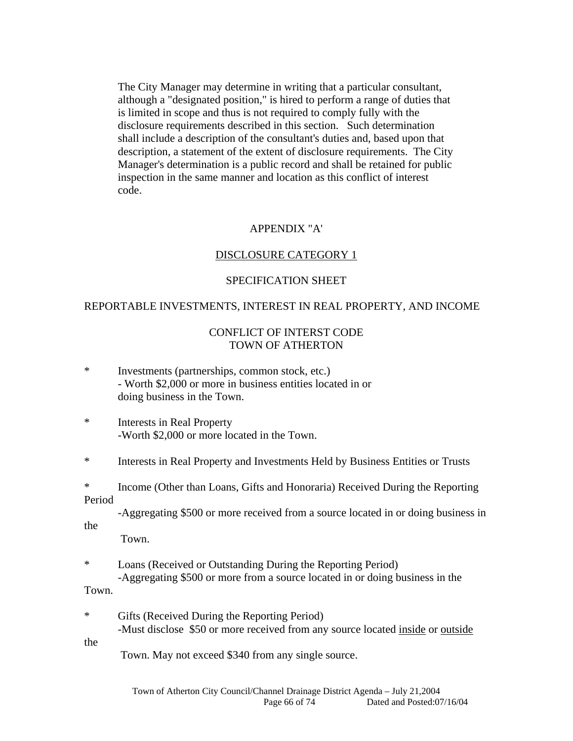The City Manager may determine in writing that a particular consultant, although a "designated position," is hired to perform a range of duties that is limited in scope and thus is not required to comply fully with the disclosure requirements described in this section. Such determination shall include a description of the consultant's duties and, based upon that description, a statement of the extent of disclosure requirements. The City Manager's determination is a public record and shall be retained for public inspection in the same manner and location as this conflict of interest code.

#### APPENDIX "A'

#### DISCLOSURE CATEGORY 1

#### SPECIFICATION SHEET

#### REPORTABLE INVESTMENTS, INTEREST IN REAL PROPERTY, AND INCOME

#### CONFLICT OF INTERST CODE TOWN OF ATHERTON

| $\ast$ | Investments (partnerships, common stock, etc.)             |
|--------|------------------------------------------------------------|
|        | - Worth \$2,000 or more in business entities located in or |
|        | doing business in the Town.                                |

\* Interests in Real Property -Worth \$2,000 or more located in the Town.

\* Interests in Real Property and Investments Held by Business Entities or Trusts

\* Income (Other than Loans, Gifts and Honoraria) Received During the Reporting Period

 -Aggregating \$500 or more received from a source located in or doing business in the

Town.

\* Loans (Received or Outstanding During the Reporting Period) -Aggregating \$500 or more from a source located in or doing business in the

#### Town.

\* Gifts (Received During the Reporting Period) -Must disclose \$50 or more received from any source located inside or outside

the

Town. May not exceed \$340 from any single source.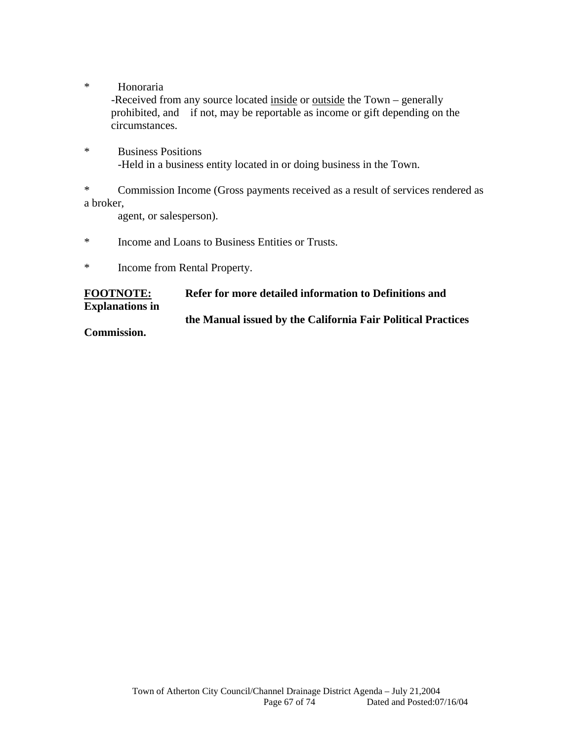\* Honoraria

-Received from any source located inside or outside the Town – generally prohibited, and if not, may be reportable as income or gift depending on the circumstances.

\* Business Positions -Held in a business entity located in or doing business in the Town.

\* Commission Income (Gross payments received as a result of services rendered as a broker,

agent, or salesperson).

- \* Income and Loans to Business Entities or Trusts.
- \* Income from Rental Property.

**FOOTNOTE: Refer for more detailed information to Definitions and** 

**Explanations in** 

## **the Manual issued by the California Fair Political Practices**

**Commission.**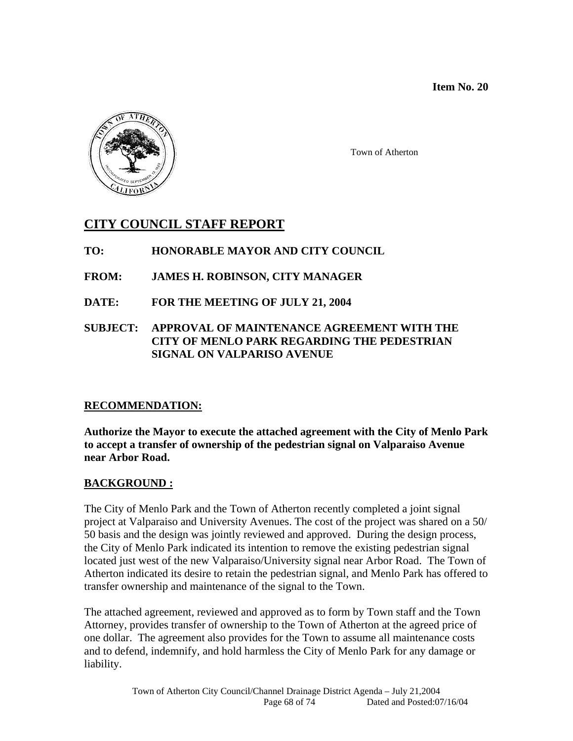**Item No. 20** 



Town of Atherton

## **CITY COUNCIL STAFF REPORT**

## **TO: HONORABLE MAYOR AND CITY COUNCIL**

- **FROM: JAMES H. ROBINSON, CITY MANAGER**
- **DATE: FOR THE MEETING OF JULY 21, 2004**

## **SUBJECT: APPROVAL OF MAINTENANCE AGREEMENT WITH THE CITY OF MENLO PARK REGARDING THE PEDESTRIAN SIGNAL ON VALPARISO AVENUE**

## **RECOMMENDATION:**

**Authorize the Mayor to execute the attached agreement with the City of Menlo Park to accept a transfer of ownership of the pedestrian signal on Valparaiso Avenue near Arbor Road.** 

## **BACKGROUND :**

The City of Menlo Park and the Town of Atherton recently completed a joint signal project at Valparaiso and University Avenues. The cost of the project was shared on a 50/ 50 basis and the design was jointly reviewed and approved. During the design process, the City of Menlo Park indicated its intention to remove the existing pedestrian signal located just west of the new Valparaiso/University signal near Arbor Road. The Town of Atherton indicated its desire to retain the pedestrian signal, and Menlo Park has offered to transfer ownership and maintenance of the signal to the Town.

The attached agreement, reviewed and approved as to form by Town staff and the Town Attorney, provides transfer of ownership to the Town of Atherton at the agreed price of one dollar. The agreement also provides for the Town to assume all maintenance costs and to defend, indemnify, and hold harmless the City of Menlo Park for any damage or liability.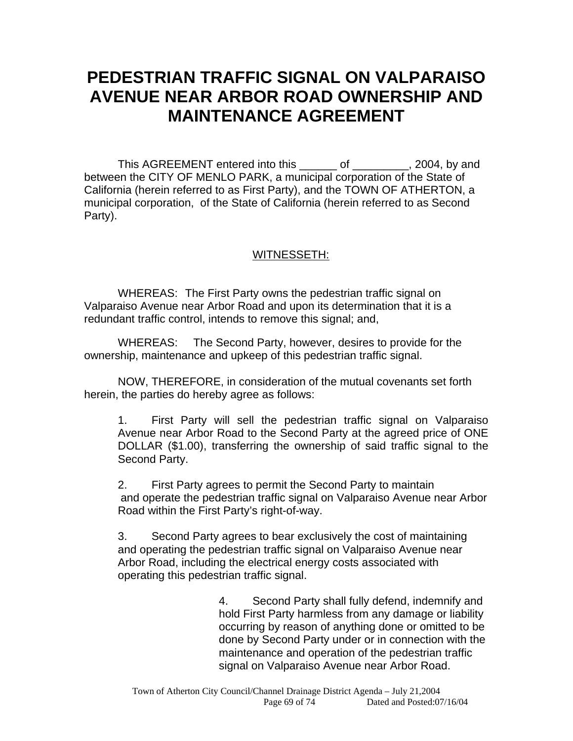# **PEDESTRIAN TRAFFIC SIGNAL ON VALPARAISO AVENUE NEAR ARBOR ROAD OWNERSHIP AND MAINTENANCE AGREEMENT**

This AGREEMENT entered into this \_\_\_\_\_\_ of \_\_\_\_\_\_\_\_, 2004, by and between the CITY OF MENLO PARK, a municipal corporation of the State of California (herein referred to as First Party), and the TOWN OF ATHERTON, a municipal corporation, of the State of California (herein referred to as Second Party).

## WITNESSETH:

WHEREAS: The First Party owns the pedestrian traffic signal on Valparaiso Avenue near Arbor Road and upon its determination that it is a redundant traffic control, intends to remove this signal; and,

WHEREAS: The Second Party, however, desires to provide for the ownership, maintenance and upkeep of this pedestrian traffic signal.

NOW, THEREFORE, in consideration of the mutual covenants set forth herein, the parties do hereby agree as follows:

1. First Party will sell the pedestrian traffic signal on Valparaiso Avenue near Arbor Road to the Second Party at the agreed price of ONE DOLLAR (\$1.00), transferring the ownership of said traffic signal to the Second Party.

2. First Party agrees to permit the Second Party to maintain and operate the pedestrian traffic signal on Valparaiso Avenue near Arbor Road within the First Party's right-of-way.

3. Second Party agrees to bear exclusively the cost of maintaining and operating the pedestrian traffic signal on Valparaiso Avenue near Arbor Road, including the electrical energy costs associated with operating this pedestrian traffic signal.

> 4. Second Party shall fully defend, indemnify and hold First Party harmless from any damage or liability occurring by reason of anything done or omitted to be done by Second Party under or in connection with the maintenance and operation of the pedestrian traffic signal on Valparaiso Avenue near Arbor Road.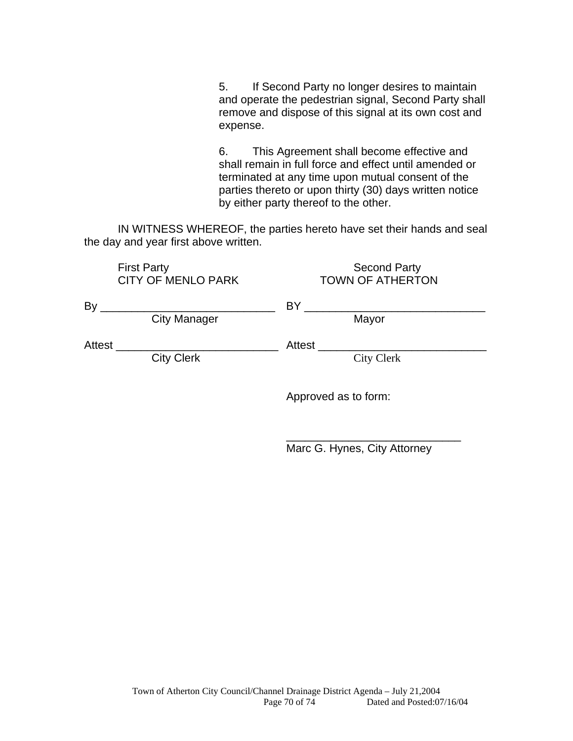5. If Second Party no longer desires to maintain and operate the pedestrian signal, Second Party shall remove and dispose of this signal at its own cost and expense.

6. This Agreement shall become effective and shall remain in full force and effect until amended or terminated at any time upon mutual consent of the parties thereto or upon thirty (30) days written notice by either party thereof to the other.

 IN WITNESS WHEREOF, the parties hereto have set their hands and seal the day and year first above written.

|        | <b>First Party</b><br><b>CITY OF MENLO PARK</b> | <b>Second Party</b><br><b>TOWN OF ATHERTON</b> |
|--------|-------------------------------------------------|------------------------------------------------|
| By     | <b>City Manager</b>                             | BY<br>Mayor                                    |
| Attest | <b>City Clerk</b>                               | Attest<br><b>City Clerk</b>                    |
|        |                                                 | Approved as to form:                           |

 $\frac{1}{\sqrt{2\pi}}$  , which is a set of the set of the set of the set of the set of the set of the set of the set of the set of the set of the set of the set of the set of the set of the set of the set of the set of the set of

Marc G. Hynes, City Attorney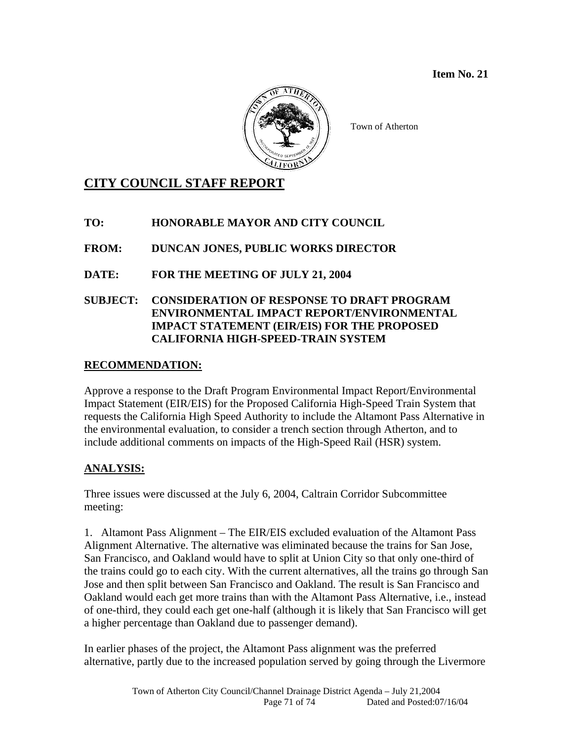

Town of Atherton

## **CITY COUNCIL STAFF REPORT**

**TO: HONORABLE MAYOR AND CITY COUNCIL** 

**FROM: DUNCAN JONES, PUBLIC WORKS DIRECTOR** 

**DATE: FOR THE MEETING OF JULY 21, 2004** 

## **SUBJECT: CONSIDERATION OF RESPONSE TO DRAFT PROGRAM ENVIRONMENTAL IMPACT REPORT/ENVIRONMENTAL IMPACT STATEMENT (EIR/EIS) FOR THE PROPOSED CALIFORNIA HIGH-SPEED-TRAIN SYSTEM**

## **RECOMMENDATION:**

Approve a response to the Draft Program Environmental Impact Report/Environmental Impact Statement (EIR/EIS) for the Proposed California High-Speed Train System that requests the California High Speed Authority to include the Altamont Pass Alternative in the environmental evaluation, to consider a trench section through Atherton, and to include additional comments on impacts of the High-Speed Rail (HSR) system.

## **ANALYSIS:**

Three issues were discussed at the July 6, 2004, Caltrain Corridor Subcommittee meeting:

1. Altamont Pass Alignment – The EIR/EIS excluded evaluation of the Altamont Pass Alignment Alternative. The alternative was eliminated because the trains for San Jose, San Francisco, and Oakland would have to split at Union City so that only one-third of the trains could go to each city. With the current alternatives, all the trains go through San Jose and then split between San Francisco and Oakland. The result is San Francisco and Oakland would each get more trains than with the Altamont Pass Alternative, i.e., instead of one-third, they could each get one-half (although it is likely that San Francisco will get a higher percentage than Oakland due to passenger demand).

In earlier phases of the project, the Altamont Pass alignment was the preferred alternative, partly due to the increased population served by going through the Livermore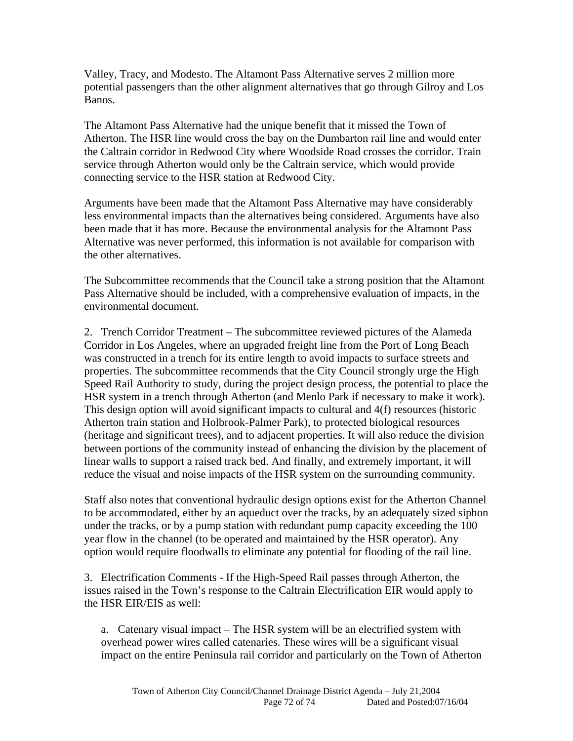Valley, Tracy, and Modesto. The Altamont Pass Alternative serves 2 million more potential passengers than the other alignment alternatives that go through Gilroy and Los Banos.

The Altamont Pass Alternative had the unique benefit that it missed the Town of Atherton. The HSR line would cross the bay on the Dumbarton rail line and would enter the Caltrain corridor in Redwood City where Woodside Road crosses the corridor. Train service through Atherton would only be the Caltrain service, which would provide connecting service to the HSR station at Redwood City.

Arguments have been made that the Altamont Pass Alternative may have considerably less environmental impacts than the alternatives being considered. Arguments have also been made that it has more. Because the environmental analysis for the Altamont Pass Alternative was never performed, this information is not available for comparison with the other alternatives.

The Subcommittee recommends that the Council take a strong position that the Altamont Pass Alternative should be included, with a comprehensive evaluation of impacts, in the environmental document.

2. Trench Corridor Treatment – The subcommittee reviewed pictures of the Alameda Corridor in Los Angeles, where an upgraded freight line from the Port of Long Beach was constructed in a trench for its entire length to avoid impacts to surface streets and properties. The subcommittee recommends that the City Council strongly urge the High Speed Rail Authority to study, during the project design process, the potential to place the HSR system in a trench through Atherton (and Menlo Park if necessary to make it work). This design option will avoid significant impacts to cultural and 4(f) resources (historic Atherton train station and Holbrook-Palmer Park), to protected biological resources (heritage and significant trees), and to adjacent properties. It will also reduce the division between portions of the community instead of enhancing the division by the placement of linear walls to support a raised track bed. And finally, and extremely important, it will reduce the visual and noise impacts of the HSR system on the surrounding community.

Staff also notes that conventional hydraulic design options exist for the Atherton Channel to be accommodated, either by an aqueduct over the tracks, by an adequately sized siphon under the tracks, or by a pump station with redundant pump capacity exceeding the 100 year flow in the channel (to be operated and maintained by the HSR operator). Any option would require floodwalls to eliminate any potential for flooding of the rail line.

3. Electrification Comments - If the High-Speed Rail passes through Atherton, the issues raised in the Town's response to the Caltrain Electrification EIR would apply to the HSR EIR/EIS as well:

a. Catenary visual impact – The HSR system will be an electrified system with overhead power wires called catenaries. These wires will be a significant visual impact on the entire Peninsula rail corridor and particularly on the Town of Atherton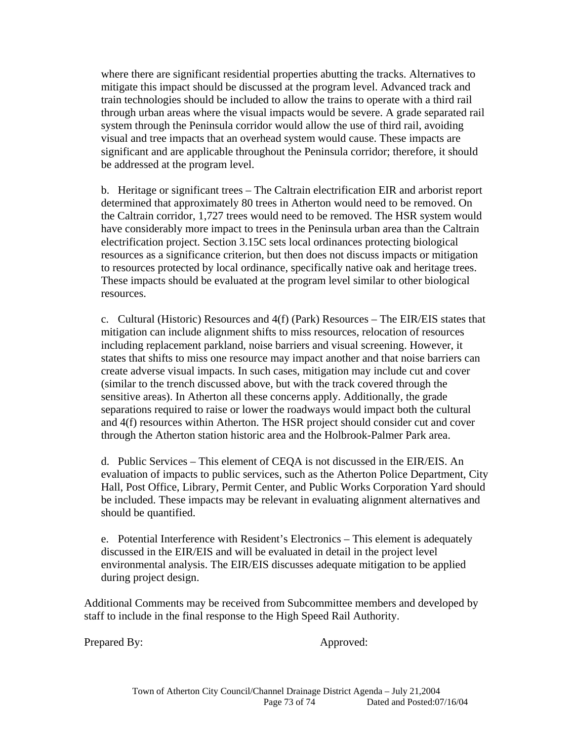where there are significant residential properties abutting the tracks. Alternatives to mitigate this impact should be discussed at the program level. Advanced track and train technologies should be included to allow the trains to operate with a third rail through urban areas where the visual impacts would be severe. A grade separated rail system through the Peninsula corridor would allow the use of third rail, avoiding visual and tree impacts that an overhead system would cause. These impacts are significant and are applicable throughout the Peninsula corridor; therefore, it should be addressed at the program level.

b. Heritage or significant trees – The Caltrain electrification EIR and arborist report determined that approximately 80 trees in Atherton would need to be removed. On the Caltrain corridor, 1,727 trees would need to be removed. The HSR system would have considerably more impact to trees in the Peninsula urban area than the Caltrain electrification project. Section 3.15C sets local ordinances protecting biological resources as a significance criterion, but then does not discuss impacts or mitigation to resources protected by local ordinance, specifically native oak and heritage trees. These impacts should be evaluated at the program level similar to other biological resources.

c. Cultural (Historic) Resources and 4(f) (Park) Resources – The EIR/EIS states that mitigation can include alignment shifts to miss resources, relocation of resources including replacement parkland, noise barriers and visual screening. However, it states that shifts to miss one resource may impact another and that noise barriers can create adverse visual impacts. In such cases, mitigation may include cut and cover (similar to the trench discussed above, but with the track covered through the sensitive areas). In Atherton all these concerns apply. Additionally, the grade separations required to raise or lower the roadways would impact both the cultural and 4(f) resources within Atherton. The HSR project should consider cut and cover through the Atherton station historic area and the Holbrook-Palmer Park area.

d. Public Services – This element of CEQA is not discussed in the EIR/EIS. An evaluation of impacts to public services, such as the Atherton Police Department, City Hall, Post Office, Library, Permit Center, and Public Works Corporation Yard should be included. These impacts may be relevant in evaluating alignment alternatives and should be quantified.

e. Potential Interference with Resident's Electronics – This element is adequately discussed in the EIR/EIS and will be evaluated in detail in the project level environmental analysis. The EIR/EIS discusses adequate mitigation to be applied during project design.

Additional Comments may be received from Subcommittee members and developed by staff to include in the final response to the High Speed Rail Authority.

Prepared By: Approved: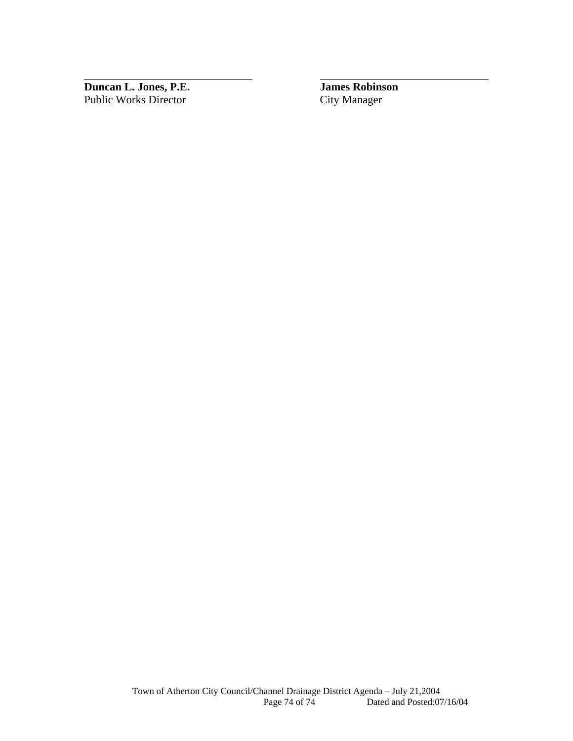**Duncan L. Jones, P.E. James Robinson**  Public Works Director City Manager

 $\overline{a}$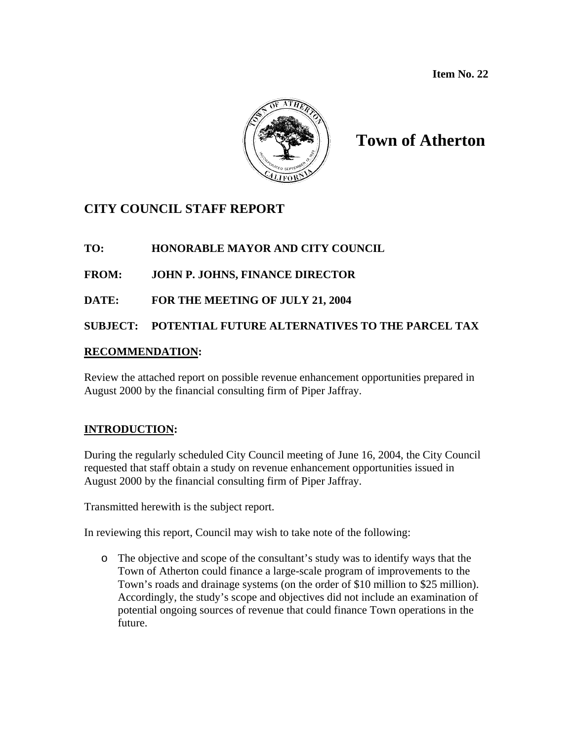

# **Town of Atherton**

## **CITY COUNCIL STAFF REPORT**

## **TO: HONORABLE MAYOR AND CITY COUNCIL**

## **FROM: JOHN P. JOHNS, FINANCE DIRECTOR**

## **DATE: FOR THE MEETING OF JULY 21, 2004**

**SUBJECT: POTENTIAL FUTURE ALTERNATIVES TO THE PARCEL TAX** 

## **RECOMMENDATION:**

Review the attached report on possible revenue enhancement opportunities prepared in August 2000 by the financial consulting firm of Piper Jaffray.

## **INTRODUCTION:**

During the regularly scheduled City Council meeting of June 16, 2004, the City Council requested that staff obtain a study on revenue enhancement opportunities issued in August 2000 by the financial consulting firm of Piper Jaffray.

Transmitted herewith is the subject report.

In reviewing this report, Council may wish to take note of the following:

o The objective and scope of the consultant's study was to identify ways that the Town of Atherton could finance a large-scale program of improvements to the Town's roads and drainage systems (on the order of \$10 million to \$25 million). Accordingly, the study's scope and objectives did not include an examination of potential ongoing sources of revenue that could finance Town operations in the future.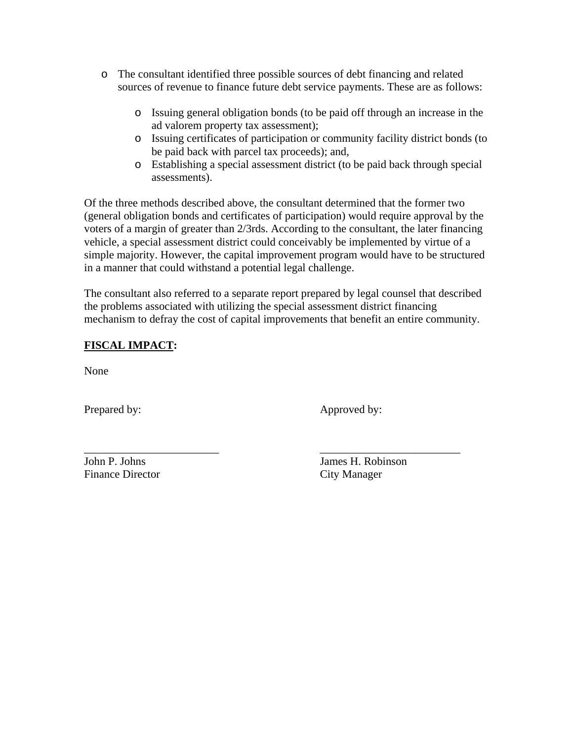- o The consultant identified three possible sources of debt financing and related sources of revenue to finance future debt service payments. These are as follows:
	- o Issuing general obligation bonds (to be paid off through an increase in the ad valorem property tax assessment);
	- o Issuing certificates of participation or community facility district bonds (to be paid back with parcel tax proceeds); and,
	- o Establishing a special assessment district (to be paid back through special assessments).

Of the three methods described above, the consultant determined that the former two (general obligation bonds and certificates of participation) would require approval by the voters of a margin of greater than 2/3rds. According to the consultant, the later financing vehicle, a special assessment district could conceivably be implemented by virtue of a simple majority. However, the capital improvement program would have to be structured in a manner that could withstand a potential legal challenge.

The consultant also referred to a separate report prepared by legal counsel that described the problems associated with utilizing the special assessment district financing mechanism to defray the cost of capital improvements that benefit an entire community.

\_\_\_\_\_\_\_\_\_\_\_\_\_\_\_\_\_\_\_\_\_\_\_\_ \_\_\_\_\_\_\_\_\_\_\_\_\_\_\_\_\_\_\_\_\_\_\_\_\_

## **FISCAL IMPACT:**

None

Prepared by: Approved by:

Finance Director City Manager

John P. Johns James H. Robinson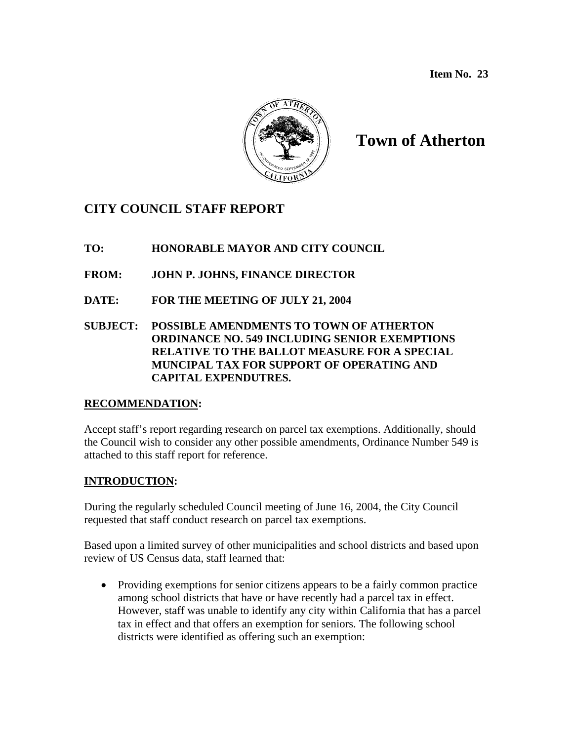

# **Town of Atherton**

## **CITY COUNCIL STAFF REPORT**

- **TO: HONORABLE MAYOR AND CITY COUNCIL**
- **FROM: JOHN P. JOHNS, FINANCE DIRECTOR**
- **DATE: FOR THE MEETING OF JULY 21, 2004**
- **SUBJECT: POSSIBLE AMENDMENTS TO TOWN OF ATHERTON ORDINANCE NO. 549 INCLUDING SENIOR EXEMPTIONS RELATIVE TO THE BALLOT MEASURE FOR A SPECIAL MUNCIPAL TAX FOR SUPPORT OF OPERATING AND CAPITAL EXPENDUTRES.**

## **RECOMMENDATION:**

Accept staff's report regarding research on parcel tax exemptions. Additionally, should the Council wish to consider any other possible amendments, Ordinance Number 549 is attached to this staff report for reference.

## **INTRODUCTION:**

During the regularly scheduled Council meeting of June 16, 2004, the City Council requested that staff conduct research on parcel tax exemptions.

Based upon a limited survey of other municipalities and school districts and based upon review of US Census data, staff learned that:

• Providing exemptions for senior citizens appears to be a fairly common practice among school districts that have or have recently had a parcel tax in effect. However, staff was unable to identify any city within California that has a parcel tax in effect and that offers an exemption for seniors. The following school districts were identified as offering such an exemption: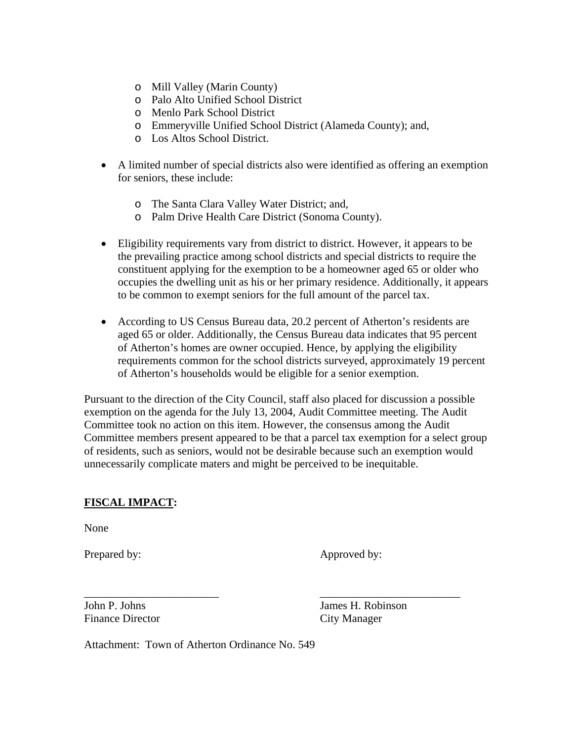- o Mill Valley (Marin County)
- o Palo Alto Unified School District
- o Menlo Park School District
- o Emmeryville Unified School District (Alameda County); and,
- o Los Altos School District.
- A limited number of special districts also were identified as offering an exemption for seniors, these include:
	- o The Santa Clara Valley Water District; and,
	- o Palm Drive Health Care District (Sonoma County).
- Eligibility requirements vary from district to district. However, it appears to be the prevailing practice among school districts and special districts to require the constituent applying for the exemption to be a homeowner aged 65 or older who occupies the dwelling unit as his or her primary residence. Additionally, it appears to be common to exempt seniors for the full amount of the parcel tax.
- According to US Census Bureau data, 20.2 percent of Atherton's residents are aged 65 or older. Additionally, the Census Bureau data indicates that 95 percent of Atherton's homes are owner occupied. Hence, by applying the eligibility requirements common for the school districts surveyed, approximately 19 percent of Atherton's households would be eligible for a senior exemption.

Pursuant to the direction of the City Council, staff also placed for discussion a possible exemption on the agenda for the July 13, 2004, Audit Committee meeting. The Audit Committee took no action on this item. However, the consensus among the Audit Committee members present appeared to be that a parcel tax exemption for a select group of residents, such as seniors, would not be desirable because such an exemption would unnecessarily complicate maters and might be perceived to be inequitable.

\_\_\_\_\_\_\_\_\_\_\_\_\_\_\_\_\_\_\_\_\_\_\_\_ \_\_\_\_\_\_\_\_\_\_\_\_\_\_\_\_\_\_\_\_\_\_\_\_\_

## **FISCAL IMPACT:**

None

Prepared by: Approved by:

Finance Director City Manager

John P. Johns James H. Robinson

Attachment: Town of Atherton Ordinance No. 549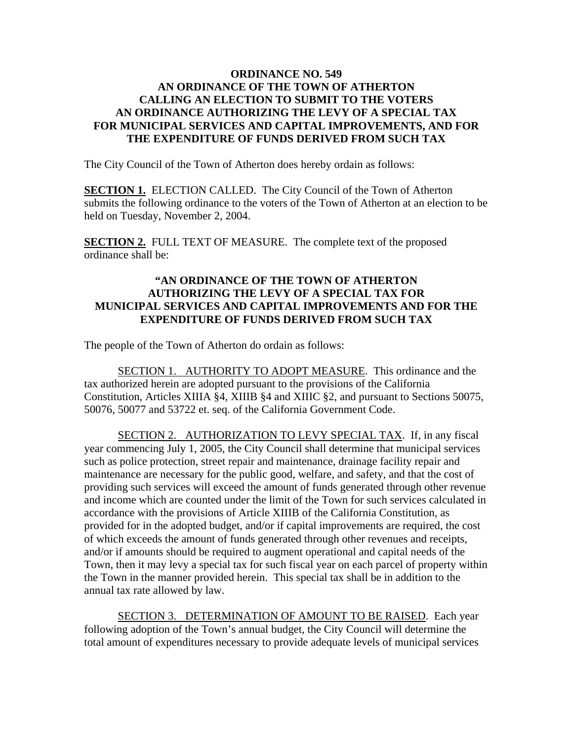### **ORDINANCE NO. 549 AN ORDINANCE OF THE TOWN OF ATHERTON CALLING AN ELECTION TO SUBMIT TO THE VOTERS AN ORDINANCE AUTHORIZING THE LEVY OF A SPECIAL TAX FOR MUNICIPAL SERVICES AND CAPITAL IMPROVEMENTS, AND FOR THE EXPENDITURE OF FUNDS DERIVED FROM SUCH TAX**

The City Council of the Town of Atherton does hereby ordain as follows:

**SECTION 1.** ELECTION CALLED. The City Council of the Town of Atherton submits the following ordinance to the voters of the Town of Atherton at an election to be held on Tuesday, November 2, 2004.

**SECTION 2.** FULL TEXT OF MEASURE. The complete text of the proposed ordinance shall be:

### **"AN ORDINANCE OF THE TOWN OF ATHERTON AUTHORIZING THE LEVY OF A SPECIAL TAX FOR MUNICIPAL SERVICES AND CAPITAL IMPROVEMENTS AND FOR THE EXPENDITURE OF FUNDS DERIVED FROM SUCH TAX**

The people of the Town of Atherton do ordain as follows:

 SECTION 1. AUTHORITY TO ADOPT MEASURE. This ordinance and the tax authorized herein are adopted pursuant to the provisions of the California Constitution, Articles XIIIA §4, XIIIB §4 and XIIIC §2, and pursuant to Sections 50075, 50076, 50077 and 53722 et. seq. of the California Government Code.

SECTION 2. AUTHORIZATION TO LEVY SPECIAL TAX. If, in any fiscal year commencing July 1, 2005, the City Council shall determine that municipal services such as police protection, street repair and maintenance, drainage facility repair and maintenance are necessary for the public good, welfare, and safety, and that the cost of providing such services will exceed the amount of funds generated through other revenue and income which are counted under the limit of the Town for such services calculated in accordance with the provisions of Article XIIIB of the California Constitution, as provided for in the adopted budget, and/or if capital improvements are required, the cost of which exceeds the amount of funds generated through other revenues and receipts, and/or if amounts should be required to augment operational and capital needs of the Town, then it may levy a special tax for such fiscal year on each parcel of property within the Town in the manner provided herein. This special tax shall be in addition to the annual tax rate allowed by law.

 SECTION 3. DETERMINATION OF AMOUNT TO BE RAISED. Each year following adoption of the Town's annual budget, the City Council will determine the total amount of expenditures necessary to provide adequate levels of municipal services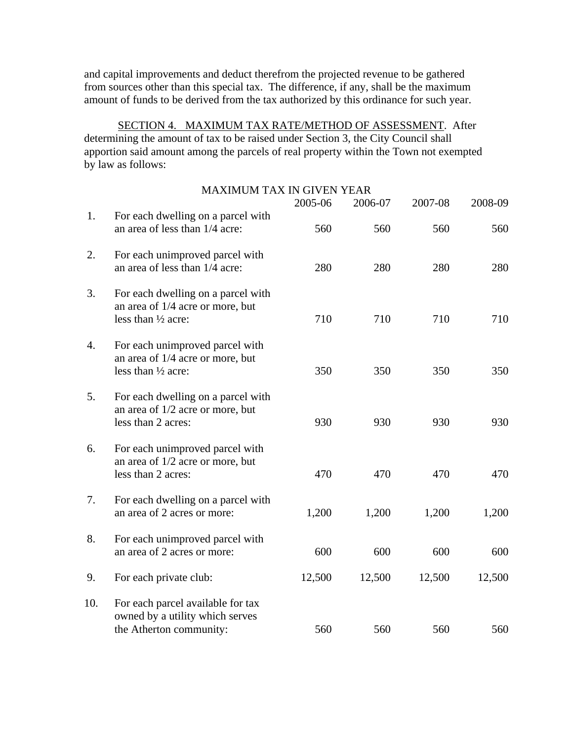and capital improvements and deduct therefrom the projected revenue to be gathered from sources other than this special tax. The difference, if any, shall be the maximum amount of funds to be derived from the tax authorized by this ordinance for such year.

 SECTION 4. MAXIMUM TAX RATE/METHOD OF ASSESSMENT. After determining the amount of tax to be raised under Section 3, the City Council shall apportion said amount among the parcels of real property within the Town not exempted by law as follows:

|     | <b>MAXIMUM TAX IN GIVEN YEAR</b>                                                                | 2005-06 | 2006-07 | 2007-08 | 2008-09 |
|-----|-------------------------------------------------------------------------------------------------|---------|---------|---------|---------|
| 1.  | For each dwelling on a parcel with<br>an area of less than 1/4 acre:                            | 560     | 560     | 560     | 560     |
| 2.  | For each unimproved parcel with<br>an area of less than 1/4 acre:                               | 280     | 280     | 280     | 280     |
| 3.  | For each dwelling on a parcel with<br>an area of 1/4 acre or more, but<br>less than 1/2 acre:   | 710     | 710     | 710     | 710     |
| 4.  | For each unimproved parcel with<br>an area of 1/4 acre or more, but<br>less than 1/2 acre:      | 350     | 350     | 350     | 350     |
| 5.  | For each dwelling on a parcel with<br>an area of 1/2 acre or more, but<br>less than 2 acres:    | 930     | 930     | 930     | 930     |
| 6.  | For each unimproved parcel with<br>an area of 1/2 acre or more, but<br>less than 2 acres:       | 470     | 470     | 470     | 470     |
| 7.  | For each dwelling on a parcel with<br>an area of 2 acres or more:                               | 1,200   | 1,200   | 1,200   | 1,200   |
| 8.  | For each unimproved parcel with<br>an area of 2 acres or more:                                  | 600     | 600     | 600     | 600     |
| 9.  | For each private club:                                                                          | 12,500  | 12,500  | 12,500  | 12,500  |
| 10. | For each parcel available for tax<br>owned by a utility which serves<br>the Atherton community: | 560     | 560     | 560     | 560     |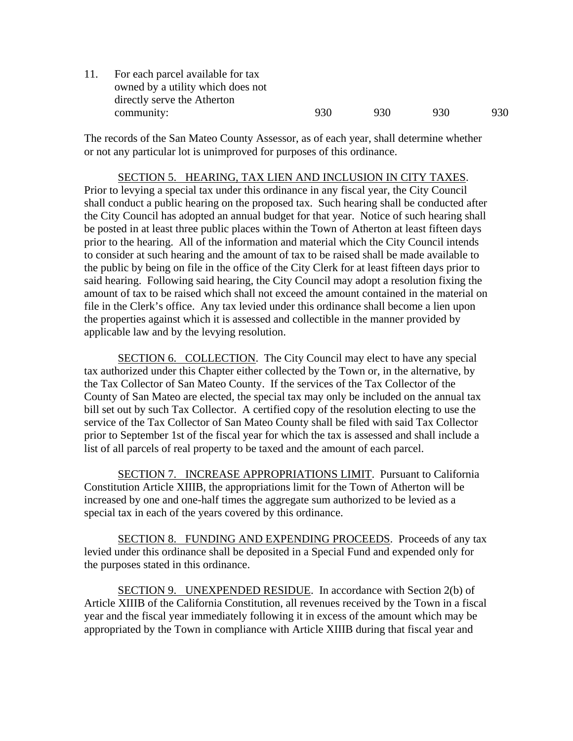| 11. | For each parcel available for tax |     |     |     |     |
|-----|-----------------------------------|-----|-----|-----|-----|
|     | owned by a utility which does not |     |     |     |     |
|     | directly serve the Atherton       |     |     |     |     |
|     | community:                        | 930 | 930 | 930 | 930 |
|     |                                   |     |     |     |     |

The records of the San Mateo County Assessor, as of each year, shall determine whether or not any particular lot is unimproved for purposes of this ordinance.

#### SECTION 5. HEARING, TAX LIEN AND INCLUSION IN CITY TAXES.

Prior to levying a special tax under this ordinance in any fiscal year, the City Council shall conduct a public hearing on the proposed tax. Such hearing shall be conducted after the City Council has adopted an annual budget for that year. Notice of such hearing shall be posted in at least three public places within the Town of Atherton at least fifteen days prior to the hearing. All of the information and material which the City Council intends to consider at such hearing and the amount of tax to be raised shall be made available to the public by being on file in the office of the City Clerk for at least fifteen days prior to said hearing. Following said hearing, the City Council may adopt a resolution fixing the amount of tax to be raised which shall not exceed the amount contained in the material on file in the Clerk's office. Any tax levied under this ordinance shall become a lien upon the properties against which it is assessed and collectible in the manner provided by applicable law and by the levying resolution.

 SECTION 6. COLLECTION. The City Council may elect to have any special tax authorized under this Chapter either collected by the Town or, in the alternative, by the Tax Collector of San Mateo County. If the services of the Tax Collector of the County of San Mateo are elected, the special tax may only be included on the annual tax bill set out by such Tax Collector. A certified copy of the resolution electing to use the service of the Tax Collector of San Mateo County shall be filed with said Tax Collector prior to September 1st of the fiscal year for which the tax is assessed and shall include a list of all parcels of real property to be taxed and the amount of each parcel.

SECTION 7. INCREASE APPROPRIATIONS LIMIT. Pursuant to California Constitution Article XIIIB, the appropriations limit for the Town of Atherton will be increased by one and one-half times the aggregate sum authorized to be levied as a special tax in each of the years covered by this ordinance.

SECTION 8. FUNDING AND EXPENDING PROCEEDS. Proceeds of any tax levied under this ordinance shall be deposited in a Special Fund and expended only for the purposes stated in this ordinance.

 SECTION 9. UNEXPENDED RESIDUE. In accordance with Section 2(b) of Article XIIIB of the California Constitution, all revenues received by the Town in a fiscal year and the fiscal year immediately following it in excess of the amount which may be appropriated by the Town in compliance with Article XIIIB during that fiscal year and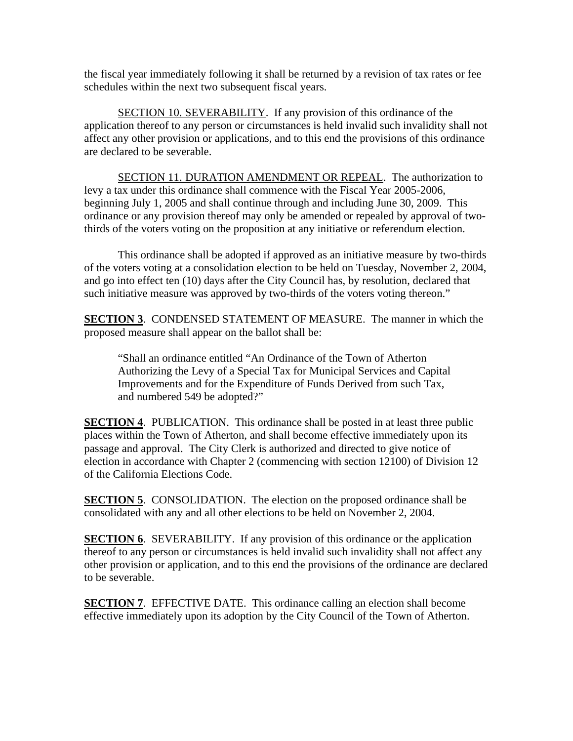the fiscal year immediately following it shall be returned by a revision of tax rates or fee schedules within the next two subsequent fiscal years.

SECTION 10. SEVERABILITY. If any provision of this ordinance of the application thereof to any person or circumstances is held invalid such invalidity shall not affect any other provision or applications, and to this end the provisions of this ordinance are declared to be severable.

SECTION 11. DURATION AMENDMENT OR REPEAL. The authorization to levy a tax under this ordinance shall commence with the Fiscal Year 2005-2006, beginning July 1, 2005 and shall continue through and including June 30, 2009. This ordinance or any provision thereof may only be amended or repealed by approval of twothirds of the voters voting on the proposition at any initiative or referendum election.

 This ordinance shall be adopted if approved as an initiative measure by two-thirds of the voters voting at a consolidation election to be held on Tuesday, November 2, 2004, and go into effect ten (10) days after the City Council has, by resolution, declared that such initiative measure was approved by two-thirds of the voters voting thereon."

**SECTION 3**. CONDENSED STATEMENT OF MEASURE. The manner in which the proposed measure shall appear on the ballot shall be:

"Shall an ordinance entitled "An Ordinance of the Town of Atherton Authorizing the Levy of a Special Tax for Municipal Services and Capital Improvements and for the Expenditure of Funds Derived from such Tax, and numbered 549 be adopted?"

**SECTION 4.** PUBLICATION. This ordinance shall be posted in at least three public places within the Town of Atherton, and shall become effective immediately upon its passage and approval. The City Clerk is authorized and directed to give notice of election in accordance with Chapter 2 (commencing with section 12100) of Division 12 of the California Elections Code.

**SECTION 5.** CONSOLIDATION. The election on the proposed ordinance shall be consolidated with any and all other elections to be held on November 2, 2004.

**SECTION 6.** SEVERABILITY. If any provision of this ordinance or the application thereof to any person or circumstances is held invalid such invalidity shall not affect any other provision or application, and to this end the provisions of the ordinance are declared to be severable.

**SECTION 7**. EFFECTIVE DATE. This ordinance calling an election shall become effective immediately upon its adoption by the City Council of the Town of Atherton.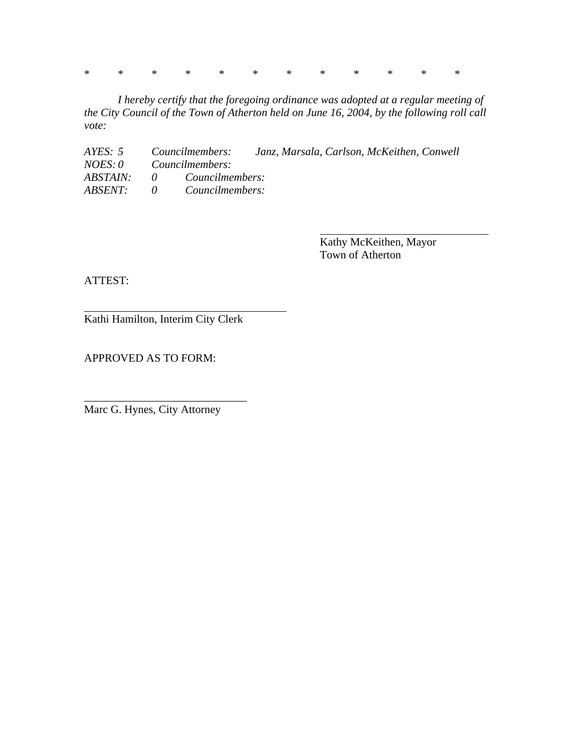\* \* \* \* \* \* \* \* \* \* \* \*

 *I hereby certify that the foregoing ordinance was adopted at a regular meeting of the City Council of the Town of Atherton held on June 16, 2004, by the following roll call vote:* 

*AYES: 5 Councilmembers: Janz, Marsala, Carlson, McKeithen, Conwell NOES: 0 Councilmembers: ABSTAIN: 0 Councilmembers: ABSENT: 0 Councilmembers:* 

> Kathy McKeithen, Mayor Town of Atherton

ATTEST:

Kathi Hamilton, Interim City Clerk

APPROVED AS TO FORM:

Marc G. Hynes, City Attorney

\_\_\_\_\_\_\_\_\_\_\_\_\_\_\_\_\_\_\_\_\_\_\_\_\_\_\_\_\_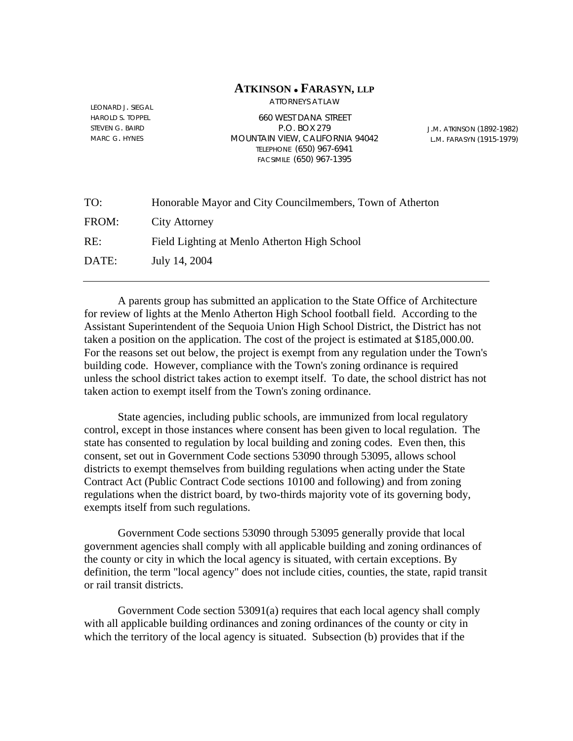### **ATKINSON** <sup>z</sup> **FARASYN, LLP**

ATTORNEYS AT LAW

LEONARD J. SIEGAL HAROLD S. TOPPEL STEVEN G. BAIRD MARC G. HYNES

660 WEST DANA STREET P.O. BOX 279 MOUNTAIN VIEW, CALIFORNIA 94042 TELEPHONE (650) 967-6941 FACSIMILE (650) 967-1395

J.M. ATKINSON (1892-1982) L.M. FARASYN (1915-1979)

| TO:   | Honorable Mayor and City Councilmembers, Town of Atherton |
|-------|-----------------------------------------------------------|
| FROM: | <b>City Attorney</b>                                      |
| RE:   | Field Lighting at Menlo Atherton High School              |
| DATE: | July 14, 2004                                             |
|       |                                                           |

 A parents group has submitted an application to the State Office of Architecture for review of lights at the Menlo Atherton High School football field. According to the Assistant Superintendent of the Sequoia Union High School District, the District has not taken a position on the application. The cost of the project is estimated at \$185,000.00. For the reasons set out below, the project is exempt from any regulation under the Town's building code. However, compliance with the Town's zoning ordinance is required unless the school district takes action to exempt itself. To date, the school district has not taken action to exempt itself from the Town's zoning ordinance.

 State agencies, including public schools, are immunized from local regulatory control, except in those instances where consent has been given to local regulation. The state has consented to regulation by local building and zoning codes. Even then, this consent, set out in Government Code sections 53090 through 53095, allows school districts to exempt themselves from building regulations when acting under the State Contract Act (Public Contract Code sections 10100 and following) and from zoning regulations when the district board, by two-thirds majority vote of its governing body, exempts itself from such regulations.

 Government Code sections 53090 through 53095 generally provide that local government agencies shall comply with all applicable building and zoning ordinances of the county or city in which the local agency is situated, with certain exceptions. By definition, the term "local agency" does not include cities, counties, the state, rapid transit or rail transit districts.

 Government Code section 53091(a) requires that each local agency shall comply with all applicable building ordinances and zoning ordinances of the county or city in which the territory of the local agency is situated. Subsection (b) provides that if the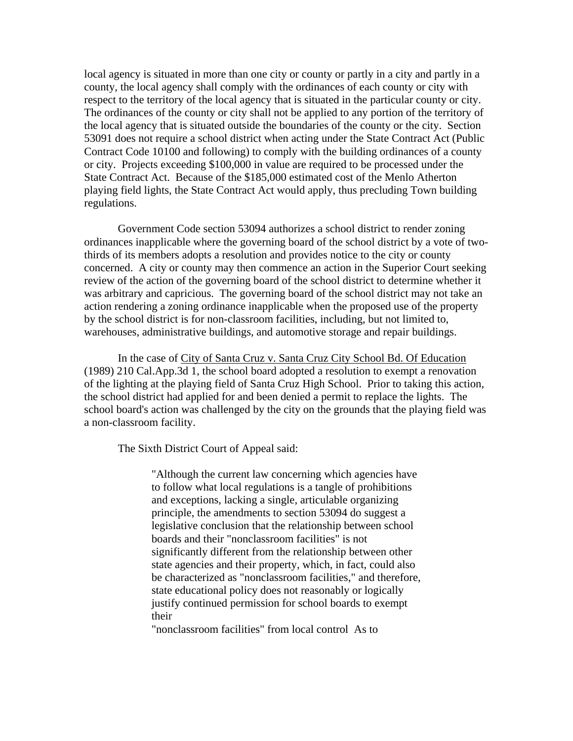local agency is situated in more than one city or county or partly in a city and partly in a county, the local agency shall comply with the ordinances of each county or city with respect to the territory of the local agency that is situated in the particular county or city. The ordinances of the county or city shall not be applied to any portion of the territory of the local agency that is situated outside the boundaries of the county or the city. Section 53091 does not require a school district when acting under the State Contract Act (Public Contract Code 10100 and following) to comply with the building ordinances of a county or city. Projects exceeding \$100,000 in value are required to be processed under the State Contract Act. Because of the \$185,000 estimated cost of the Menlo Atherton playing field lights, the State Contract Act would apply, thus precluding Town building regulations.

 Government Code section 53094 authorizes a school district to render zoning ordinances inapplicable where the governing board of the school district by a vote of twothirds of its members adopts a resolution and provides notice to the city or county concerned. A city or county may then commence an action in the Superior Court seeking review of the action of the governing board of the school district to determine whether it was arbitrary and capricious. The governing board of the school district may not take an action rendering a zoning ordinance inapplicable when the proposed use of the property by the school district is for non-classroom facilities, including, but not limited to, warehouses, administrative buildings, and automotive storage and repair buildings.

 In the case of City of Santa Cruz v. Santa Cruz City School Bd. Of Education (1989) 210 Cal.App.3d 1, the school board adopted a resolution to exempt a renovation of the lighting at the playing field of Santa Cruz High School. Prior to taking this action, the school district had applied for and been denied a permit to replace the lights. The school board's action was challenged by the city on the grounds that the playing field was a non-classroom facility.

The Sixth District Court of Appeal said:

"Although the current law concerning which agencies have to follow what local regulations is a tangle of prohibitions and exceptions, lacking a single, articulable organizing principle, the amendments to section 53094 do suggest a legislative conclusion that the relationship between school boards and their "nonclassroom facilities" is not significantly different from the relationship between other state agencies and their property, which, in fact, could also be characterized as "nonclassroom facilities," and therefore, state educational policy does not reasonably or logically justify continued permission for school boards to exempt their

"nonclassroom facilities" from local control As to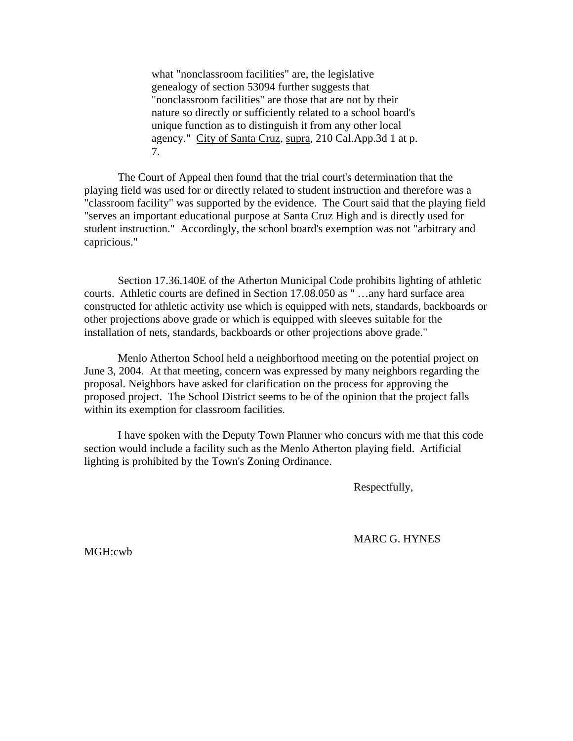what "nonclassroom facilities" are, the legislative genealogy of section 53094 further suggests that "nonclassroom facilities" are those that are not by their nature so directly or sufficiently related to a school board's unique function as to distinguish it from any other local agency." City of Santa Cruz, supra, 210 Cal.App.3d 1 at p. 7.

 The Court of Appeal then found that the trial court's determination that the playing field was used for or directly related to student instruction and therefore was a "classroom facility" was supported by the evidence. The Court said that the playing field "serves an important educational purpose at Santa Cruz High and is directly used for student instruction." Accordingly, the school board's exemption was not "arbitrary and capricious."

Section 17.36.140E of the Atherton Municipal Code prohibits lighting of athletic courts. Athletic courts are defined in Section 17.08.050 as " …any hard surface area constructed for athletic activity use which is equipped with nets, standards, backboards or other projections above grade or which is equipped with sleeves suitable for the installation of nets, standards, backboards or other projections above grade."

Menlo Atherton School held a neighborhood meeting on the potential project on June 3, 2004. At that meeting, concern was expressed by many neighbors regarding the proposal. Neighbors have asked for clarification on the process for approving the proposed project. The School District seems to be of the opinion that the project falls within its exemption for classroom facilities.

 I have spoken with the Deputy Town Planner who concurs with me that this code section would include a facility such as the Menlo Atherton playing field. Artificial lighting is prohibited by the Town's Zoning Ordinance.

Respectfully,

MARC G. HYNES

MGH:cwb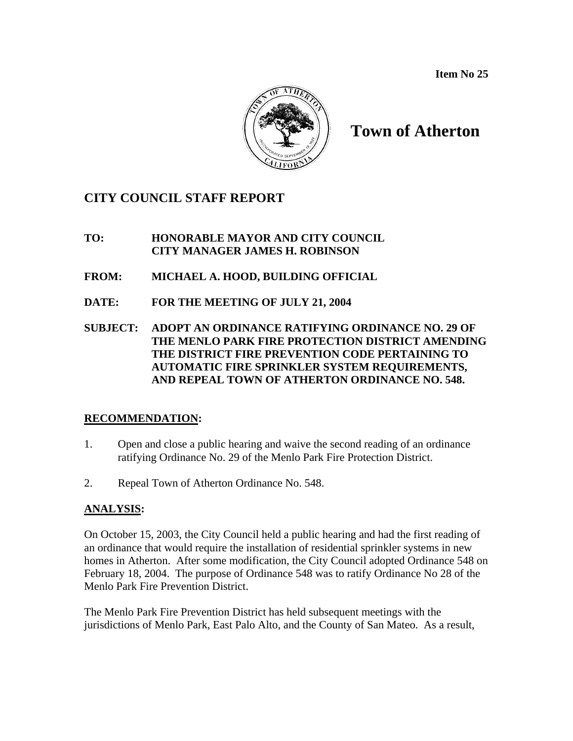

# **Town of Atherton**

## **CITY COUNCIL STAFF REPORT**

**TO: HONORABLE MAYOR AND CITY COUNCIL CITY MANAGER JAMES H. ROBINSON** 

- **FROM: MICHAEL A. HOOD, BUILDING OFFICIAL**
- **DATE: FOR THE MEETING OF JULY 21, 2004**
- **SUBJECT: ADOPT AN ORDINANCE RATIFYING ORDINANCE NO. 29 OF THE MENLO PARK FIRE PROTECTION DISTRICT AMENDING THE DISTRICT FIRE PREVENTION CODE PERTAINING TO AUTOMATIC FIRE SPRINKLER SYSTEM REQUIREMENTS, AND REPEAL TOWN OF ATHERTON ORDINANCE NO. 548.**

## **RECOMMENDATION:**

- 1. Open and close a public hearing and waive the second reading of an ordinance ratifying Ordinance No. 29 of the Menlo Park Fire Protection District.
- 2. Repeal Town of Atherton Ordinance No. 548.

## **ANALYSIS:**

On October 15, 2003, the City Council held a public hearing and had the first reading of an ordinance that would require the installation of residential sprinkler systems in new homes in Atherton. After some modification, the City Council adopted Ordinance 548 on February 18, 2004. The purpose of Ordinance 548 was to ratify Ordinance No 28 of the Menlo Park Fire Prevention District.

The Menlo Park Fire Prevention District has held subsequent meetings with the jurisdictions of Menlo Park, East Palo Alto, and the County of San Mateo. As a result,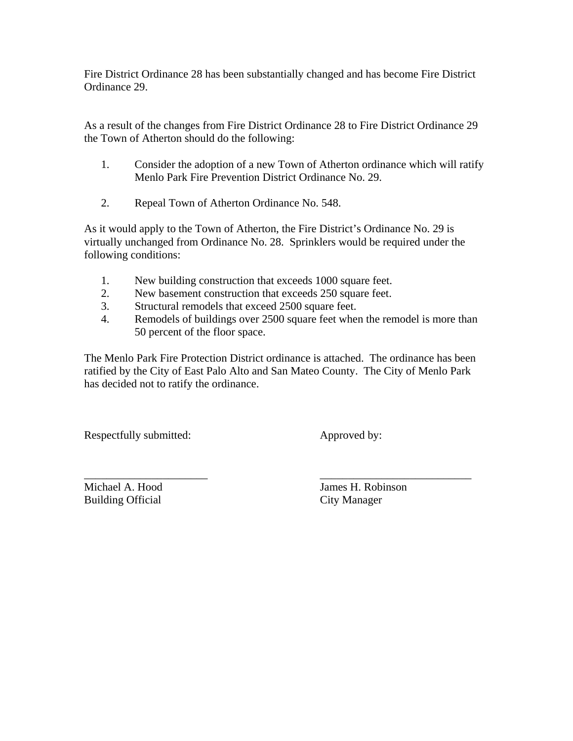Fire District Ordinance 28 has been substantially changed and has become Fire District Ordinance 29.

As a result of the changes from Fire District Ordinance 28 to Fire District Ordinance 29 the Town of Atherton should do the following:

- 1. Consider the adoption of a new Town of Atherton ordinance which will ratify Menlo Park Fire Prevention District Ordinance No. 29.
- 2. Repeal Town of Atherton Ordinance No. 548.

As it would apply to the Town of Atherton, the Fire District's Ordinance No. 29 is virtually unchanged from Ordinance No. 28. Sprinklers would be required under the following conditions:

- 1. New building construction that exceeds 1000 square feet.
- 2. New basement construction that exceeds 250 square feet.
- 3. Structural remodels that exceed 2500 square feet.
- 4. Remodels of buildings over 2500 square feet when the remodel is more than 50 percent of the floor space.

The Menlo Park Fire Protection District ordinance is attached. The ordinance has been ratified by the City of East Palo Alto and San Mateo County. The City of Menlo Park has decided not to ratify the ordinance.

Respectfully submitted: Approved by:

Building Official City Manager

\_\_\_\_\_\_\_\_\_\_\_\_\_\_\_\_\_\_\_\_\_\_ \_\_\_\_\_\_\_\_\_\_\_\_\_\_\_\_\_\_\_\_\_\_\_\_\_\_\_ Michael A. Hood James H. Robinson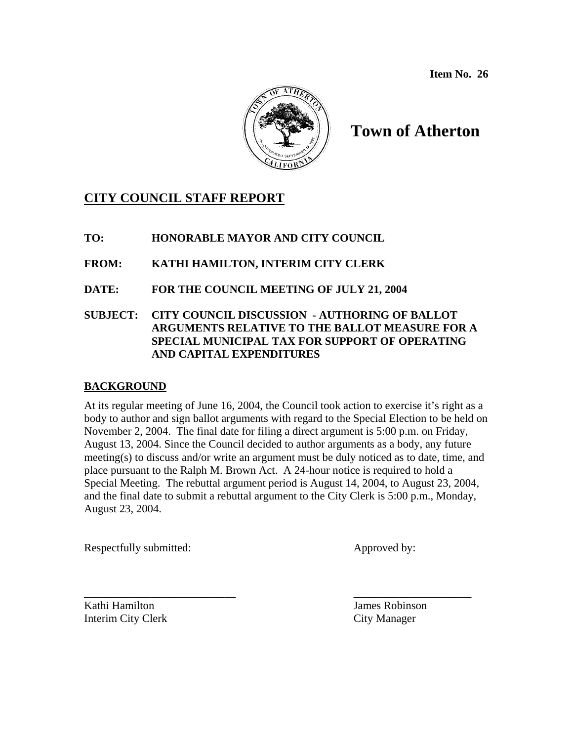

# **Town of Atherton**

## **CITY COUNCIL STAFF REPORT**

**TO: HONORABLE MAYOR AND CITY COUNCIL** 

**FROM: KATHI HAMILTON, INTERIM CITY CLERK** 

**DATE: FOR THE COUNCIL MEETING OF JULY 21, 2004** 

### **SUBJECT: CITY COUNCIL DISCUSSION - AUTHORING OF BALLOT ARGUMENTS RELATIVE TO THE BALLOT MEASURE FOR A SPECIAL MUNICIPAL TAX FOR SUPPORT OF OPERATING AND CAPITAL EXPENDITURES**

## **BACKGROUND**

At its regular meeting of June 16, 2004, the Council took action to exercise it's right as a body to author and sign ballot arguments with regard to the Special Election to be held on November 2, 2004. The final date for filing a direct argument is 5:00 p.m. on Friday, August 13, 2004. Since the Council decided to author arguments as a body, any future meeting(s) to discuss and/or write an argument must be duly noticed as to date, time, and place pursuant to the Ralph M. Brown Act. A 24-hour notice is required to hold a Special Meeting. The rebuttal argument period is August 14, 2004, to August 23, 2004, and the final date to submit a rebuttal argument to the City Clerk is 5:00 p.m., Monday, August 23, 2004.

Respectfully submitted: Approved by:

\_\_\_\_\_\_\_\_\_\_\_\_\_\_\_\_\_\_\_\_\_\_\_\_\_\_\_ \_\_\_\_\_\_\_\_\_\_\_\_\_\_\_\_\_\_\_\_\_ Kathi Hamilton James Robinson Interim City Clerk City Manager